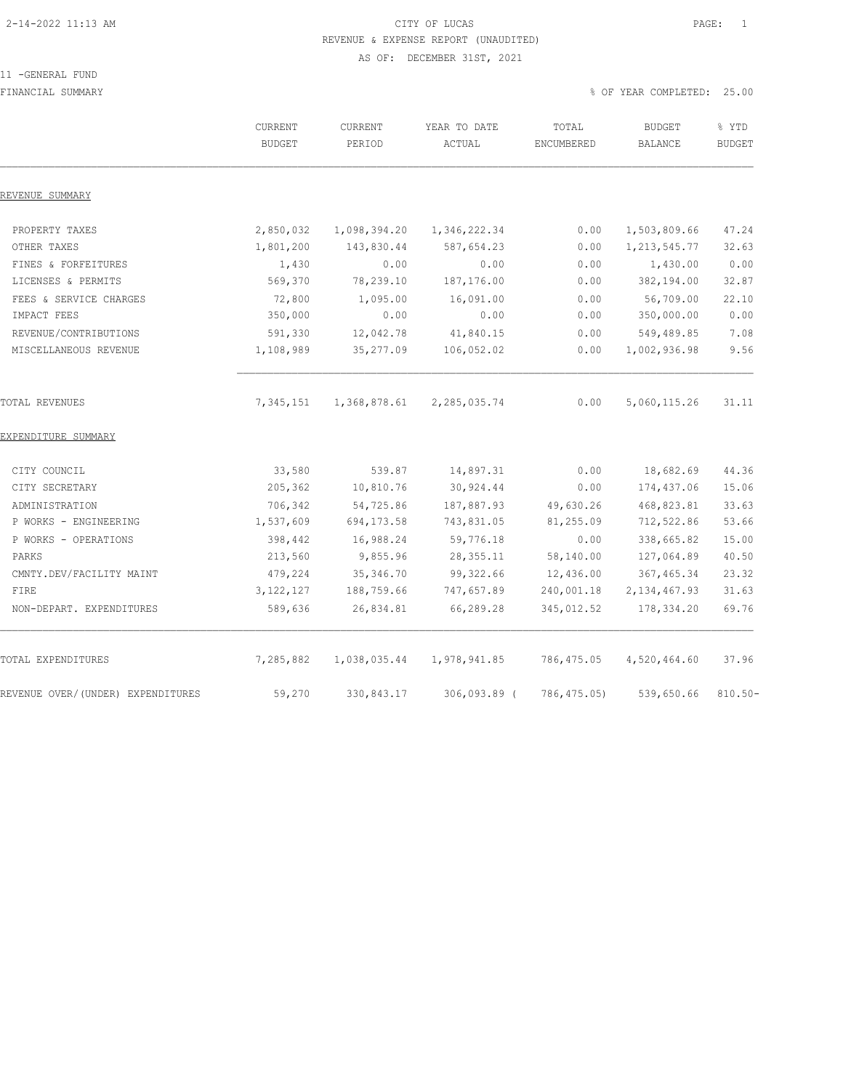# 2-14-2022 11:13 AM CITY OF LUCAS PAGE: 1 REVENUE & EXPENSE REPORT (UNAUDITED) AS OF: DECEMBER 31ST, 2021

#### 11 -GENERAL FUND

FINANCIAL SUMMARY % OF YEAR COMPLETED: 25.00

|                                   | CURRENT<br><b>BUDGET</b> | <b>CURRENT</b><br>PERIOD | YEAR TO DATE<br>ACTUAL | TOTAL<br>ENCUMBERED | <b>BUDGET</b><br>BALANCE | % YTD<br><b>BUDGET</b> |
|-----------------------------------|--------------------------|--------------------------|------------------------|---------------------|--------------------------|------------------------|
| REVENUE SUMMARY                   |                          |                          |                        |                     |                          |                        |
| PROPERTY TAXES                    | 2,850,032                | 1,098,394.20             | 1,346,222.34           | 0.00                | 1,503,809.66             | 47.24                  |
| OTHER TAXES                       | 1,801,200                | 143,830.44               | 587,654.23             | 0.00                | 1, 213, 545.77           | 32.63                  |
| FINES & FORFEITURES               | 1,430                    | 0.00                     | 0.00                   | 0.00                | 1,430.00                 | 0.00                   |
| LICENSES & PERMITS                | 569,370                  | 78,239.10                | 187,176.00             | 0.00                | 382,194.00               | 32.87                  |
| FEES & SERVICE CHARGES            | 72,800                   | 1,095.00                 | 16,091.00              | 0.00                | 56,709.00                | 22.10                  |
| IMPACT FEES                       | 350,000                  | 0.00                     | 0.00                   | 0.00                | 350,000.00               | 0.00                   |
| REVENUE/CONTRIBUTIONS             | 591,330                  | 12,042.78                | 41,840.15              | 0.00                | 549,489.85               | 7.08                   |
| MISCELLANEOUS REVENUE             | 1,108,989                | 35,277.09                | 106,052.02             | 0.00                | 1,002,936.98             | 9.56                   |
| TOTAL REVENUES                    | 7,345,151                | 1,368,878.61             | 2,285,035.74           | 0.00                | 5,060,115.26             | 31.11                  |
| EXPENDITURE SUMMARY               |                          |                          |                        |                     |                          |                        |
| CITY COUNCIL                      | 33,580                   | 539.87                   | 14,897.31              | 0.00                | 18,682.69                | 44.36                  |
| CITY SECRETARY                    | 205,362                  | 10,810.76                | 30, 924.44             | 0.00                | 174,437.06               | 15.06                  |
| ADMINISTRATION                    | 706,342                  | 54,725.86                | 187,887.93             | 49,630.26           | 468,823.81               | 33.63                  |
| P WORKS - ENGINEERING             | 1,537,609                | 694, 173.58              | 743,831.05             | 81,255.09           | 712,522.86               | 53.66                  |
| P WORKS - OPERATIONS              | 398,442                  | 16,988.24                | 59,776.18              | 0.00                | 338,665.82               | 15.00                  |
| PARKS                             | 213,560                  | 9,855.96                 | 28, 355.11             | 58,140.00           | 127,064.89               | 40.50                  |
| CMNTY.DEV/FACILITY MAINT          | 479,224                  | 35, 346.70               | 99, 322.66             | 12,436.00           | 367, 465.34              | 23.32                  |
| FIRE                              | 3, 122, 127              | 188,759.66               | 747,657.89             | 240,001.18          | 2, 134, 467.93           | 31.63                  |
| NON-DEPART. EXPENDITURES          | 589,636                  | 26,834.81                | 66,289.28              | 345,012.52          | 178, 334.20              | 69.76                  |
| TOTAL EXPENDITURES                | 7,285,882                | 1,038,035.44             | 1,978,941.85           | 786,475.05          | 4,520,464.60             | 37.96                  |
| REVENUE OVER/(UNDER) EXPENDITURES | 59,270                   | 330,843.17               | $306,093.89$ (         | 786, 475.05)        | 539,650.66               | $810.50 -$             |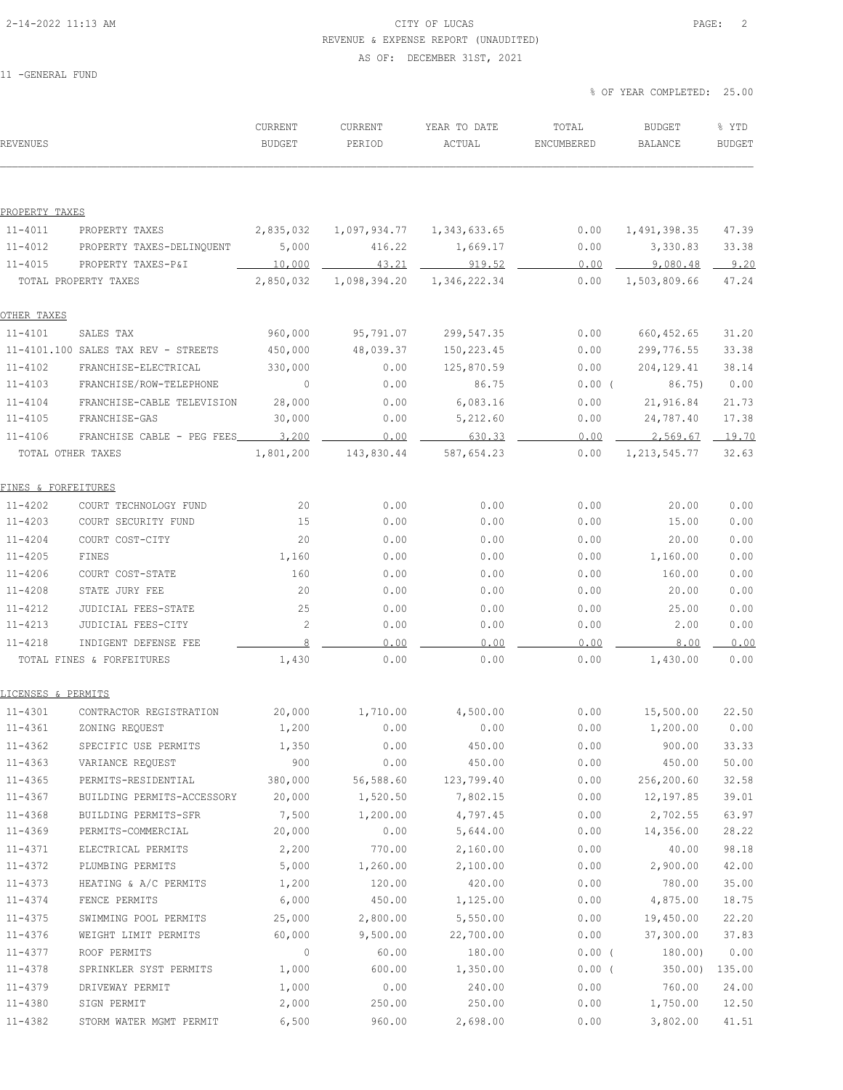# 2-14-2022 11:13 AM CITY OF LUCAS PAGE: 2 REVENUE & EXPENSE REPORT (UNAUDITED)

AS OF: DECEMBER 31ST, 2021

| <b>REVENUES</b>            |                                     | CURRENT<br><b>BUDGET</b> | CURRENT<br>PERIOD         | YEAR TO DATE<br>ACTUAL | TOTAL<br>ENCUMBERED | <b>BUDGET</b><br>BALANCE | % YTD<br><b>BUDGET</b> |
|----------------------------|-------------------------------------|--------------------------|---------------------------|------------------------|---------------------|--------------------------|------------------------|
|                            |                                     |                          |                           |                        |                     |                          |                        |
| PROPERTY TAXES             |                                     |                          |                           |                        |                     |                          |                        |
| $11 - 4011$                | PROPERTY TAXES                      | 2,835,032                | 1,097,934.77 1,343,633.65 |                        | 0.00                | 1,491,398.35             | 47.39                  |
| $11 - 4012$                | PROPERTY TAXES-DELINQUENT           | 5,000                    | 416.22                    | 1,669.17               | 0.00                | 3,330.83                 | 33.38                  |
| $11 - 4015$                | PROPERTY TAXES-P&I                  | 10,000                   | 43.21                     | 919.52                 | 0.00                | 9,080.48                 | 9.20                   |
|                            | TOTAL PROPERTY TAXES                | 2,850,032                | 1,098,394.20              | 1,346,222.34           | 0.00                | 1,503,809.66             | 47.24                  |
| OTHER TAXES                |                                     |                          |                           |                        |                     |                          |                        |
| $11 - 4101$                | SALES TAX                           | 960,000                  | 95,791.07                 | 299,547.35             | 0.00                | 660, 452.65              | 31.20                  |
|                            | 11-4101.100 SALES TAX REV - STREETS | 450,000                  | 48,039.37                 | 150, 223.45            | 0.00                | 299,776.55               | 33.38                  |
| $11 - 4102$                | FRANCHISE-ELECTRICAL                | 330,000                  | 0.00                      | 125,870.59             | 0.00                | 204, 129.41              | 38.14                  |
| $11 - 4103$                | FRANCHISE/ROW-TELEPHONE             | $\circ$                  | 0.00                      | 86.75                  | $0.00$ (            | 86.75)                   | 0.00                   |
| $11 - 4104$                | FRANCHISE-CABLE TELEVISION          | 28,000                   | 0.00                      | 6,083.16               | 0.00                | 21,916.84                | 21.73                  |
| $11 - 4105$                | FRANCHISE-GAS                       | 30,000                   | 0.00                      | 5,212.60               | 0.00                | 24,787.40                | 17.38                  |
| $11 - 4106$                | FRANCHISE CABLE - PEG FEES 3,200    |                          | 0.00                      | 630.33                 | 0.00                | 2,569.67 19.70           |                        |
|                            | TOTAL OTHER TAXES                   | 1,801,200                | 143,830.44                | 587,654.23             | 0.00                | 1, 213, 545.77           | 32.63                  |
| FINES & FORFEITURES        |                                     |                          |                           |                        |                     |                          |                        |
| $11 - 4202$                | COURT TECHNOLOGY FUND               | 20                       | 0.00                      | 0.00                   | 0.00                | 20.00                    | 0.00                   |
| $11 - 4203$                | COURT SECURITY FUND                 | 15                       | 0.00                      | 0.00                   | 0.00                | 15.00                    | 0.00                   |
| $11 - 4204$                | COURT COST-CITY                     | 20                       | 0.00                      | 0.00                   | 0.00                | 20.00                    | 0.00                   |
| $11 - 4205$                | FINES                               | 1,160                    | 0.00                      | 0.00                   | 0.00                | 1,160.00                 | 0.00                   |
| $11 - 4206$                | COURT COST-STATE                    | 160                      | 0.00                      | 0.00                   | 0.00                | 160.00                   | 0.00                   |
| $11 - 4208$                | STATE JURY FEE                      | 20                       | 0.00                      | 0.00                   | 0.00                | 20.00                    | 0.00                   |
| $11 - 4212$                | JUDICIAL FEES-STATE                 | 25                       | 0.00                      | 0.00                   | 0.00                | 25.00                    | 0.00                   |
| $11 - 4213$                | JUDICIAL FEES-CITY                  | $\overline{c}$           | 0.00                      | 0.00                   | 0.00                | 2.00                     | 0.00                   |
| $11 - 4218$                | INDIGENT DEFENSE FEE                | 8                        | 0.00                      | 0.00                   | 0.00                | 8.00                     | 0.00                   |
|                            | TOTAL FINES & FORFEITURES           | 1,430                    | 0.00                      | 0.00                   | 0.00                | 1,430.00                 | 0.00                   |
| LICENSES & PERMITS         |                                     |                          |                           |                        |                     |                          |                        |
| $11 - 4301$                | CONTRACTOR REGISTRATION             | 20,000                   | 1,710.00                  | 4,500.00               | 0.00                | 15,500.00                | 22.50                  |
| 11-4361                    | ZONING REQUEST                      | 1,200                    | 0.00                      | 0.00                   | 0.00                | 1,200.00                 | 0.00                   |
| $11 - 4362$                | SPECIFIC USE PERMITS                | 1,350                    | 0.00                      | 450.00                 | 0.00                | 900.00                   | 33.33                  |
| $11 - 4363$                | VARIANCE REQUEST                    | 900                      | 0.00                      | 450.00                 | 0.00                | 450.00                   | 50.00                  |
| $11 - 4365$                | PERMITS-RESIDENTIAL                 | 380,000                  | 56,588.60                 | 123,799.40             | 0.00                | 256,200.60               | 32.58                  |
| $11 - 4367$                | BUILDING PERMITS-ACCESSORY          | 20,000                   | 1,520.50                  | 7,802.15               | 0.00                | 12,197.85                | 39.01                  |
| $11 - 4368$                | BUILDING PERMITS-SFR                | 7,500                    | 1,200.00                  | 4,797.45               | 0.00                | 2,702.55                 | 63.97                  |
| 11-4369                    | PERMITS-COMMERCIAL                  | 20,000                   | 0.00                      | 5,644.00               | 0.00                | 14,356.00                | 28.22                  |
| 11-4371                    | ELECTRICAL PERMITS                  | 2,200                    | 770.00                    | 2,160.00               | 0.00                | 40.00                    | 98.18                  |
| 11-4372                    | PLUMBING PERMITS                    | 5,000                    | 1,260.00                  | 2,100.00               | 0.00                | 2,900.00                 | 42.00                  |
|                            |                                     |                          |                           |                        |                     |                          |                        |
| $11 - 4373$<br>$11 - 4374$ | HEATING & A/C PERMITS               | 1,200                    | 120.00                    | 420.00                 | 0.00                | 780.00<br>4,875.00       | 35.00<br>18.75         |
|                            | FENCE PERMITS                       | 6,000                    | 450.00                    | 1,125.00               | 0.00                |                          |                        |
| $11 - 4375$                | SWIMMING POOL PERMITS               | 25,000                   | 2,800.00                  | 5,550.00               | 0.00                | 19,450.00                | 22.20                  |
| 11-4376                    | WEIGHT LIMIT PERMITS                | 60,000                   | 9,500.00                  | 22,700.00              | 0.00                | 37,300.00                | 37.83                  |
| 11-4377                    | ROOF PERMITS                        | $\circ$                  | 60.00                     | 180.00                 | $0.00$ (            | 180.00)                  | 0.00                   |
| $11 - 4378$                | SPRINKLER SYST PERMITS              | 1,000                    | 600.00                    | 1,350.00               | 0.00(               | 350.00                   | 135.00                 |
| 11-4379                    | DRIVEWAY PERMIT                     | 1,000                    | 0.00                      | 240.00                 | 0.00                | 760.00                   | 24.00                  |
| 11-4380                    | SIGN PERMIT                         | 2,000                    | 250.00                    | 250.00                 | 0.00                | 1,750.00                 | 12.50                  |
| $11 - 4382$                | STORM WATER MGMT PERMIT             | 6,500                    | 960.00                    | 2,698.00               | 0.00                | 3,802.00                 | 41.51                  |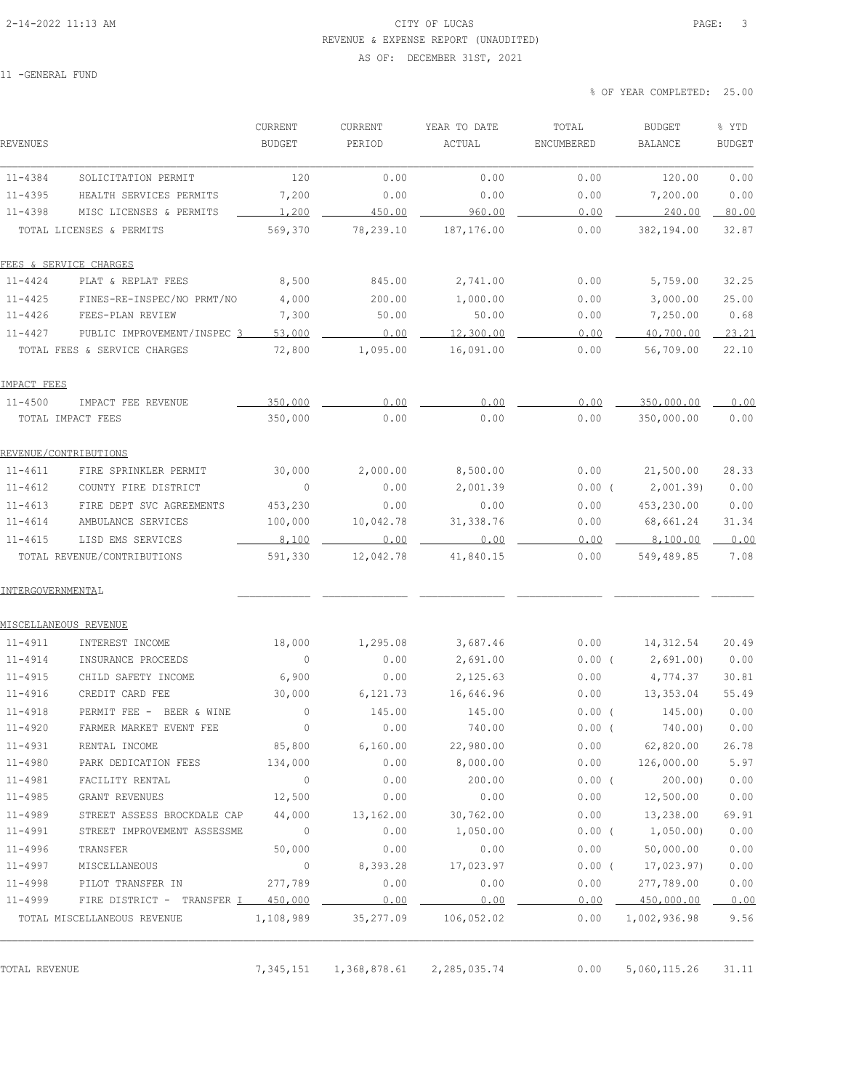# 2-14-2022 11:13 AM CITY OF LUCAS PAGE: 3 REVENUE & EXPENSE REPORT (UNAUDITED)

#### AS OF: DECEMBER 31ST, 2021

11 -GENERAL FUND

% OF YEAR COMPLETED: 25.00

| REVENUES                   |                                                    | CURRENT<br><b>BUDGET</b> | CURRENT<br>PERIOD | YEAR TO DATE<br>ACTUAL | TOTAL<br>ENCUMBERED | <b>BUDGET</b><br><b>BALANCE</b> | % YTD<br><b>BUDGET</b> |
|----------------------------|----------------------------------------------------|--------------------------|-------------------|------------------------|---------------------|---------------------------------|------------------------|
|                            |                                                    |                          |                   |                        |                     |                                 | 0.00                   |
| $11 - 4384$                | SOLICITATION PERMIT                                | 120                      | 0.00              | 0.00                   | 0.00                | 120.00                          | 0.00                   |
| $11 - 4395$<br>$11 - 4398$ | HEALTH SERVICES PERMITS<br>MISC LICENSES & PERMITS | 7,200<br>1.200           | 0.00<br>450.00    | 0.00<br>960.00         | 0.00<br>0.00        | 7,200.00<br>240.00              | 80.00                  |
|                            |                                                    |                          |                   |                        |                     |                                 |                        |
|                            | TOTAL LICENSES & PERMITS                           | 569,370                  | 78,239.10         | 187, 176.00            | 0.00                | 382,194.00                      | 32.87                  |
|                            | FEES & SERVICE CHARGES                             |                          |                   |                        |                     |                                 |                        |
| $11 - 4424$                | PLAT & REPLAT FEES                                 | 8,500                    | 845.00            | 2,741.00               | 0.00                | 5,759.00                        | 32.25                  |
| $11 - 4425$                | FINES-RE-INSPEC/NO PRMT/NO                         | 4,000                    | 200.00            | 1,000.00               | 0.00                | 3,000.00                        | 25.00                  |
| $11 - 4426$                | FEES-PLAN REVIEW                                   | 7,300                    | 50.00             | 50.00                  | 0.00                | 7,250.00                        | 0.68                   |
| $11 - 4427$                | PUBLIC IMPROVEMENT/INSPEC 3                        | 53,000                   | 0.00              | 12,300.00              | 0.00                | 40,700.00                       | 23.21                  |
|                            | TOTAL FEES & SERVICE CHARGES                       | 72,800                   | 1,095.00          | 16,091.00              | 0.00                | 56,709.00                       | 22.10                  |
| IMPACT FEES                |                                                    |                          |                   |                        |                     |                                 |                        |
| $11 - 4500$                | IMPACT FEE REVENUE                                 | 350,000                  | 0.00              | 0.00                   | 0.00                | 350,000.00                      | 0.00                   |
| TOTAL IMPACT FEES          |                                                    | 350,000                  | 0.00              | 0.00                   | 0.00                | 350,000.00                      | 0.00                   |
| REVENUE/CONTRIBUTIONS      |                                                    |                          |                   |                        |                     |                                 |                        |
| $11 - 4611$                | FIRE SPRINKLER PERMIT                              | 30,000                   | 2,000.00          | 8,500.00               | 0.00                | 21,500.00                       | 28.33                  |
| 11-4612                    | COUNTY FIRE DISTRICT                               | $\circ$                  | 0.00              | 2,001.39               | $0.00$ (            | 2,001.39                        | 0.00                   |
| $11 - 4613$                | FIRE DEPT SVC AGREEMENTS                           | 453,230                  | 0.00              | 0.00                   | 0.00                | 453,230.00                      | 0.00                   |
| $11 - 4614$                | AMBULANCE SERVICES                                 | 100,000                  | 10,042.78         | 31, 338.76             | 0.00                | 68,661.24                       | 31.34                  |
| $11 - 4615$                | LISD EMS SERVICES                                  | 8,100                    | 0.00              | 0.00                   | 0.00                | 8,100.00                        | 0.00                   |
|                            | TOTAL REVENUE/CONTRIBUTIONS                        | 591,330                  | 12,042.78         | 41,840.15              | 0.00                | 549,489.85                      | 7.08                   |
| INTERGOVERNMENTAL          |                                                    |                          |                   |                        |                     |                                 |                        |
| MISCELLANEOUS REVENUE      |                                                    |                          |                   |                        |                     |                                 |                        |
| $11 - 4911$                | INTEREST INCOME                                    | 18,000                   | 1,295.08          | 3,687.46               | 0.00                | 14,312.54                       | 20.49                  |
| 11-4914                    | INSURANCE PROCEEDS                                 | $\circ$                  | 0.00              | 2,691.00               | $0.00$ (            | 2,691.00)                       | 0.00                   |
| $11 - 4915$                | CHILD SAFETY INCOME                                | 6,900                    | 0.00              | 2,125.63               | 0.00                | 4,774.37                        | 30.81                  |
| $11 - 4916$                | CREDIT CARD FEE                                    | 30,000                   | 6,121.73          | 16,646.96              | 0.00                | 13,353.04                       | 55.49                  |
| $11 - 4918$                | PERMIT FEE - BEER & WINE                           | $\circ$                  | 145.00            | 145.00                 | 0.00(               | 145.00)                         | 0.00                   |
| $11 - 4920$                | FARMER MARKET EVENT FEE                            | 0                        | 0.00              | 740.00                 | 0.00(               | 740.00)                         | 0.00                   |
| $11 - 4931$                | RENTAL INCOME                                      | 85,800                   | 6,160.00          | 22,980.00              | 0.00                | 62,820.00                       | 26.78                  |
| $11 - 4980$                | PARK DEDICATION FEES                               | 134,000                  | 0.00              | 8,000.00               | 0.00                | 126,000.00                      | 5.97                   |
| $11 - 4981$                | FACILITY RENTAL                                    | $\circ$                  | 0.00              | 200.00                 | $0.00$ (            | 200.00                          | 0.00                   |
| $11 - 4985$                | GRANT REVENUES                                     | 12,500                   | 0.00              | 0.00                   | 0.00                | 12,500.00                       | 0.00                   |
| $11 - 4989$                | STREET ASSESS BROCKDALE CAP                        | 44,000                   | 13,162.00         | 30,762.00              | 0.00                | 13,238.00                       | 69.91                  |
| $11 - 4991$                | STREET IMPROVEMENT ASSESSME                        | $\circ$                  | 0.00              | 1,050.00               | 0.00(               | 1,050.00)                       | 0.00                   |
| $11 - 4996$                | TRANSFER                                           | 50,000                   | 0.00              | 0.00                   | 0.00                | 50,000.00                       | 0.00                   |
| $11 - 4997$                | MISCELLANEOUS                                      | $\circ$                  | 8,393.28          | 17,023.97              | $0.00$ (            | 17,023.97)                      | 0.00                   |
| $11 - 4998$                | PILOT TRANSFER IN                                  | 277,789                  | 0.00              | 0.00                   | 0.00                | 277,789.00                      | 0.00                   |
| $11 - 4999$                | FIRE DISTRICT - TRANSFER 1 450,000                 |                          | 0.00              | 0.00                   | 0.00                | 450,000.00                      | 0.00                   |
|                            | TOTAL MISCELLANEOUS REVENUE                        | 1,108,989                | 35, 277.09        | 106,052.02             | 0.00                | 1,002,936.98                    | 9.56                   |
|                            |                                                    |                          |                   |                        |                     |                                 |                        |

TOTAL REVENUE 7,345,151 1,368,878.61 2,285,035.74 0.00 5,060,115.26 31.11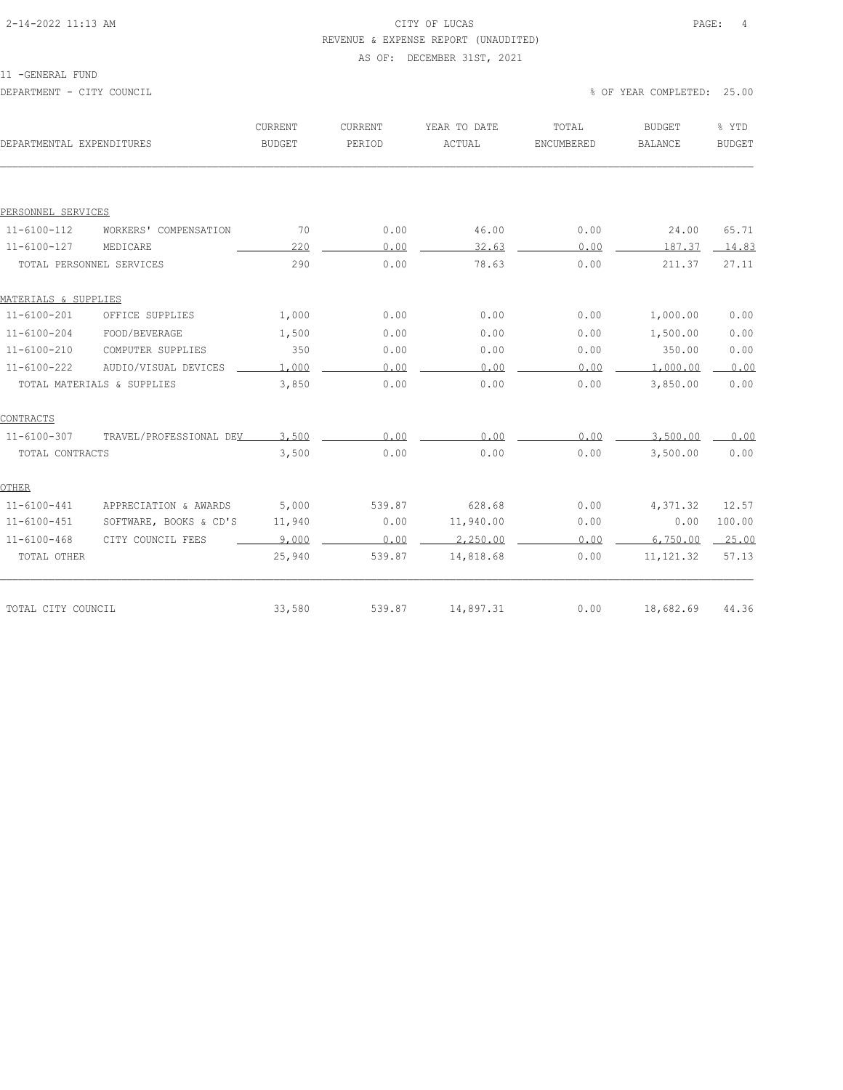# 2-14-2022 11:13 AM CITY OF LUCAS PAGE: 4 REVENUE & EXPENSE REPORT (UNAUDITED)

# AS OF: DECEMBER 31ST, 2021

| DEPARTMENTAL EXPENDITURES |                            | CURRENT<br><b>BUDGET</b> | CURRENT<br>PERIOD | YEAR TO DATE<br>ACTUAL | TOTAL<br>ENCUMBERED | <b>BUDGET</b><br><b>BALANCE</b> | % YTD<br><b>BUDGET</b> |
|---------------------------|----------------------------|--------------------------|-------------------|------------------------|---------------------|---------------------------------|------------------------|
|                           |                            |                          |                   |                        |                     |                                 |                        |
| PERSONNEL SERVICES        |                            |                          |                   |                        |                     |                                 |                        |
| $11 - 6100 - 112$         | WORKERS' COMPENSATION      | 70                       | 0.00              | 46.00                  | 0.00                | 24.00                           | 65.71                  |
| $11 - 6100 - 127$         | MEDICARE                   | 220                      | 0.00              | 32.63                  | 0.00                | 187.37                          | 14.83                  |
| TOTAL PERSONNEL SERVICES  |                            | 290                      | 0.00              | 78.63                  | 0.00                | 211.37                          | 27.11                  |
| MATERIALS & SUPPLIES      |                            |                          |                   |                        |                     |                                 |                        |
| $11 - 6100 - 201$         | OFFICE SUPPLIES            | 1,000                    | 0.00              | 0.00                   | 0.00                | 1,000.00                        | 0.00                   |
| $11 - 6100 - 204$         | FOOD/BEVERAGE              | 1,500                    | 0.00              | 0.00                   | 0.00                | 1,500.00                        | 0.00                   |
| $11 - 6100 - 210$         | COMPUTER SUPPLIES          | 350                      | 0.00              | 0.00                   | 0.00                | 350.00                          | 0.00                   |
| $11 - 6100 - 222$         | AUDIO/VISUAL DEVICES       | 1,000                    | 0.00              | 0.00                   | 0.00                | 1,000.00                        | 0.00                   |
|                           | TOTAL MATERIALS & SUPPLIES | 3,850                    | 0.00              | 0.00                   | 0.00                | 3,850.00                        | 0.00                   |
| CONTRACTS                 |                            |                          |                   |                        |                     |                                 |                        |
| $11 - 6100 - 307$         | TRAVEL/PROFESSIONAL DEV    | 3,500                    | 0.00              | 0.00                   | 0.00                | 3,500.00                        | 0.00                   |
| TOTAL CONTRACTS           |                            | 3,500                    | 0.00              | 0.00                   | 0.00                | 3,500.00                        | 0.00                   |
| OTHER                     |                            |                          |                   |                        |                     |                                 |                        |
| $11 - 6100 - 441$         | APPRECIATION & AWARDS      | 5,000                    | 539.87            | 628.68                 | 0.00                | 4,371.32                        | 12.57                  |
| $11 - 6100 - 451$         | SOFTWARE, BOOKS & CD'S     | 11,940                   | 0.00              | 11,940.00              | 0.00                | 0.00                            | 100.00                 |
| $11 - 6100 - 468$         | CITY COUNCIL FEES          | 9,000                    | 0.00              | 2,250.00               | 0.00                | 6,750.00                        | 25.00                  |
| TOTAL OTHER               |                            | 25,940                   | 539.87            | 14,818.68              | 0.00                | 11, 121.32                      | 57.13                  |
|                           |                            |                          |                   |                        |                     |                                 |                        |
| TOTAL CITY COUNCIL        |                            | 33,580                   | 539.87            | 14,897.31              | 0.00                | 18,682.69                       | 44.36                  |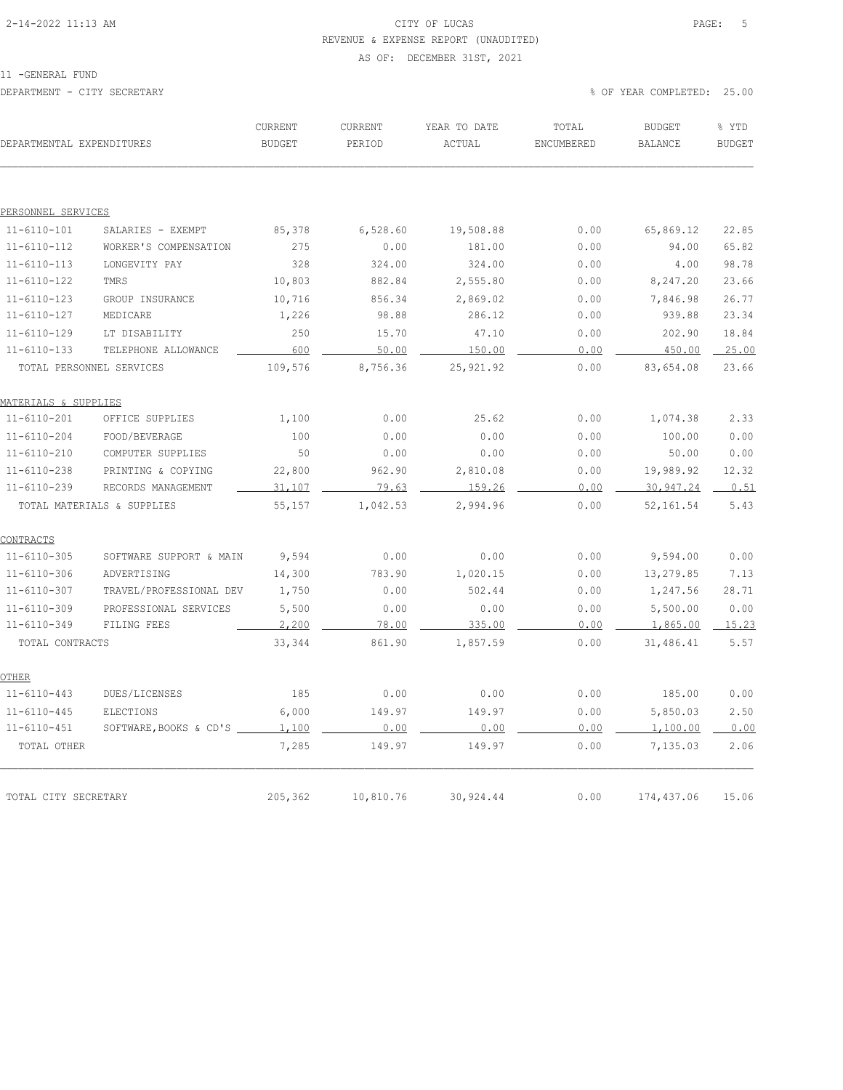# 2-14-2022 11:13 AM CITY OF LUCAS PAGE: 5 REVENUE & EXPENSE REPORT (UNAUDITED)

#### AS OF: DECEMBER 31ST, 2021

| DEPARTMENTAL EXPENDITURES |                            | CURRENT<br><b>BUDGET</b> | CURRENT<br>PERIOD | YEAR TO DATE<br>ACTUAL | TOTAL<br>ENCUMBERED | <b>BUDGET</b><br>BALANCE | % YTD<br><b>BUDGET</b> |
|---------------------------|----------------------------|--------------------------|-------------------|------------------------|---------------------|--------------------------|------------------------|
|                           |                            |                          |                   |                        |                     |                          |                        |
| PERSONNEL SERVICES        |                            |                          |                   |                        |                     |                          |                        |
| $11 - 6110 - 101$         | SALARIES - EXEMPT          | 85,378                   | 6,528.60          | 19,508.88              | 0.00                | 65,869.12                | 22.85                  |
| $11 - 6110 - 112$         | WORKER'S COMPENSATION      | 275                      | 0.00              | 181.00                 | 0.00                | 94.00                    | 65.82                  |
| $11 - 6110 - 113$         | LONGEVITY PAY              | 328                      | 324.00            | 324.00                 | 0.00                | 4.00                     | 98.78                  |
| $11 - 6110 - 122$         | TMRS                       | 10,803                   | 882.84            | 2,555.80               | 0.00                | 8,247.20                 | 23.66                  |
| $11 - 6110 - 123$         | GROUP INSURANCE            | 10,716                   | 856.34            | 2,869.02               | 0.00                | 7,846.98                 | 26.77                  |
| $11 - 6110 - 127$         | MEDICARE                   | 1,226                    | 98.88             | 286.12                 | 0.00                | 939.88                   | 23.34                  |
| $11 - 6110 - 129$         | LT DISABILITY              | 250                      | 15.70             | 47.10                  | 0.00                | 202.90                   | 18.84                  |
| $11 - 6110 - 133$         | TELEPHONE ALLOWANCE        | 600                      | 50.00             | 150.00                 | 0.00                | 450.00                   | 25.00                  |
|                           | TOTAL PERSONNEL SERVICES   | 109,576                  | 8,756.36          | 25, 921.92             | 0.00                | 83,654.08                | 23.66                  |
| MATERIALS & SUPPLIES      |                            |                          |                   |                        |                     |                          |                        |
| $11 - 6110 - 201$         | OFFICE SUPPLIES            | 1,100                    | 0.00              | 25.62                  | 0.00                | 1,074.38                 | 2.33                   |
| $11 - 6110 - 204$         | FOOD/BEVERAGE              | 100                      | 0.00              | 0.00                   | 0.00                | 100.00                   | 0.00                   |
| $11 - 6110 - 210$         | COMPUTER SUPPLIES          | 50                       | 0.00              | 0.00                   | 0.00                | 50.00                    | 0.00                   |
| $11 - 6110 - 238$         | PRINTING & COPYING         | 22,800                   | 962.90            | 2,810.08               | 0.00                | 19,989.92                | 12.32                  |
| $11 - 6110 - 239$         | RECORDS MANAGEMENT         | 31,107                   | 79.63             | 159.26                 | 0.00                | 30,947.24                | 0.51                   |
|                           | TOTAL MATERIALS & SUPPLIES | 55,157                   | 1,042.53          | 2,994.96               | 0.00                | 52, 161.54               | 5.43                   |
| CONTRACTS                 |                            |                          |                   |                        |                     |                          |                        |
| $11 - 6110 - 305$         | SOFTWARE SUPPORT & MAIN    | 9,594                    | 0.00              | 0.00                   | 0.00                | 9,594.00                 | 0.00                   |
| $11 - 6110 - 306$         | ADVERTISING                | 14,300                   | 783.90            | 1,020.15               | 0.00                | 13,279.85                | 7.13                   |
| $11 - 6110 - 307$         | TRAVEL/PROFESSIONAL DEV    | 1,750                    | 0.00              | 502.44                 | 0.00                | 1,247.56                 | 28.71                  |
| $11 - 6110 - 309$         | PROFESSIONAL SERVICES      | 5,500                    | 0.00              | 0.00                   | 0.00                | 5,500.00                 | 0.00                   |
| $11 - 6110 - 349$         | FILING FEES                | 2,200                    | 78.00             | 335.00                 | 0.00                | 1,865.00                 | 15.23                  |
| TOTAL CONTRACTS           |                            | 33,344                   | 861.90            | 1,857.59               | 0.00                | 31,486.41                | 5.57                   |
| <b>OTHER</b>              |                            |                          |                   |                        |                     |                          |                        |
| $11 - 6110 - 443$         | DUES/LICENSES              | 185                      | 0.00              | 0.00                   | 0.00                | 185.00                   | 0.00                   |
| $11 - 6110 - 445$         | <b>ELECTIONS</b>           | 6,000                    | 149.97            | 149.97                 | 0.00                | 5,850.03                 | 2.50                   |
| $11 - 6110 - 451$         | SOFTWARE, BOOKS & CD'S _   | 1,100                    | 0.00              | 0.00                   | 0.00                | 1,100.00                 | 0.00                   |
| TOTAL OTHER               |                            | 7,285                    | 149.97            | 149.97                 | 0.00                | 7,135.03                 | 2.06                   |
|                           |                            |                          |                   |                        |                     |                          |                        |
| TOTAL CITY SECRETARY      |                            | 205,362                  | 10,810.76         | 30,924.44              | 0.00                | 174,437.06               | 15.06                  |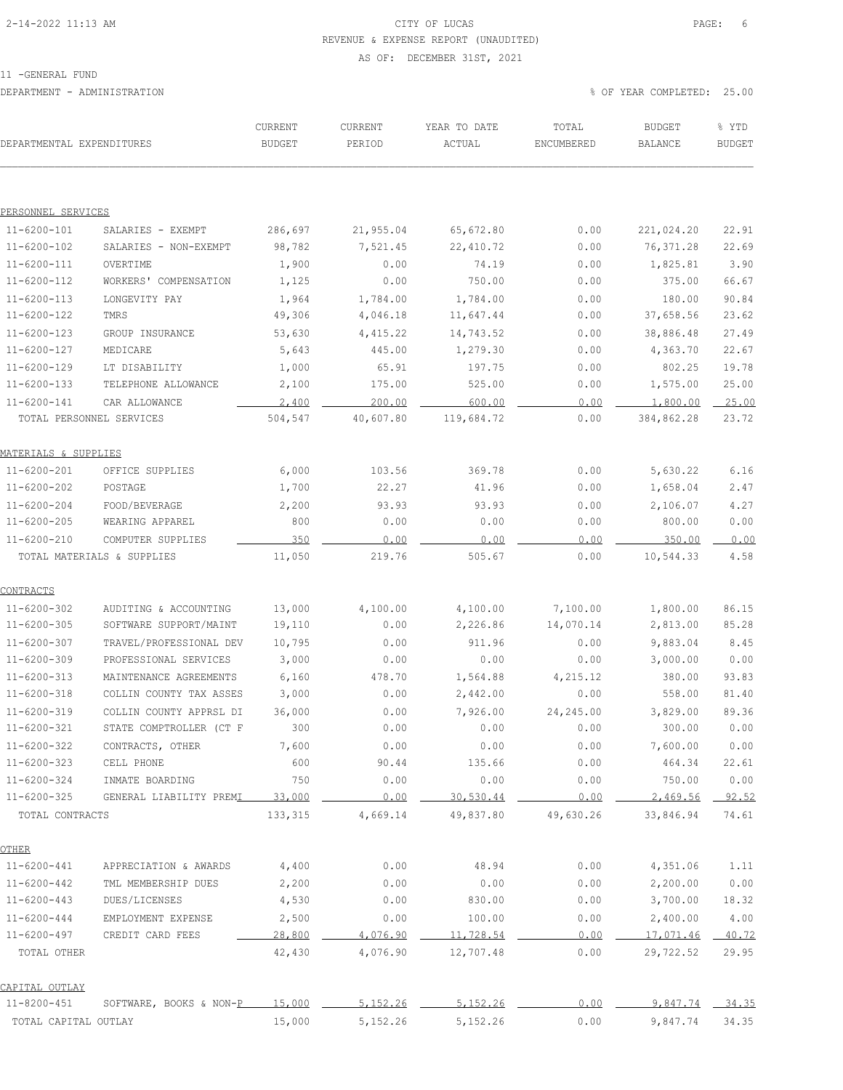# 2-14-2022 11:13 AM CITY OF LUCAS PAGE: 6 REVENUE & EXPENSE REPORT (UNAUDITED)

#### AS OF: DECEMBER 31ST, 2021

| DEPARTMENTAL EXPENDITURES |                            | CURRENT<br><b>BUDGET</b> | CURRENT<br>PERIOD | YEAR TO DATE<br>ACTUAL | TOTAL<br>ENCUMBERED | <b>BUDGET</b><br><b>BALANCE</b> | % YTD<br><b>BUDGET</b> |
|---------------------------|----------------------------|--------------------------|-------------------|------------------------|---------------------|---------------------------------|------------------------|
|                           |                            |                          |                   |                        |                     |                                 |                        |
| PERSONNEL SERVICES        |                            |                          |                   |                        |                     |                                 |                        |
| $11 - 6200 - 101$         | SALARIES - EXEMPT          | 286,697                  | 21,955.04         | 65,672.80              | 0.00                | 221,024.20                      | 22.91                  |
| 11-6200-102               | SALARIES - NON-EXEMPT      | 98,782                   | 7,521.45          | 22, 410.72             | 0.00                | 76,371.28                       | 22.69                  |
| 11-6200-111               | OVERTIME                   | 1,900                    | 0.00              | 74.19                  | 0.00                | 1,825.81                        | 3.90                   |
| 11-6200-112               | WORKERS' COMPENSATION      | 1,125                    | 0.00              | 750.00                 | 0.00                | 375.00                          | 66.67                  |
| $11 - 6200 - 113$         | LONGEVITY PAY              | 1,964                    | 1,784.00          | 1,784.00               | 0.00                | 180.00                          | 90.84                  |
| 11-6200-122               | TMRS                       | 49,306                   | 4,046.18          | 11,647.44              | 0.00                | 37,658.56                       | 23.62                  |
| 11-6200-123               | GROUP INSURANCE            | 53,630                   | 4, 415.22         | 14,743.52              | 0.00                | 38,886.48                       | 27.49                  |
| 11-6200-127               | MEDICARE                   | 5,643                    | 445.00            | 1,279.30               | 0.00                | 4,363.70                        | 22.67                  |
| 11-6200-129               | LT DISABILITY              | 1,000                    | 65.91             | 197.75                 | 0.00                | 802.25                          | 19.78                  |
| $11 - 6200 - 133$         | TELEPHONE ALLOWANCE        | 2,100                    | 175.00            | 525.00                 | 0.00                | 1,575.00                        | 25.00                  |
| 11-6200-141               | CAR ALLOWANCE              | 2,400                    | 200.00            | 600.00                 | 0.00                | 1,800.00                        | 25.00                  |
|                           | TOTAL PERSONNEL SERVICES   | 504,547                  | 40,607.80         | 119,684.72             | 0.00                | 384,862.28                      | 23.72                  |
| MATERIALS & SUPPLIES      |                            |                          |                   |                        |                     |                                 |                        |
| 11-6200-201               | OFFICE SUPPLIES            | 6,000                    | 103.56            | 369.78                 | 0.00                | 5,630.22                        | 6.16                   |
| 11-6200-202               | POSTAGE                    | 1,700                    | 22.27             | 41.96                  | 0.00                | 1,658.04                        | 2.47                   |
| $11 - 6200 - 204$         | FOOD/BEVERAGE              | 2,200                    | 93.93             | 93.93                  | 0.00                | 2,106.07                        | 4.27                   |
| $11 - 6200 - 205$         | WEARING APPAREL            | 800                      | 0.00              | 0.00                   | 0.00                | 800.00                          | 0.00                   |
| 11-6200-210               | COMPUTER SUPPLIES          | 350                      | 0.00              | 0.00                   | 0.00                | 350.00                          | 0.00                   |
|                           | TOTAL MATERIALS & SUPPLIES | 11,050                   | 219.76            | 505.67                 | 0.00                | 10,544.33                       | 4.58                   |
| CONTRACTS                 |                            |                          |                   |                        |                     |                                 |                        |
| $11 - 6200 - 302$         | AUDITING & ACCOUNTING      | 13,000                   | 4,100.00          | 4,100.00               | 7,100.00            | 1,800.00                        | 86.15                  |
| $11 - 6200 - 305$         | SOFTWARE SUPPORT/MAINT     | 19,110                   | 0.00              | 2,226.86               | 14,070.14           | 2,813.00                        | 85.28                  |
| 11-6200-307               | TRAVEL/PROFESSIONAL DEV    | 10,795                   | 0.00              | 911.96                 | 0.00                | 9,883.04                        | 8.45                   |
| 11-6200-309               | PROFESSIONAL SERVICES      | 3,000                    | 0.00              | 0.00                   | 0.00                | 3,000.00                        | 0.00                   |
| $11 - 6200 - 313$         | MAINTENANCE AGREEMENTS     | 6,160                    | 478.70            | 1,564.88               | 4,215.12            | 380.00                          | 93.83                  |
| $11 - 6200 - 318$         | COLLIN COUNTY TAX ASSES    | 3,000                    | 0.00              | 2,442.00               | 0.00                | 558.00                          | 81.40                  |
| $11 - 6200 - 319$         | COLLIN COUNTY APPRSL DI    | 36,000                   | 0.00              | 7,926.00               | 24,245.00           | 3,829.00                        | 89.36                  |
| 11-6200-321               | STATE COMPTROLLER (CT F    | 300                      | 0.00              | 0.00                   | 0.00                | 300.00                          | 0.00                   |
| $11 - 6200 - 322$         | CONTRACTS, OTHER           | 7,600                    | 0.00              | 0.00                   | 0.00                | 7,600.00                        | 0.00                   |
| 11-6200-323               | CELL PHONE                 | 600                      | 90.44             | 135.66                 | 0.00                | 464.34                          | 22.61                  |
| $11 - 6200 - 324$         | INMATE BOARDING            | 750                      | 0.00              | 0.00                   | 0.00                | 750.00                          | 0.00                   |
| $11 - 6200 - 325$         | GENERAL LIABILITY PREMI    | 33,000                   | 0.00              | 30,530.44              | 0.00                | 2,469.56                        | 92.52                  |
| TOTAL CONTRACTS           |                            | 133,315                  | 4,669.14          | 49,837.80              | 49,630.26           | 33,846.94                       | 74.61                  |
| <b>OTHER</b>              |                            |                          |                   |                        |                     |                                 |                        |
| $11 - 6200 - 441$         | APPRECIATION & AWARDS      | 4,400                    | 0.00              | 48.94                  | 0.00                | 4,351.06                        | 1.11                   |
| 11-6200-442               | TML MEMBERSHIP DUES        | 2,200                    | 0.00              | 0.00                   | 0.00                | 2,200.00                        | 0.00                   |
| 11-6200-443               | DUES/LICENSES              | 4,530                    | 0.00              | 830.00                 | 0.00                | 3,700.00                        | 18.32                  |
| $11 - 6200 - 444$         | EMPLOYMENT EXPENSE         | 2,500                    | 0.00              | 100.00                 | 0.00                | 2,400.00                        | 4.00                   |
| 11-6200-497               | CREDIT CARD FEES           | 28,800                   | 4,076.90          | 11,728.54              | 0.00                | 17,071.46                       | 40.72                  |
| TOTAL OTHER               |                            | 42,430                   | 4,076.90          | 12,707.48              | 0.00                | 29,722.52                       | 29.95                  |
| CAPITAL OUTLAY            |                            |                          |                   |                        |                     |                                 |                        |
| $11 - 8200 - 451$         | SOFTWARE, BOOKS & NON-P    | 15,000                   | 5,152.26          | 5,152.26               | 0.00                | 9,847.74                        | 34.35                  |
| TOTAL CAPITAL OUTLAY      |                            | 15,000                   | 5,152.26          | 5, 152.26              | 0.00                | 9,847.74                        | 34.35                  |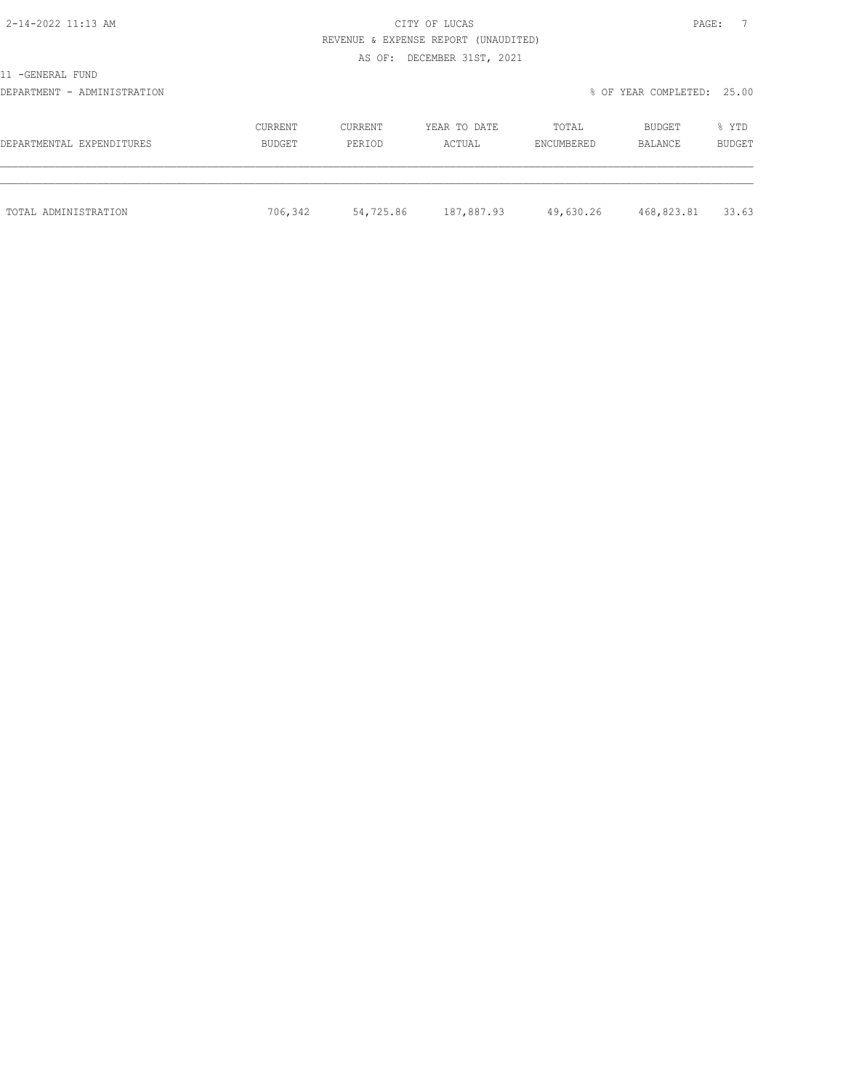| E HIT |  |
|-------|--|

2-14-2022 11:13 AM CITY OF LUCAS REVENUE & EXPENSE REPORT (UNAUDITED)

AS OF: DECEMBER 31ST, 2021

11 -GENERAL FUND

DEPARTMENT - ADMINISTRATION % OF YEAR COMPLETED: 25.00

| DEPARTMENTAL EXPENDITURES | CURRENT | <b>CURRENT</b> | YEAR TO DATE | TOTAL      | BUDGET     | % YTD  |
|---------------------------|---------|----------------|--------------|------------|------------|--------|
|                           | BUDGET  | PERIOD         | ACTUAL       | ENCUMBERED | BALANCE    | BUDGET |
| TOTAL ADMINISTRATION      | 706,342 | 54,725.86      | 187,887.93   | 49,630.26  | 468,823.81 | 33.63  |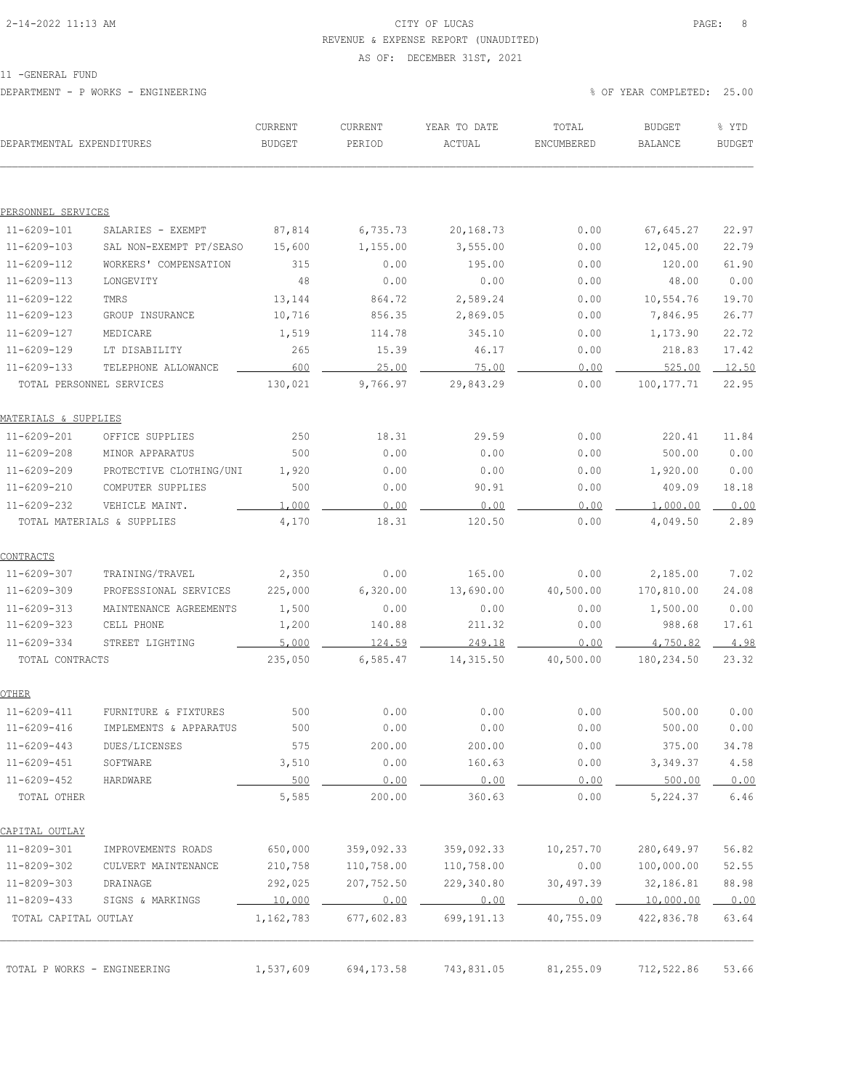# 2-14-2022 11:13 AM CITY OF LUCAS PAGE: 8 REVENUE & EXPENSE REPORT (UNAUDITED)

#### AS OF: DECEMBER 31ST, 2021

11 -GENERAL FUND

DEPARTMENT - P WORKS - ENGINEERING % OF YEAR COMPLETED: 25.00

| DEPARTMENTAL EXPENDITURES        |                            | CURRENT<br><b>BUDGET</b> | CURRENT<br>PERIOD | YEAR TO DATE<br>ACTUAL | TOTAL<br>ENCUMBERED | <b>BUDGET</b><br><b>BALANCE</b> | % YTD<br><b>BUDGET</b> |
|----------------------------------|----------------------------|--------------------------|-------------------|------------------------|---------------------|---------------------------------|------------------------|
|                                  |                            |                          |                   |                        |                     |                                 |                        |
| PERSONNEL SERVICES               |                            |                          |                   |                        |                     |                                 |                        |
| $11 - 6209 - 101$                | SALARIES - EXEMPT          | 87,814                   | 6,735.73          | 20,168.73              | 0.00                | 67,645.27                       | 22.97                  |
| $11 - 6209 - 103$                | SAL NON-EXEMPT PT/SEASO    | 15,600                   | 1,155.00          | 3,555.00               | 0.00                | 12,045.00                       | 22.79                  |
| $11 - 6209 - 112$                | WORKERS' COMPENSATION      | 315                      | 0.00              | 195.00                 | 0.00                | 120.00                          | 61.90                  |
| $11 - 6209 - 113$                | LONGEVITY                  | 48                       | 0.00              | 0.00                   | 0.00                | 48.00                           | 0.00                   |
| $11 - 6209 - 122$                | TMRS                       | 13,144                   | 864.72            | 2,589.24               | 0.00                | 10,554.76                       | 19.70                  |
| $11 - 6209 - 123$                | GROUP INSURANCE            | 10,716                   | 856.35            | 2,869.05               | 0.00                | 7,846.95                        | 26.77                  |
| $11 - 6209 - 127$                | MEDICARE                   | 1,519                    | 114.78            | 345.10                 | 0.00                | 1,173.90                        | 22.72                  |
| $11 - 6209 - 129$                | LT DISABILITY              | 265                      | 15.39             | 46.17                  | 0.00                | 218.83                          | 17.42                  |
| $11 - 6209 - 133$                | TELEPHONE ALLOWANCE        | 600                      | 25.00             | 75.00                  | 0.00                | 525.00                          | 12.50                  |
|                                  | TOTAL PERSONNEL SERVICES   | 130,021                  | 9,766.97          | 29,843.29              | 0.00                | 100, 177.71                     | 22.95                  |
| <u> MATERIALS &amp; SUPPLIES</u> |                            |                          |                   |                        |                     |                                 |                        |
| $11 - 6209 - 201$                | OFFICE SUPPLIES            | 250                      | 18.31             | 29.59                  | 0.00                | 220.41                          | 11.84                  |
| $11 - 6209 - 208$                | MINOR APPARATUS            | 500                      | 0.00              | 0.00                   | 0.00                | 500.00                          | 0.00                   |
| $11 - 6209 - 209$                | PROTECTIVE CLOTHING/UNI    | 1,920                    | 0.00              | 0.00                   | 0.00                | 1,920.00                        | 0.00                   |
| $11 - 6209 - 210$                | COMPUTER SUPPLIES          | 500                      | 0.00              | 90.91                  | 0.00                | 409.09                          | 18.18                  |
| $11 - 6209 - 232$                | VEHICLE MAINT.             | 1,000                    | 0.00              | 0.00                   | 0.00                | 1,000.00                        | 0.00                   |
|                                  | TOTAL MATERIALS & SUPPLIES | 4,170                    | 18.31             | 120.50                 | 0.00                | 4,049.50                        | 2.89                   |
| CONTRACTS                        |                            |                          |                   |                        |                     |                                 |                        |
| $11 - 6209 - 307$                | TRAINING/TRAVEL            | 2,350                    | 0.00              | 165.00                 | 0.00                | 2,185.00                        | 7.02                   |
| 11-6209-309                      | PROFESSIONAL SERVICES      | 225,000                  | 6,320.00          | 13,690.00              | 40,500.00           | 170,810.00                      | 24.08                  |
| $11 - 6209 - 313$                | MAINTENANCE AGREEMENTS     | 1,500                    | 0.00              | 0.00                   | 0.00                | 1,500.00                        | 0.00                   |
| $11 - 6209 - 323$                | CELL PHONE                 | 1,200                    | 140.88            | 211.32                 | 0.00                | 988.68                          | 17.61                  |
| $11 - 6209 - 334$                | STREET LIGHTING            | 5,000                    | 124.59            | 249.18                 | 0.00                | 4,750.82                        | 4.98                   |
| TOTAL CONTRACTS                  |                            | 235,050                  | 6,585.47          | 14,315.50              | 40,500.00           | 180, 234.50                     | 23.32                  |
| OTHER                            |                            |                          |                   |                        |                     |                                 |                        |
| $11 - 6209 - 411$                | FURNITURE & FIXTURES       | 500                      | 0.00              | 0.00                   | 0.00                | 500.00                          | 0.00                   |
| 11-6209-416                      | IMPLEMENTS & APPARATUS     | 500                      | 0.00              | 0.00                   | 0.00                | 500.00                          | 0.00                   |
| $11 - 6209 - 443$                | DUES/LICENSES              | 575                      | 200.00            | 200.00                 | 0.00                | 375.00                          | 34.78                  |
| $11 - 6209 - 451$                | SOFTWARE                   | 3,510                    | 0.00              | 160.63                 | 0.00                | 3,349.37                        | 4.58                   |
| $11 - 6209 - 452$                | HARDWARE                   | 500                      | 0.00              | 0.00                   | 0.00                | 500.00                          | 0.00                   |
| TOTAL OTHER                      |                            | 5,585                    | 200.00            | 360.63                 | 0.00                | 5,224.37                        | 6.46                   |
| CAPITAL OUTLAY                   |                            |                          |                   |                        |                     |                                 |                        |
| 11-8209-301                      | IMPROVEMENTS ROADS         | 650,000                  | 359,092.33        | 359,092.33             | 10,257.70           | 280,649.97                      | 56.82                  |
| 11-8209-302                      | CULVERT MAINTENANCE        | 210,758                  | 110,758.00        | 110,758.00             | 0.00                | 100,000.00                      | 52.55                  |
| $11 - 8209 - 303$                | DRAINAGE                   | 292,025                  | 207,752.50        | 229,340.80             | 30,497.39           | 32,186.81                       | 88.98                  |
| 11-8209-433                      | SIGNS & MARKINGS           | 10,000                   | 0.00              | 0.00                   | 0.00                | 10,000.00                       | 0.00                   |
| TOTAL CAPITAL OUTLAY             |                            | 1,162,783                | 677,602.83        | 699, 191. 13           | 40,755.09           | 422,836.78                      | 63.64                  |
|                                  |                            |                          |                   |                        |                     |                                 |                        |
| TOTAL P WORKS - ENGINEERING      |                            | 1,537,609                | 694, 173.58       | 743,831.05             | 81,255.09           | 712,522.86                      | 53.66                  |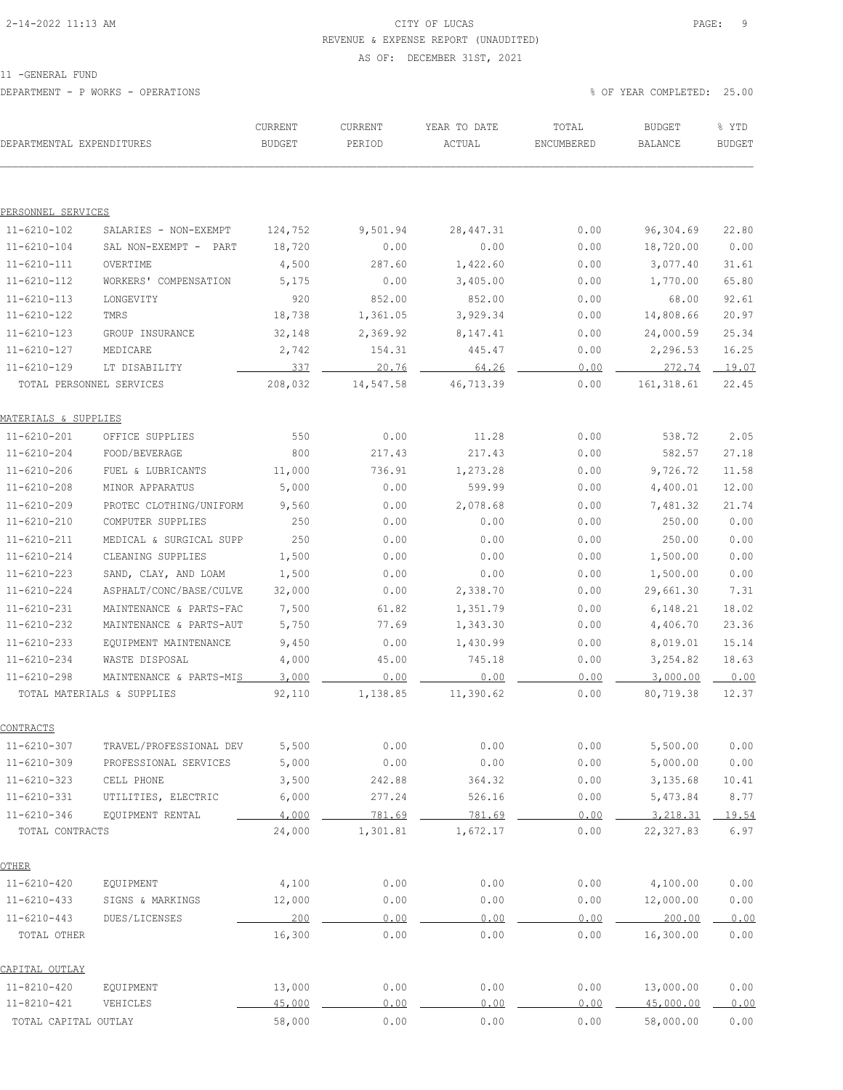### 2-14-2022 11:13 AM CITY OF LUCAS PAGE: 9 REVENUE & EXPENSE REPORT (UNAUDITED)

#### AS OF: DECEMBER 31ST, 2021

11 -GENERAL FUND

DEPARTMENT - P WORKS - OPERATIONS % OF YEAR COMPLETED: 25.00

| DEPARTMENTAL EXPENDITURES |                            | CURRENT<br><b>BUDGET</b> | CURRENT<br>PERIOD | YEAR TO DATE<br>ACTUAL | TOTAL<br>ENCUMBERED | <b>BUDGET</b><br>BALANCE | % YTD<br><b>BUDGET</b> |
|---------------------------|----------------------------|--------------------------|-------------------|------------------------|---------------------|--------------------------|------------------------|
|                           |                            |                          |                   |                        |                     |                          |                        |
| <u>PERSONNEL SERVICES</u> |                            |                          |                   |                        |                     |                          |                        |
| $11 - 6210 - 102$         | SALARIES - NON-EXEMPT      | 124,752                  | 9,501.94          | 28, 447.31             | 0.00                | 96,304.69                | 22.80                  |
| $11 - 6210 - 104$         | SAL NON-EXEMPT - PART      | 18,720                   | 0.00              | 0.00                   | 0.00                | 18,720.00                | 0.00                   |
| $11 - 6210 - 111$         | OVERTIME                   | 4,500                    | 287.60            | 1,422.60               | 0.00                | 3,077.40                 | 31.61                  |
| $11 - 6210 - 112$         | WORKERS' COMPENSATION      | 5,175                    | 0.00              | 3,405.00               | 0.00                | 1,770.00                 | 65.80                  |
| $11 - 6210 - 113$         | LONGEVITY                  | 920                      | 852.00            | 852.00                 | 0.00                | 68.00                    | 92.61                  |
| 11-6210-122               | TMRS                       | 18,738                   | 1,361.05          | 3,929.34               | 0.00                | 14,808.66                | 20.97                  |
| $11 - 6210 - 123$         | GROUP INSURANCE            | 32,148                   | 2,369.92          | 8,147.41               | 0.00                | 24,000.59                | 25.34                  |
| 11-6210-127               | MEDICARE                   | 2,742                    | 154.31            | 445.47                 | 0.00                | 2,296.53                 | 16.25                  |
| $11 - 6210 - 129$         | LT DISABILITY              | 337                      | 20.76             | 64.26                  | 0.00                | 272.74                   | 19.07                  |
|                           | TOTAL PERSONNEL SERVICES   | 208,032                  | 14,547.58         | 46,713.39              | 0.00                | 161, 318.61              | 22.45                  |
| MATERIALS & SUPPLIES      |                            |                          |                   |                        |                     |                          |                        |
| $11 - 6210 - 201$         | OFFICE SUPPLIES            | 550                      | 0.00              | 11.28                  | 0.00                | 538.72                   | 2.05                   |
| 11-6210-204               | FOOD/BEVERAGE              | 800                      | 217.43            | 217.43                 | 0.00                | 582.57                   | 27.18                  |
| $11 - 6210 - 206$         | FUEL & LUBRICANTS          | 11,000                   | 736.91            | 1,273.28               | 0.00                | 9,726.72                 | 11.58                  |
| $11 - 6210 - 208$         | MINOR APPARATUS            | 5,000                    | 0.00              | 599.99                 | 0.00                | 4,400.01                 | 12.00                  |
| $11 - 6210 - 209$         | PROTEC CLOTHING/UNIFORM    | 9,560                    | 0.00              | 2,078.68               | 0.00                | 7,481.32                 | 21.74                  |
| 11-6210-210               | COMPUTER SUPPLIES          | 250                      | 0.00              | 0.00                   | 0.00                | 250.00                   | 0.00                   |
| $11 - 6210 - 211$         | MEDICAL & SURGICAL SUPP    | 250                      | 0.00              | 0.00                   | 0.00                | 250.00                   | 0.00                   |
| $11 - 6210 - 214$         | CLEANING SUPPLIES          | 1,500                    | 0.00              | 0.00                   | 0.00                | 1,500.00                 | 0.00                   |
| $11 - 6210 - 223$         | SAND, CLAY, AND LOAM       | 1,500                    | 0.00              | 0.00                   | 0.00                | 1,500.00                 | 0.00                   |
| 11-6210-224               | ASPHALT/CONC/BASE/CULVE    | 32,000                   | 0.00              | 2,338.70               | 0.00                | 29,661.30                | 7.31                   |
| $11 - 6210 - 231$         | MAINTENANCE & PARTS-FAC    | 7,500                    | 61.82             | 1,351.79               | 0.00                | 6,148.21                 | 18.02                  |
| $11 - 6210 - 232$         | MAINTENANCE & PARTS-AUT    | 5,750                    | 77.69             | 1,343.30               | 0.00                | 4,406.70                 | 23.36                  |
| $11 - 6210 - 233$         | EQUIPMENT MAINTENANCE      | 9,450                    | 0.00              | 1,430.99               | 0.00                | 8,019.01                 | 15.14                  |
| 11-6210-234               | WASTE DISPOSAL             | 4,000                    | 45.00             | 745.18                 | 0.00                | 3,254.82                 | 18.63                  |
| $11 - 6210 - 298$         | MAINTENANCE & PARTS-MIS    | 3,000                    | 0.00              | 0.00                   | 0.00                | 3,000.00                 | 0.00                   |
|                           | TOTAL MATERIALS & SUPPLIES | 92,110                   | 1,138.85          | 11,390.62              | 0.00                | 80,719.38                | 12.37                  |
| CONTRACTS                 |                            |                          |                   |                        |                     |                          |                        |
| $11 - 6210 - 307$         | TRAVEL/PROFESSIONAL DEV    | 5,500                    | 0.00              | 0.00                   | 0.00                | 5,500.00                 | 0.00                   |
| $11 - 6210 - 309$         | PROFESSIONAL SERVICES      | 5,000                    | 0.00              | 0.00                   | 0.00                | 5,000.00                 | 0.00                   |
| $11 - 6210 - 323$         | CELL PHONE                 | 3,500                    | 242.88            | 364.32                 | 0.00                | 3,135.68                 | 10.41                  |
| $11 - 6210 - 331$         | UTILITIES, ELECTRIC        | 6,000                    | 277.24            | 526.16                 | 0.00                | 5,473.84                 | 8.77                   |
| $11 - 6210 - 346$         | EQUIPMENT RENTAL           | 4,000                    | 781.69            | 781.69                 | 0.00                | 3, 218, 31               | 19.54                  |
| TOTAL CONTRACTS           |                            | 24,000                   | 1,301.81          | 1,672.17               | 0.00                | 22,327.83                | 6.97                   |
| <u>OTHER</u>              |                            |                          |                   |                        |                     |                          |                        |
| $11 - 6210 - 420$         | EQUIPMENT                  | 4,100                    | 0.00              | 0.00                   | 0.00                | 4,100.00                 | 0.00                   |
| $11 - 6210 - 433$         | SIGNS & MARKINGS           | 12,000                   | 0.00              | 0.00                   | 0.00                | 12,000.00                | 0.00                   |
| $11 - 6210 - 443$         | DUES/LICENSES              | 200                      | 0.00              | 0.00                   | 0.00                | 200.00                   | 0.00                   |
| TOTAL OTHER               |                            | 16,300                   | 0.00              | 0.00                   | 0.00                | 16,300.00                | 0.00                   |
| <u>CAPITAL OUTLAY</u>     |                            |                          |                   |                        |                     |                          |                        |
| 11-8210-420               | EQUIPMENT                  | 13,000                   | 0.00              | 0.00                   | 0.00                | 13,000.00                | 0.00                   |
| 11-8210-421               | VEHICLES                   | 45,000                   | 0.00              | 0.00                   | 0.00                | 45,000.00                | 0.00                   |
| TOTAL CAPITAL OUTLAY      |                            | 58,000                   | 0.00              | 0.00                   | 0.00                | 58,000.00                | 0.00                   |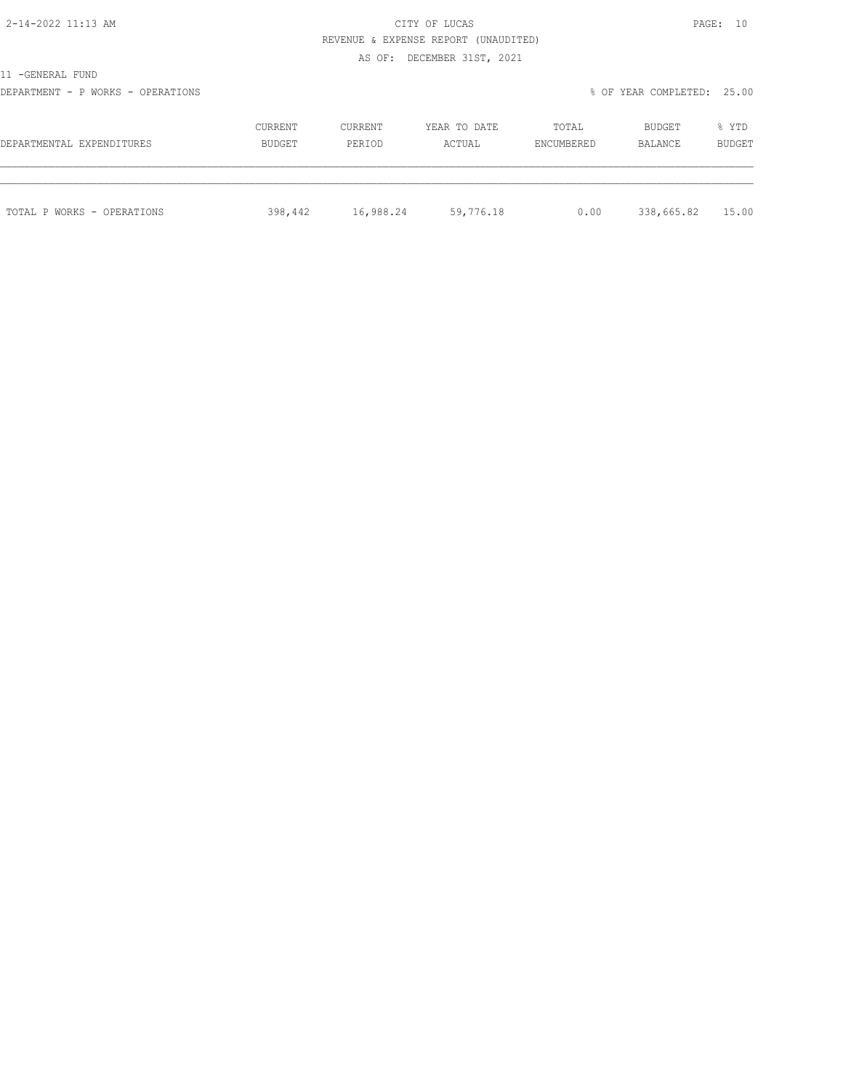# 2-14-2022 11:13 AM CITY OF LUCAS PAGE: 10 REVENUE & EXPENSE REPORT (UNAUDITED)

AS OF: DECEMBER 31ST, 2021

11 -GENERAL FUND

DEPARTMENT - P WORKS - OPERATIONS % OF YEAR COMPLETED: 25.00

| DEPARTMENTAL EXPENDITURES  | CURRENT | CURRENT   | YEAR TO DATE | TOTAL      | BUDGET     | % YTD         |
|----------------------------|---------|-----------|--------------|------------|------------|---------------|
|                            | BUDGET  | PERIOD    | ACTUAL       | ENCUMBERED | BALANCE    | <b>BUDGET</b> |
| TOTAL P WORKS - OPERATIONS | 398,442 | 16,988.24 | 59,776.18    | 0.00       | 338,665.82 | 15.00         |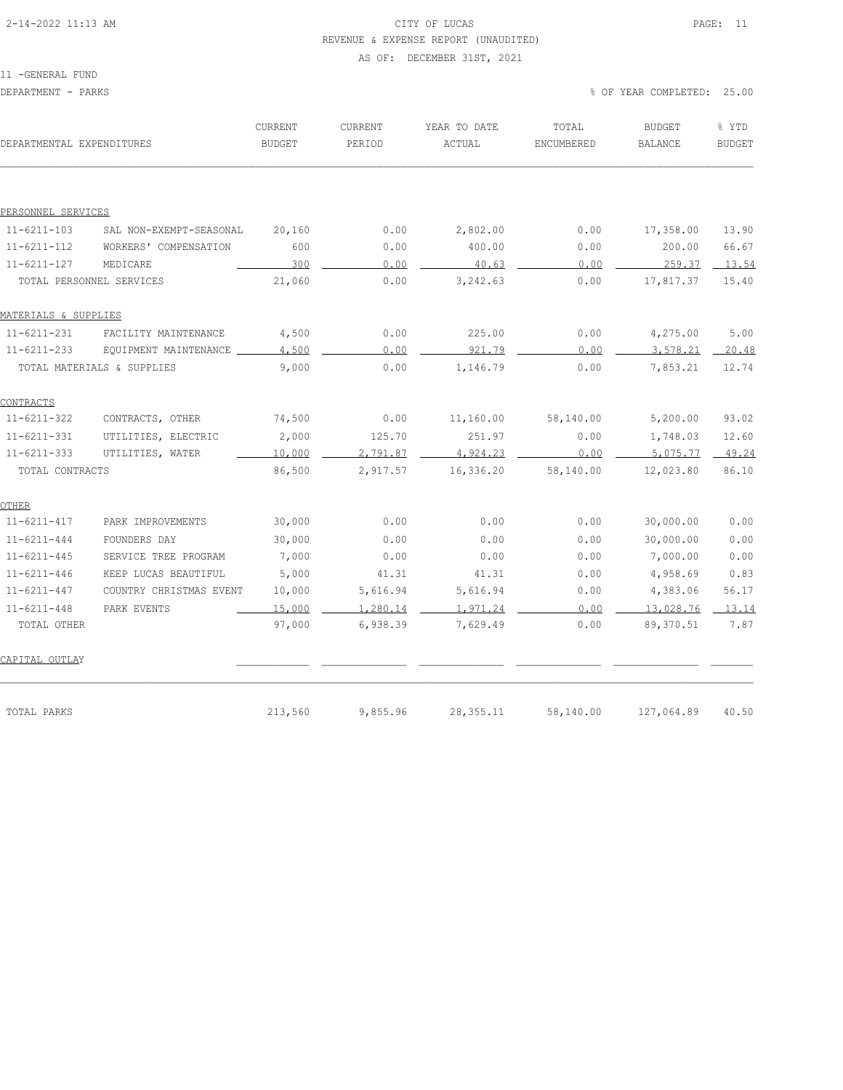# 2-14-2022 11:13 AM CITY OF LUCAS PAGE: 11 REVENUE & EXPENSE REPORT (UNAUDITED)

#### AS OF: DECEMBER 31ST, 2021

| DEPARTMENTAL EXPENDITURES |                            | CURRENT<br><b>BUDGET</b> | CURRENT<br>PERIOD | YEAR TO DATE<br>ACTUAL | TOTAL<br>ENCUMBERED | <b>BUDGET</b><br><b>BALANCE</b> | % YTD<br><b>BUDGET</b> |
|---------------------------|----------------------------|--------------------------|-------------------|------------------------|---------------------|---------------------------------|------------------------|
|                           |                            |                          |                   |                        |                     |                                 |                        |
| PERSONNEL SERVICES        |                            |                          |                   |                        |                     |                                 |                        |
| $11 - 6211 - 103$         | SAL NON-EXEMPT-SEASONAL    | 20,160                   | 0.00              | 2,802.00               | 0.00                | 17,358.00                       | 13.90                  |
| $11 - 6211 - 112$         | WORKERS' COMPENSATION      | 600                      | 0.00              | 400.00                 | 0.00                | 200.00                          | 66.67                  |
| $11 - 6211 - 127$         | MEDICARE                   | 300                      | 0.00              | 40.63                  | 0.00                | 259.37                          | 13.54                  |
|                           | TOTAL PERSONNEL SERVICES   | 21,060                   | 0.00              | 3,242.63               | 0.00                | 17,817.37                       | 15.40                  |
| MATERIALS & SUPPLIES      |                            |                          |                   |                        |                     |                                 |                        |
| $11 - 6211 - 231$         | FACILITY MAINTENANCE       | 4,500                    | 0.00              | 225.00                 | 0.00                | 4,275.00                        | 5.00                   |
| $11 - 6211 - 233$         | EQUIPMENT MAINTENANCE      | 4,500                    | 0.00              | 921.79                 | 0.00                | 3,578.21                        | 20.48                  |
|                           | TOTAL MATERIALS & SUPPLIES | 9,000                    | 0.00              | 1,146.79               | 0.00                | 7,853.21                        | 12.74                  |
| CONTRACTS                 |                            |                          |                   |                        |                     |                                 |                        |
| $11 - 6211 - 322$         | CONTRACTS, OTHER           | 74,500                   | 0.00              | 11,160.00              | 58,140.00           | 5,200.00                        | 93.02                  |
| $11 - 6211 - 331$         | UTILITIES, ELECTRIC        | 2,000                    | 125.70            | 251.97                 | 0.00                | 1,748.03                        | 12.60                  |
| $11 - 6211 - 333$         | UTILITIES, WATER           | 10,000                   | 2,791.87          | 4,924.23               | 0.00                | 5,075.77                        | 49.24                  |
| TOTAL CONTRACTS           |                            | 86,500                   | 2,917.57          | 16,336.20              | 58,140.00           | 12,023.80                       | 86.10                  |
| OTHER                     |                            |                          |                   |                        |                     |                                 |                        |
| $11 - 6211 - 417$         | PARK IMPROVEMENTS          | 30,000                   | 0.00              | 0.00                   | 0.00                | 30,000.00                       | 0.00                   |
| $11 - 6211 - 444$         | FOUNDERS DAY               | 30,000                   | 0.00              | 0.00                   | 0.00                | 30,000.00                       | 0.00                   |
| $11 - 6211 - 445$         | SERVICE TREE PROGRAM       | 7,000                    | 0.00              | 0.00                   | 0.00                | 7,000.00                        | 0.00                   |
| $11 - 6211 - 446$         | KEEP LUCAS BEAUTIFUL       | 5,000                    | 41.31             | 41.31                  | 0.00                | 4,958.69                        | 0.83                   |
| $11 - 6211 - 447$         | COUNTRY CHRISTMAS EVENT    | 10,000                   | 5,616.94          | 5,616.94               | 0.00                | 4,383.06                        | 56.17                  |
| $11 - 6211 - 448$         | PARK EVENTS                | 15,000                   | 1,280.14          | 1,971.24               | 0.00                | 13,028.76                       | 13.14                  |
| TOTAL OTHER               |                            | 97,000                   | 6,938.39          | 7,629.49               | 0.00                | 89,370.51                       | 7.87                   |
| CAPITAL OUTLAY            |                            |                          |                   |                        |                     |                                 |                        |
| TOTAL PARKS               |                            | 213,560                  | 9,855.96          | 28, 355.11             | 58,140.00           | 127,064.89                      | 40.50                  |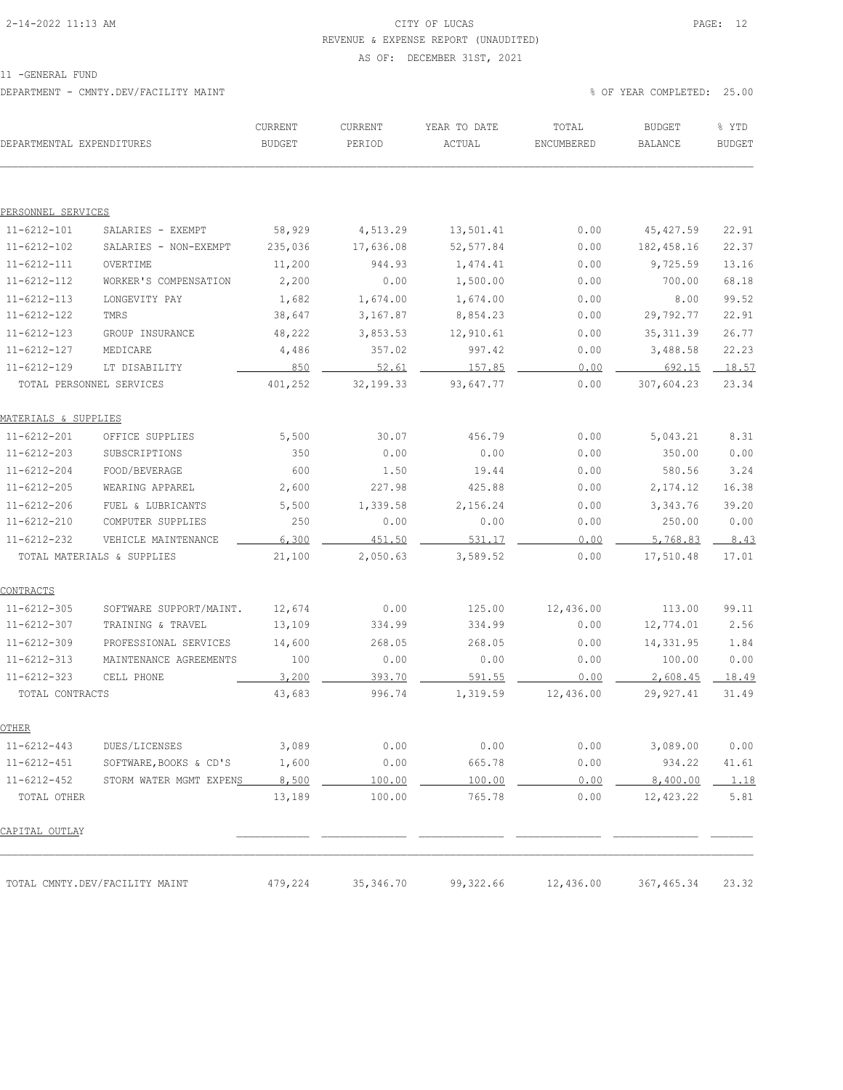# 2-14-2022 11:13 AM CITY OF LUCAS PAGE: 12 REVENUE & EXPENSE REPORT (UNAUDITED)

#### AS OF: DECEMBER 31ST, 2021

11 -GENERAL FUND

DEPARTMENT - CMNTY.DEV/FACILITY MAINT % OF YEAR COMPLETED: 25.00

| DEPARTMENTAL EXPENDITURES |                                | CURRENT<br><b>BUDGET</b> | CURRENT<br>PERIOD | YEAR TO DATE<br>ACTUAL | TOTAL<br>ENCUMBERED | <b>BUDGET</b><br>BALANCE | % YTD<br><b>BUDGET</b> |
|---------------------------|--------------------------------|--------------------------|-------------------|------------------------|---------------------|--------------------------|------------------------|
|                           |                                |                          |                   |                        |                     |                          |                        |
| PERSONNEL SERVICES        |                                |                          |                   |                        |                     |                          |                        |
| $11 - 6212 - 101$         | SALARIES - EXEMPT              | 58,929                   | 4,513.29          | 13,501.41              | 0.00                | 45, 427.59               | 22.91                  |
| $11 - 6212 - 102$         | SALARIES - NON-EXEMPT          | 235,036                  | 17,636.08         | 52, 577.84             | 0.00                | 182,458.16               | 22.37                  |
| $11 - 6212 - 111$         | OVERTIME                       | 11,200                   | 944.93            | 1,474.41               | 0.00                | 9,725.59                 | 13.16                  |
| $11 - 6212 - 112$         | WORKER'S COMPENSATION          | 2,200                    | 0.00              | 1,500.00               | 0.00                | 700.00                   | 68.18                  |
| $11 - 6212 - 113$         | LONGEVITY PAY                  | 1,682                    | 1,674.00          | 1,674.00               | 0.00                | 8.00                     | 99.52                  |
| $11 - 6212 - 122$         | TMRS                           | 38,647                   | 3,167.87          | 8,854.23               | 0.00                | 29,792.77                | 22.91                  |
| $11 - 6212 - 123$         | GROUP INSURANCE                | 48,222                   | 3,853.53          | 12,910.61              | 0.00                | 35, 311.39               | 26.77                  |
| $11 - 6212 - 127$         | MEDICARE                       | 4,486                    | 357.02            | 997.42                 | 0.00                | 3,488.58                 | 22.23                  |
| $11 - 6212 - 129$         | LT DISABILITY                  | 850                      | 52.61             | 157.85                 | 0.00                | 692.15                   | 18.57                  |
| TOTAL PERSONNEL SERVICES  |                                | 401,252                  | 32, 199. 33       | 93,647.77              | 0.00                | 307,604.23               | 23.34                  |
| MATERIALS & SUPPLIES      |                                |                          |                   |                        |                     |                          |                        |
| $11 - 6212 - 201$         | OFFICE SUPPLIES                | 5,500                    | 30.07             | 456.79                 | 0.00                | 5,043.21                 | 8.31                   |
| $11 - 6212 - 203$         | SUBSCRIPTIONS                  | 350                      | 0.00              | 0.00                   | 0.00                | 350.00                   | 0.00                   |
| $11 - 6212 - 204$         | FOOD/BEVERAGE                  | 600                      | 1.50              | 19.44                  | 0.00                | 580.56                   | 3.24                   |
| $11 - 6212 - 205$         | WEARING APPAREL                | 2,600                    | 227.98            | 425.88                 | 0.00                | 2, 174.12                | 16.38                  |
| $11 - 6212 - 206$         | FUEL & LUBRICANTS              | 5,500                    | 1,339.58          | 2,156.24               | 0.00                | 3,343.76                 | 39.20                  |
| $11 - 6212 - 210$         | COMPUTER SUPPLIES              | 250                      | 0.00              | 0.00                   | 0.00                | 250.00                   | 0.00                   |
| $11 - 6212 - 232$         | VEHICLE MAINTENANCE            | 6,300                    | 451.50            | 531.17                 | 0.00                | 5,768.83                 | 8.43                   |
|                           | TOTAL MATERIALS & SUPPLIES     | 21,100                   | 2,050.63          | 3,589.52               | 0.00                | 17,510.48                | 17.01                  |
| <u>CONTRACTS</u>          |                                |                          |                   |                        |                     |                          |                        |
| $11 - 6212 - 305$         | SOFTWARE SUPPORT/MAINT.        | 12,674                   | 0.00              | 125.00                 | 12,436.00           | 113.00                   | 99.11                  |
| $11 - 6212 - 307$         | TRAINING & TRAVEL              | 13,109                   | 334.99            | 334.99                 | 0.00                | 12,774.01                | 2.56                   |
| $11 - 6212 - 309$         | PROFESSIONAL SERVICES          | 14,600                   | 268.05            | 268.05                 | 0.00                | 14,331.95                | 1.84                   |
| $11 - 6212 - 313$         | MAINTENANCE AGREEMENTS         | 100                      | 0.00              | 0.00                   | 0.00                | 100.00                   | 0.00                   |
| $11 - 6212 - 323$         | CELL PHONE                     | 3,200                    | 393.70            | 591.55                 | 0.00                | 2,608.45                 | 18.49                  |
| TOTAL CONTRACTS           |                                | 43,683                   | 996.74            | 1,319.59               | 12,436.00           | 29,927.41                | 31.49                  |
| OTHER                     |                                |                          |                   |                        |                     |                          |                        |
| $11 - 6212 - 443$         | DUES/LICENSES                  | 3,089                    | 0.00              | 0.00                   | 0.00                | 3,089.00                 | 0.00                   |
| $11 - 6212 - 451$         | SOFTWARE, BOOKS & CD'S         | 1,600                    | 0.00              | 665.78                 | 0.00                | 934.22                   | 41.61                  |
| $11 - 6212 - 452$         | STORM WATER MGMT EXPENS        | 8,500                    | 100.00            | 100.00                 | 0.00                | 8,400.00                 | 1.18                   |
| TOTAL OTHER               |                                | 13,189                   | 100.00            | 765.78                 | 0.00                | 12,423.22                | 5.81                   |
| CAPITAL OUTLAY            |                                |                          |                   |                        |                     |                          |                        |
|                           |                                |                          |                   |                        |                     |                          |                        |
|                           | TOTAL CMNTY.DEV/FACILITY MAINT | 479,224                  | 35, 346.70        | 99,322.66              | 12,436.00           | 367,465.34               | 23.32                  |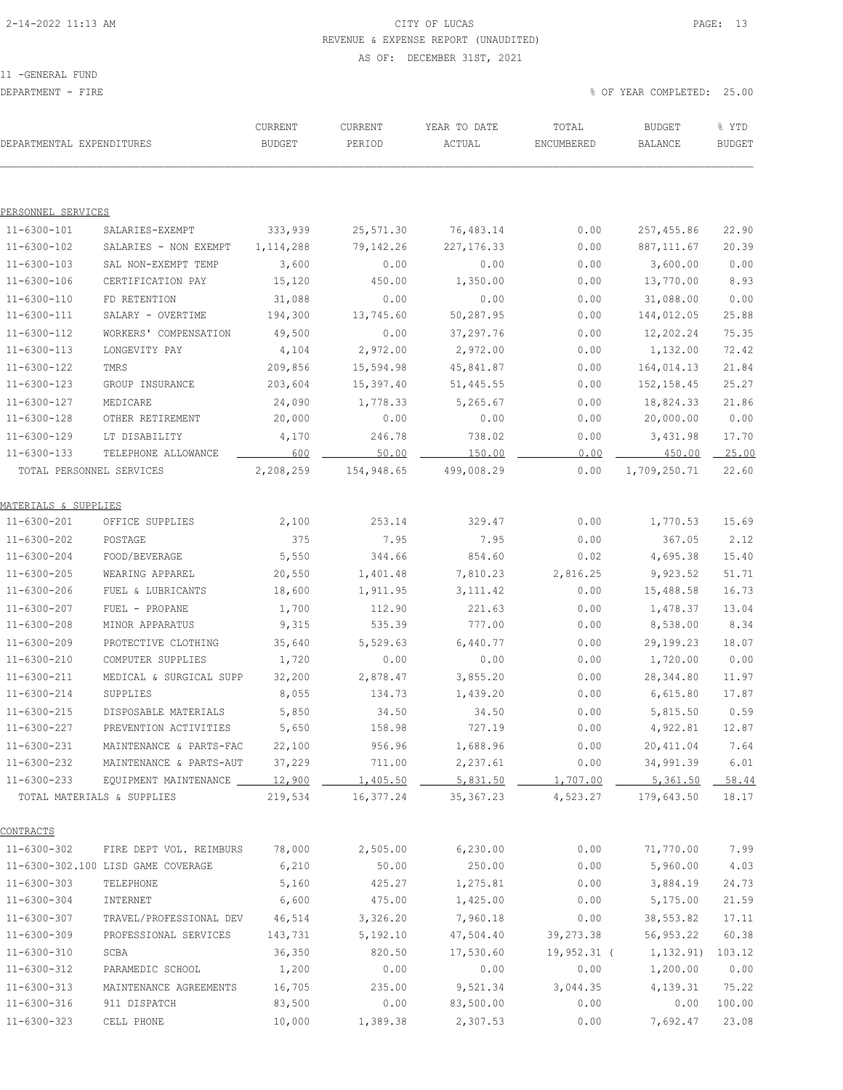# 2-14-2022 11:13 AM CITY OF LUCAS PAGE: 13 REVENUE & EXPENSE REPORT (UNAUDITED)

AS OF: DECEMBER 31ST, 2021

11 -GENERAL FUND

DEPARTMENT - FIRE % OF YEAR COMPLETED: 25.00

| DEPARTMENTAL EXPENDITURES              |                                    | CURRENT<br><b>BUDGET</b> | CURRENT<br>PERIOD | YEAR TO DATE<br>ACTUAL | TOTAL<br>ENCUMBERED | <b>BUDGET</b><br>BALANCE | % YTD<br><b>BUDGET</b> |
|----------------------------------------|------------------------------------|--------------------------|-------------------|------------------------|---------------------|--------------------------|------------------------|
|                                        |                                    |                          |                   |                        |                     |                          |                        |
| PERSONNEL SERVICES                     |                                    |                          |                   |                        |                     |                          |                        |
| $11 - 6300 - 101$                      | SALARIES-EXEMPT                    | 333,939                  | 25,571.30         | 76,483.14              | 0.00                | 257,455.86               | 22.90                  |
| 11-6300-102                            | SALARIES - NON EXEMPT              | 1, 114, 288              | 79,142.26         | 227, 176.33            | 0.00                | 887, 111.67              | 20.39                  |
| $11 - 6300 - 103$                      | SAL NON-EXEMPT TEMP                | 3,600                    | 0.00              | 0.00                   | 0.00                | 3,600.00                 | 0.00                   |
| 11-6300-106                            | CERTIFICATION PAY                  | 15,120                   | 450.00            | 1,350.00               | 0.00                | 13,770.00                | 8.93                   |
| $11 - 6300 - 110$                      | FD RETENTION                       | 31,088                   | 0.00              | 0.00                   | 0.00                | 31,088.00                | 0.00                   |
| 11-6300-111                            | SALARY - OVERTIME                  | 194,300                  | 13,745.60         | 50,287.95              | 0.00                | 144,012.05               | 25.88                  |
| 11-6300-112                            | WORKERS' COMPENSATION              | 49,500                   | 0.00              | 37, 297.76             | 0.00                | 12,202.24                | 75.35                  |
| 11-6300-113                            | LONGEVITY PAY                      | 4,104                    | 2,972.00          | 2,972.00               | 0.00                | 1,132.00                 | 72.42                  |
| $11 - 6300 - 122$                      | TMRS                               | 209,856                  | 15,594.98         | 45,841.87              | 0.00                | 164,014.13               | 21.84                  |
| $11 - 6300 - 123$                      | GROUP INSURANCE                    | 203,604                  | 15,397.40         | 51,445.55              | 0.00                | 152, 158.45              | 25.27                  |
| $11 - 6300 - 127$                      | MEDICARE                           | 24,090                   | 1,778.33          | 5,265.67               | 0.00                | 18,824.33                | 21.86                  |
| $11 - 6300 - 128$                      | OTHER RETIREMENT                   | 20,000                   | 0.00              | 0.00                   | 0.00                | 20,000.00                | 0.00                   |
| $11 - 6300 - 129$                      | LT DISABILITY                      | 4,170                    | 246.78            | 738.02                 | 0.00                | 3,431.98                 | 17.70                  |
| $11 - 6300 - 133$                      | TELEPHONE ALLOWANCE                | 600                      | 50.00             | 150.00                 | 0.00                | 450.00                   | $-25.00$               |
| TOTAL PERSONNEL SERVICES               |                                    | 2,208,259                | 154,948.65        | 499,008.29             | 0.00                | 1,709,250.71             | 22.60                  |
|                                        |                                    |                          |                   |                        |                     |                          |                        |
| MATERIALS & SUPPLIES                   |                                    |                          |                   |                        |                     |                          |                        |
| 11-6300-201                            | OFFICE SUPPLIES                    | 2,100                    | 253.14            | 329.47                 | 0.00                | 1,770.53                 | 15.69                  |
| 11-6300-202                            | POSTAGE                            | 375                      | 7.95              | 7.95                   | 0.00                | 367.05                   | 2.12                   |
| $11 - 6300 - 204$                      | FOOD/BEVERAGE                      | 5,550                    | 344.66            | 854.60                 | 0.02                | 4,695.38                 | 15.40                  |
| $11 - 6300 - 205$                      | WEARING APPAREL                    | 20,550                   | 1,401.48          | 7,810.23               | 2,816.25            | 9,923.52                 | 51.71                  |
| 11-6300-206                            | FUEL & LUBRICANTS                  | 18,600                   | 1,911.95          | 3, 111.42              | 0.00                | 15,488.58                | 16.73                  |
| $11 - 6300 - 207$                      | FUEL - PROPANE                     | 1,700                    | 112.90            | 221.63                 | 0.00                | 1,478.37                 | 13.04                  |
| $11 - 6300 - 208$                      | MINOR APPARATUS                    | 9,315                    | 535.39            | 777.00                 | 0.00                | 8,538.00                 | 8.34                   |
| $11 - 6300 - 209$                      | PROTECTIVE CLOTHING                | 35,640                   | 5,529.63          | 6,440.77               | 0.00                | 29,199.23                | 18.07                  |
| 11-6300-210                            | COMPUTER SUPPLIES                  | 1,720                    | 0.00              | 0.00                   | 0.00                | 1,720.00                 | 0.00                   |
| $11 - 6300 - 211$                      | MEDICAL & SURGICAL SUPP            | 32,200                   | 2,878.47          | 3,855.20               | 0.00                | 28, 344.80               | 11.97                  |
| $11 - 6300 - 214$                      | SUPPLIES                           | 8,055                    | 134.73            | 1,439.20               | 0.00                | 6,615.80                 | 17.87                  |
| $11 - 6300 - 215$                      | DISPOSABLE MATERIALS               | 5,850                    | 34.50             | 34.50                  | 0.00                | 5,815.50                 | 0.59                   |
| $11 - 6300 - 227$                      | PREVENTION ACTIVITIES              | 5,650                    | 158.98            | 727.19                 | 0.00                | 4,922.81                 | 12.87                  |
| 11-6300-231                            | MAINTENANCE & PARTS-FAC            | 22,100                   | 956.96            | 1,688.96               | 0.00                | 20,411.04                | 7.64                   |
| $11 - 6300 - 232$                      | MAINTENANCE & PARTS-AUT            | 37,229                   | 711.00            | 2,237.61               | 0.00                | 34,991.39                | 6.01                   |
| $11 - 6300 - 233$                      | EQUIPMENT MAINTENANCE              | 12,900                   | 1,405.50          | 5,831.50               | 1,707.00            | 5,361.50                 | 58.44                  |
|                                        | TOTAL MATERIALS & SUPPLIES         | 219,534                  | 16,377.24         | 35, 367.23             | 4,523.27            | 179,643.50               | 18.17                  |
|                                        |                                    |                          |                   |                        |                     |                          |                        |
| CONTRACTS                              |                                    |                          |                   |                        |                     |                          |                        |
| $11 - 6300 - 302$                      | FIRE DEPT VOL. REIMBURS            | 78,000                   | 2,505.00          | 6,230.00<br>250.00     | 0.00<br>0.00        | 71,770.00                | 7.99                   |
|                                        | 11-6300-302.100 LISD GAME COVERAGE | 6,210                    | 50.00             |                        |                     | 5,960.00                 | 4.03                   |
| $11 - 6300 - 303$                      | TELEPHONE                          | 5,160                    | 425.27            | 1,275.81               | 0.00                | 3,884.19<br>5,175.00     | 24.73                  |
| $11 - 6300 - 304$                      | INTERNET                           | 6,600                    | 475.00            | 1,425.00               | 0.00                |                          | 21.59                  |
| $11 - 6300 - 307$                      | TRAVEL/PROFESSIONAL DEV            | 46,514                   | 3,326.20          | 7,960.18               | 0.00                | 38,553.82                | 17.11                  |
| 11-6300-309                            | PROFESSIONAL SERVICES              | 143,731                  | 5,192.10          | 47,504.40              | 39,273.38           | 56,953.22                | 60.38                  |
| 11-6300-310                            | SCBA                               | 36,350                   | 820.50            | 17,530.60              | $19,952.31$ (       | 1,132.91)                | 103.12                 |
| 11-6300-312                            | PARAMEDIC SCHOOL                   | 1,200                    | 0.00              | 0.00                   | 0.00                | 1,200.00                 | 0.00                   |
| $11 - 6300 - 313$<br>$11 - 6300 - 316$ | MAINTENANCE AGREEMENTS             | 16,705                   | 235.00            | 9,521.34<br>83,500.00  | 3,044.35<br>0.00    | 4,139.31<br>0.00         | 75.22<br>100.00        |
|                                        | 911 DISPATCH                       | 83,500                   | 0.00              |                        |                     |                          |                        |
| $11 - 6300 - 323$                      | CELL PHONE                         | 10,000                   | 1,389.38          | 2,307.53               | 0.00                | 7,692.47                 | 23.08                  |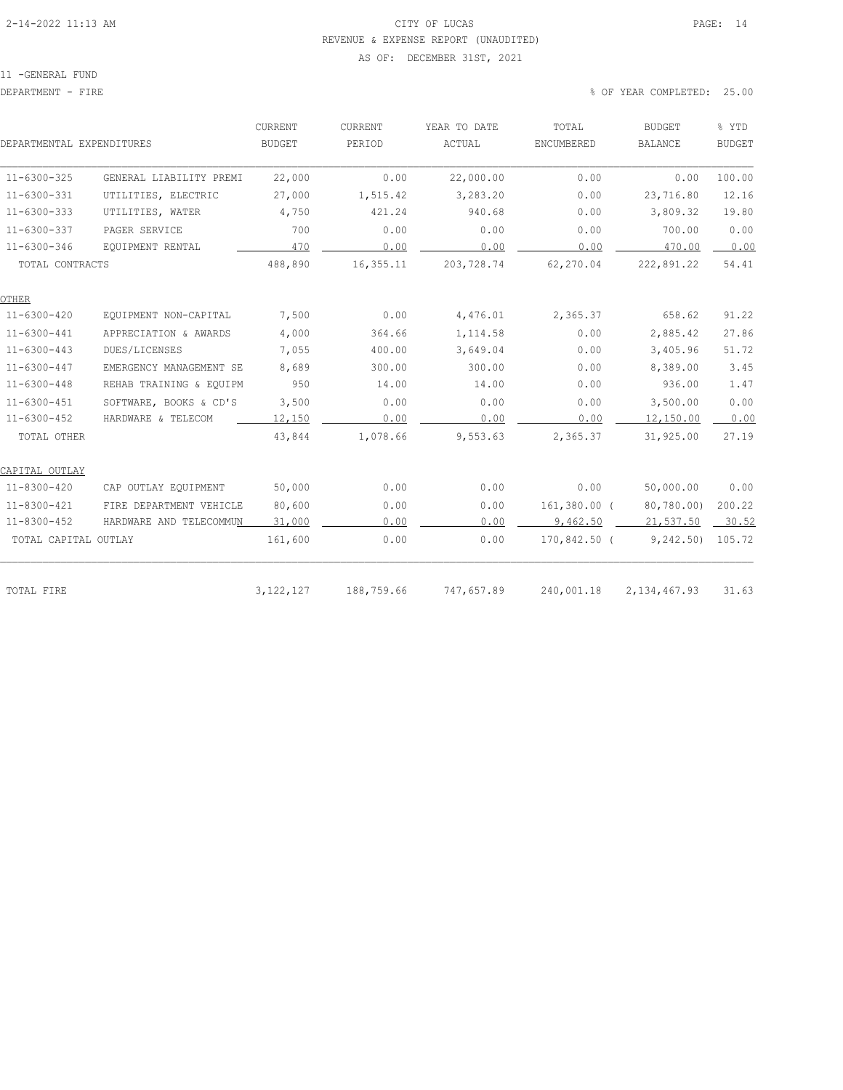# 2-14-2022 11:13 AM CITY OF LUCAS PAGE: 14 REVENUE & EXPENSE REPORT (UNAUDITED)

#### AS OF: DECEMBER 31ST, 2021

| DEPARTMENTAL EXPENDITURES |                         | CURRENT<br><b>BUDGET</b> | CURRENT<br>PERIOD | YEAR TO DATE<br>ACTUAL | TOTAL<br>ENCUMBERED | <b>BUDGET</b><br><b>BALANCE</b> | % YTD<br><b>BUDGET</b> |
|---------------------------|-------------------------|--------------------------|-------------------|------------------------|---------------------|---------------------------------|------------------------|
| $11 - 6300 - 325$         | GENERAL LIABILITY PREMI | 22,000                   | 0.00              | 22,000.00              | 0.00                | 0.00                            | 100.00                 |
| $11 - 6300 - 331$         | UTILITIES, ELECTRIC     | 27,000                   | 1,515.42          | 3,283.20               | 0.00                | 23,716.80                       | 12.16                  |
| $11 - 6300 - 333$         | UTILITIES, WATER        | 4,750                    | 421.24            | 940.68                 | 0.00                | 3,809.32                        | 19.80                  |
| $11 - 6300 - 337$         | PAGER SERVICE           | 700                      | 0.00              | 0.00                   | 0.00                | 700.00                          | 0.00                   |
| $11 - 6300 - 346$         | EQUIPMENT RENTAL        | 470                      | 0.00              | 0.00                   | 0.00                | 470.00                          | 0.00                   |
| TOTAL CONTRACTS           |                         | 488,890                  | 16,355.11         | 203,728.74             | 62,270.04           | 222,891.22                      | 54.41                  |
| OTHER                     |                         |                          |                   |                        |                     |                                 |                        |
| $11 - 6300 - 420$         | EQUIPMENT NON-CAPITAL   | 7,500                    | 0.00              | 4,476.01               | 2,365.37            | 658.62                          | 91.22                  |
| $11 - 6300 - 441$         | APPRECIATION & AWARDS   | 4,000                    | 364.66            | 1,114.58               | 0.00                | 2,885.42                        | 27.86                  |
| $11 - 6300 - 443$         | DUES/LICENSES           | 7,055                    | 400.00            | 3,649.04               | 0.00                | 3,405.96                        | 51.72                  |
| $11 - 6300 - 447$         | EMERGENCY MANAGEMENT SE | 8,689                    | 300.00            | 300.00                 | 0.00                | 8,389.00                        | 3.45                   |
| $11 - 6300 - 448$         | REHAB TRAINING & EQUIPM | 950                      | 14.00             | 14.00                  | 0.00                | 936.00                          | 1.47                   |
| $11 - 6300 - 451$         | SOFTWARE, BOOKS & CD'S  | 3,500                    | 0.00              | 0.00                   | 0.00                | 3,500.00                        | 0.00                   |
| $11 - 6300 - 452$         | HARDWARE & TELECOM      | 12,150                   | 0.00              | 0.00                   | 0.00                | 12,150.00                       | 0.00                   |
| TOTAL OTHER               |                         | 43,844                   | 1,078.66          | 9,553.63               | 2,365.37            | 31,925.00                       | 27.19                  |
| CAPITAL OUTLAY            |                         |                          |                   |                        |                     |                                 |                        |
| $11 - 8300 - 420$         | CAP OUTLAY EQUIPMENT    | 50,000                   | 0.00              | 0.00                   | 0.00                | 50,000.00                       | 0.00                   |
| $11 - 8300 - 421$         | FIRE DEPARTMENT VEHICLE | 80,600                   | 0.00              | 0.00                   | $161,380.00$ (      | 80,780.00)                      | 200.22                 |
| $11 - 8300 - 452$         | HARDWARE AND TELECOMMUN | 31,000                   | 0.00              | 0.00                   | 9.462.50            | 21,537.50                       | 30.52                  |
| TOTAL CAPITAL OUTLAY      |                         | 161,600                  | 0.00              | 0.00                   | 170,842.50 (        | 9, 242.50                       | 105.72                 |
| TOTAL FIRE                |                         | 3, 122, 127              | 188,759.66        | 747,657.89             | 240,001.18          | 2, 134, 467.93                  | 31.63                  |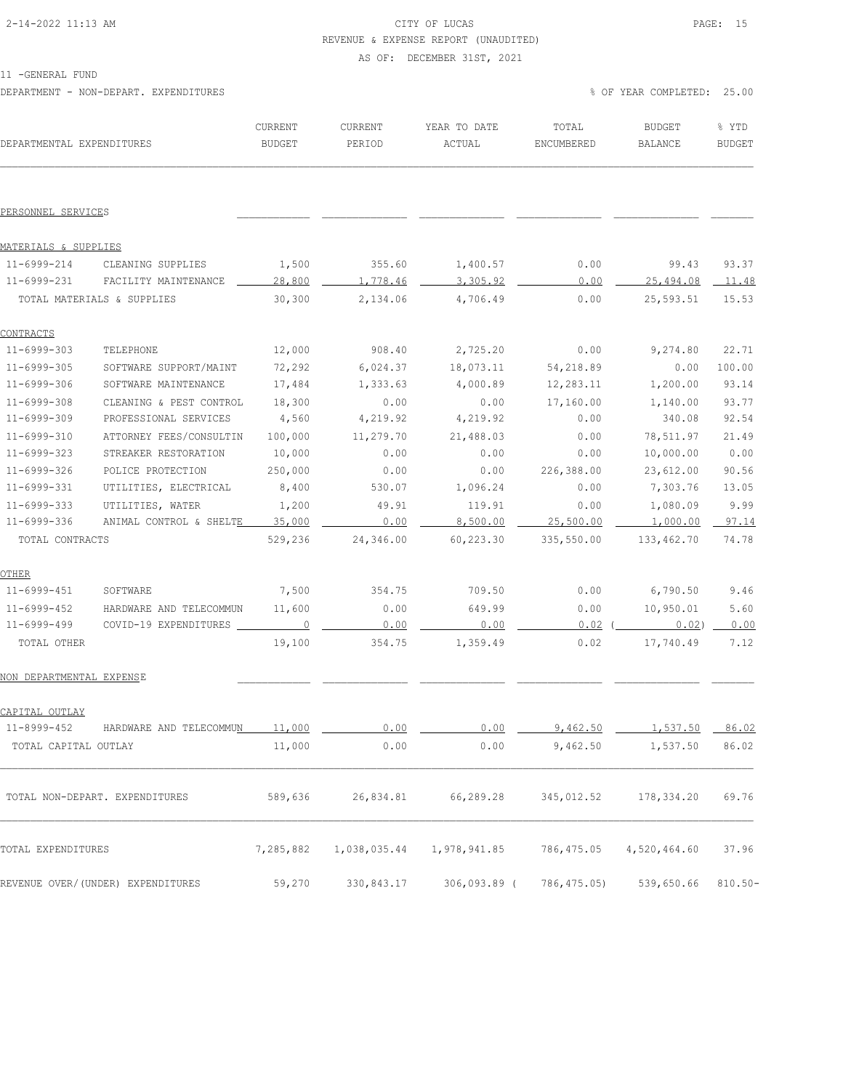### 2-14-2022 11:13 AM CITY OF LUCAS PAGE: 15 REVENUE & EXPENSE REPORT (UNAUDITED)

AS OF: DECEMBER 31ST, 2021

11 -GENERAL FUND

DEPARTMENT - NON-DEPART. EXPENDITURES WELL ASSESSED TO A COMPLETED: 25.00

| DEPARTMENTAL EXPENDITURES |                                    | CURRENT<br>BUDGET | CURRENT<br>PERIOD | YEAR TO DATE<br>ACTUAL                            | TOTAL<br>ENCUMBERED     | <b>BUDGET</b><br>BALANCE | % YTD<br><b>BUDGET</b> |
|---------------------------|------------------------------------|-------------------|-------------------|---------------------------------------------------|-------------------------|--------------------------|------------------------|
| PERSONNEL SERVICES        |                                    |                   |                   |                                                   |                         |                          |                        |
| MATERIALS & SUPPLIES      |                                    |                   |                   |                                                   |                         |                          |                        |
| 11-6999-214               | CLEANING SUPPLIES                  | 1,500             | 355.60            | 1,400.57                                          | 0.00                    | 99.43                    | 93.37                  |
| 11-6999-231               | FACILITY MAINTENANCE               | 28,800            | 1,778.46          | 3,305.92                                          | 0.00                    | 25,494.08 11.48          |                        |
|                           | TOTAL MATERIALS & SUPPLIES         | 30,300            | 2,134.06          | 4,706.49                                          | 0.00                    | 25,593.51                | 15.53                  |
| <b>CONTRACTS</b>          |                                    |                   |                   |                                                   |                         |                          |                        |
| 11-6999-303               | TELEPHONE                          | 12,000            | 908.40            | 2,725.20                                          | 0.00                    | 9,274.80                 | 22.71                  |
| 11-6999-305               | SOFTWARE SUPPORT/MAINT             | 72,292            | 6,024.37          | 18,073.11                                         | 54,218.89               | 0.00                     | 100.00                 |
| 11-6999-306               | SOFTWARE MAINTENANCE               | 17,484            | 1,333.63          | 4,000.89                                          | 12,283.11               | 1,200.00                 | 93.14                  |
| 11-6999-308               | CLEANING & PEST CONTROL            | 18,300            | 0.00              | 0.00                                              | 17,160.00               | 1,140.00                 | 93.77                  |
| 11-6999-309               | PROFESSIONAL SERVICES              | 4,560             | 4,219.92          | 4,219.92                                          | 0.00                    | 340.08                   | 92.54                  |
| 11-6999-310               | ATTORNEY FEES/CONSULTIN            | 100,000           | 11,279.70         | 21,488.03                                         | 0.00                    | 78,511.97                | 21.49                  |
| 11-6999-323               | STREAKER RESTORATION               | 10,000            | 0.00              | 0.00                                              | 0.00                    | 10,000.00                | 0.00                   |
| 11-6999-326               | POLICE PROTECTION                  | 250,000           | 0.00              | 0.00                                              | 226,388.00              | 23,612.00                | 90.56                  |
| 11-6999-331               | UTILITIES, ELECTRICAL              | 8,400             | 530.07            | 1,096.24                                          | 0.00                    | 7,303.76                 | 13.05                  |
| 11-6999-333               | UTILITIES, WATER                   | 1,200             | 49.91             | 119.91                                            | 0.00                    | 1,080.09                 | 9.99                   |
| 11-6999-336               | ANIMAL CONTROL & SHELTE            | 35,000            | 0.00              | 8,500.00                                          | 25,500.00               | $1,000.00$ 97.14         |                        |
| TOTAL CONTRACTS           |                                    | 529,236           | 24,346.00         | 60,223.30                                         | 335,550.00              | 133,462.70               | 74.78                  |
| OTHER                     |                                    |                   |                   |                                                   |                         |                          |                        |
| 11-6999-451               | SOFTWARE                           | 7,500             | 354.75            | 709.50                                            | 0.00                    | 6,790.50                 | 9.46                   |
| 11-6999-452               | HARDWARE AND TELECOMMUN            | 11,600            | 0.00              | 649.99                                            | 0.00                    | 10,950.01                | 5.60                   |
| 11-6999-499               | COVID-19 EXPENDITURES ____         | $\overline{0}$    | 0.00              | 0.00                                              | 0.02                    | 0.02)                    | 0.00                   |
| TOTAL OTHER               |                                    | 19,100            | 354.75            | 1,359.49                                          | 0.02                    | 17,740.49                | 7.12                   |
| NON DEPARTMENTAL EXPENSE  |                                    |                   |                   |                                                   |                         |                          |                        |
| CAPITAL OUTLAY            |                                    |                   |                   |                                                   |                         |                          |                        |
| $11 - 8999 - 452$         | HARDWARE AND TELECOMMU <u>N</u>    | 11.000            | 0.00              | 0.00                                              | $Q$ $A$ $G$ $Q$ $R$ $R$ | 1,537.50                 | 86.02                  |
| TOTAL CAPITAL OUTLAY      |                                    | 11,000            | 0.00              | 0.00                                              | 9,462.50                | 1,537.50                 | 86.02                  |
|                           | TOTAL NON-DEPART. EXPENDITURES     |                   |                   | 589,636 26,834.81 66,289.28 345,012.52 178,334.20 |                         |                          | 69.76                  |
| TOTAL EXPENDITURES        |                                    | 7,285,882         | 1,038,035.44      | 1,978,941.85                                      | 786,475.05              | 4,520,464.60             | 37.96                  |
|                           | REVENUE OVER/ (UNDER) EXPENDITURES | 59,270            | 330,843.17        | 306,093.89 (                                      | 786,475.05)             | 539,650.66               | $810.50 -$             |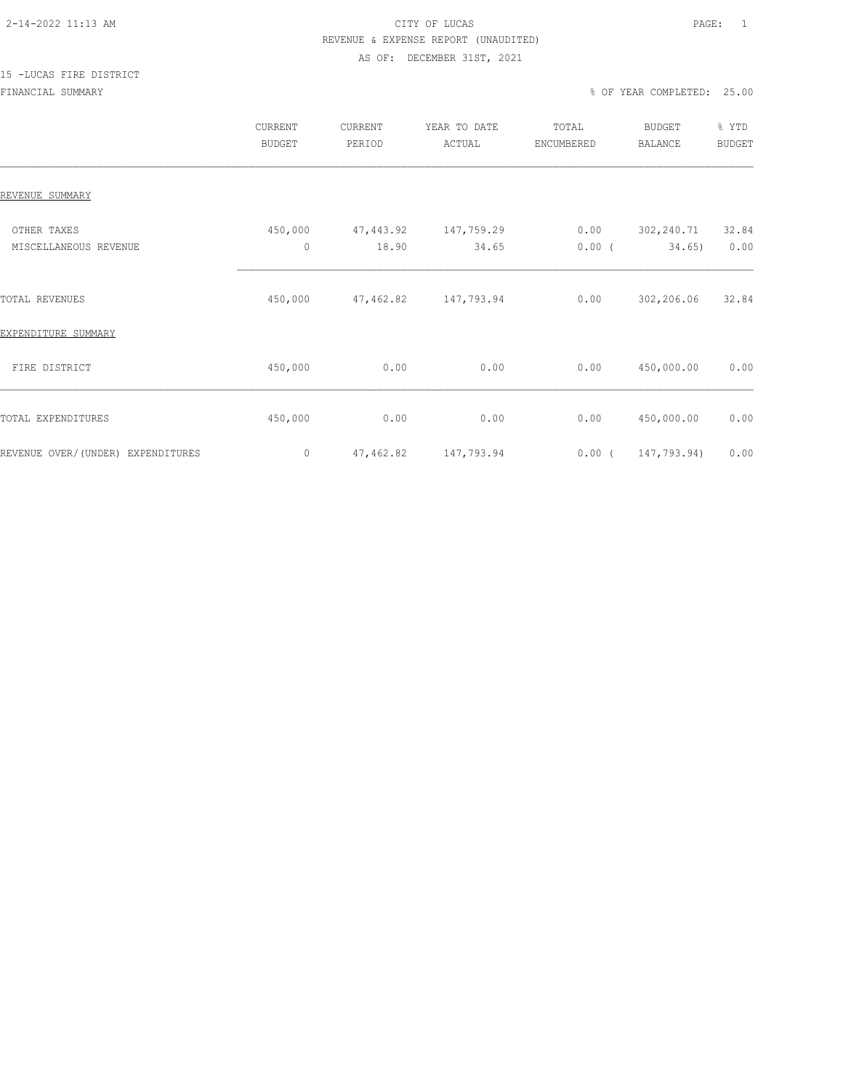# 2-14-2022 11:13 AM CITY OF LUCAS PAGE: 1 REVENUE & EXPENSE REPORT (UNAUDITED)

#### AS OF: DECEMBER 31ST, 2021

# 15 -LUCAS FIRE DISTRICT

|                                      | CURRENT<br><b>BUDGET</b> | CURRENT<br>PERIOD  | YEAR TO DATE<br>ACTUAL | TOTAL<br>ENCUMBERED | BUDGET<br><b>BALANCE</b> | % YTD<br><b>BUDGET</b> |
|--------------------------------------|--------------------------|--------------------|------------------------|---------------------|--------------------------|------------------------|
| REVENUE SUMMARY                      |                          |                    |                        |                     |                          |                        |
| OTHER TAXES<br>MISCELLANEOUS REVENUE | 450,000<br>$\mathbb O$   | 47,443.92<br>18.90 | 147,759.29<br>34.65    | 0.00<br>$0.00$ (    | 302,240.71<br>34.65)     | 32.84<br>0.00          |
| TOTAL REVENUES                       | 450,000                  | 47,462.82          | 147,793.94             | 0.00                | 302,206.06               | 32.84                  |
| EXPENDITURE SUMMARY                  |                          |                    |                        |                     |                          |                        |
| FIRE DISTRICT                        | 450,000                  | 0.00               | 0.00                   | 0.00                | 450,000.00               | 0.00                   |
| TOTAL EXPENDITURES                   | 450,000                  | 0.00               | 0.00                   | 0.00                | 450,000.00               | 0.00                   |
| REVENUE OVER/(UNDER) EXPENDITURES    | 0                        | 47, 462.82         | 147,793.94             | $0.00$ (            | 147,793.94)              | 0.00                   |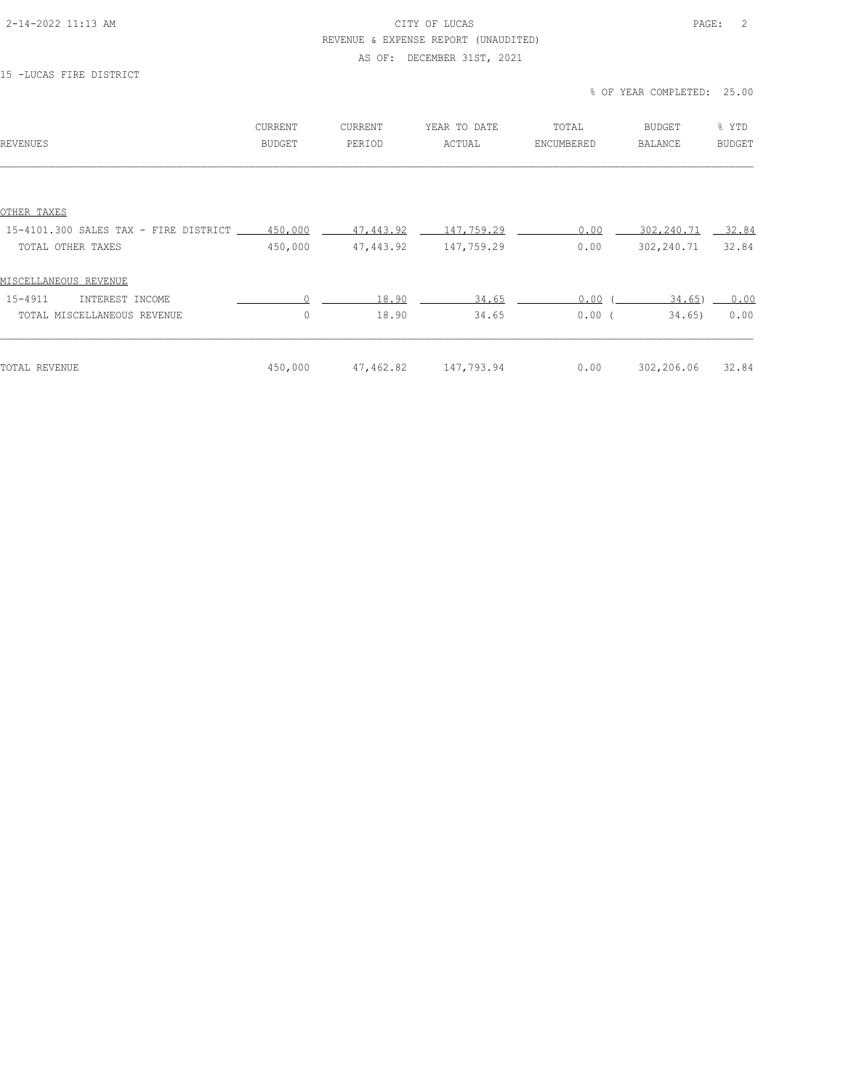### 2-14-2022 11:13 AM CITY OF LUCAS PAGE: 2 REVENUE & EXPENSE REPORT (UNAUDITED)

# AS OF: DECEMBER 31ST, 2021

#### 15 -LUCAS FIRE DISTRICT

#### % OF YEAR COMPLETED: 25.00

| REVENUES                                      | CURRENT<br><b>BUDGET</b> | CURRENT<br>PERIOD | YEAR TO DATE<br>ACTUAL                 | TOTAL<br>ENCUMBERED | BUDGET<br>BALANCE  | % YTD<br><b>BUDGET</b> |
|-----------------------------------------------|--------------------------|-------------------|----------------------------------------|---------------------|--------------------|------------------------|
|                                               |                          |                   |                                        |                     |                    |                        |
| OTHER TAXES                                   |                          |                   |                                        |                     |                    |                        |
| 15-4101.300 SALES TAX - FIRE DISTRICT 450,000 |                          | 47,443.92         | $\underline{\hspace{1.5cm}147,759.29}$ | 0.00                | 302, 240. 71 32.84 |                        |
| TOTAL OTHER TAXES                             | 450,000                  | 47,443.92         | 147,759.29                             | 0.00                | 302,240.71         | 32.84                  |
| MISCELLANEOUS REVENUE                         |                          |                   |                                        |                     |                    |                        |
| 15-4911<br>INTEREST INCOME                    |                          | 18.90             | 34.65                                  | 0.00                | 34.65)             | 0.00                   |
| TOTAL MISCELLANEOUS REVENUE                   | $\circ$                  | 18.90             | 34.65                                  | $0.00$ (            | 34,65)             | 0.00                   |
|                                               |                          |                   |                                        |                     |                    | 32.84                  |
| TOTAL REVENUE                                 | 450,000                  | 47,462.82         | 147,793.94                             | 0.00                | 302,206.06         |                        |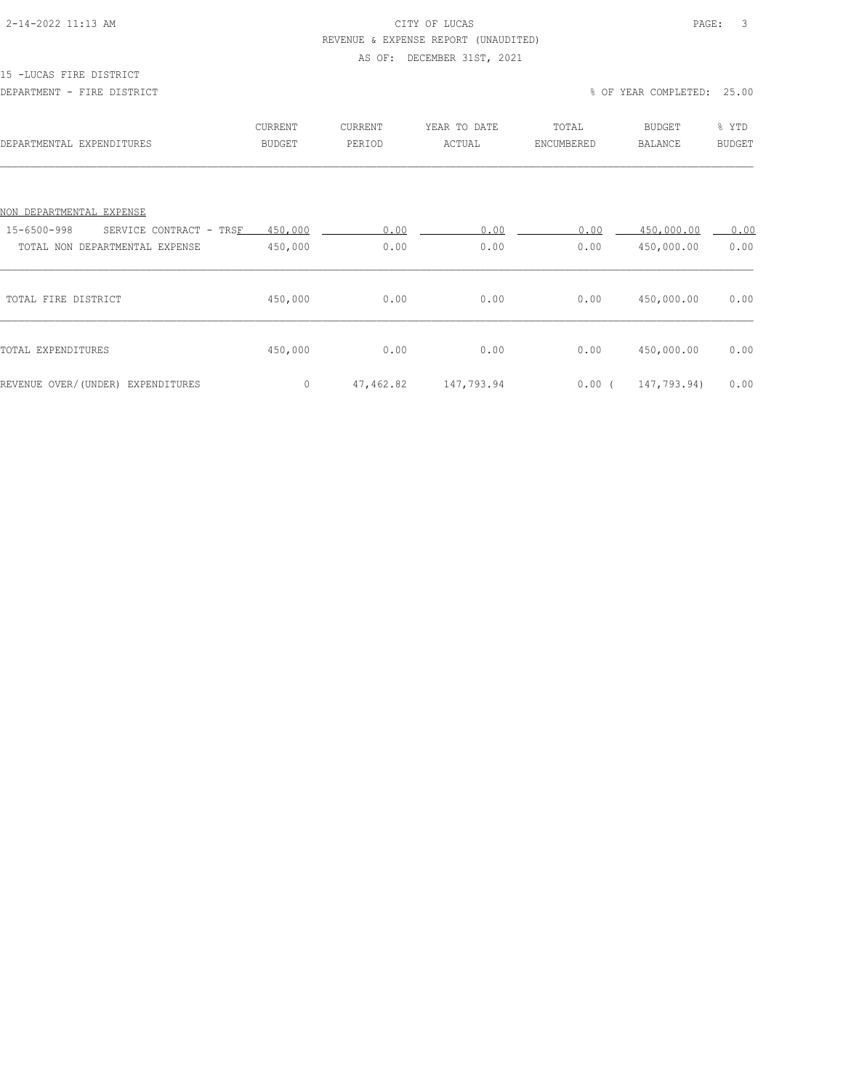### 2-14-2022 11:13 AM CITY OF LUCAS PAGE: 3 REVENUE & EXPENSE REPORT (UNAUDITED)

# AS OF: DECEMBER 31ST, 2021

#### 15 -LUCAS FIRE DISTRICT

#### DEPARTMENT - FIRE DISTRICT % OF YEAR COMPLETED: 25.00

| DEPARTMENTAL EXPENDITURES              | CURRENT<br><b>BUDGET</b> | CURRENT<br>PERIOD | YEAR TO DATE<br>ACTUAL | TOTAL<br>ENCUMBERED | <b>BUDGET</b><br><b>BALANCE</b> | % YTD<br><b>BUDGET</b> |
|----------------------------------------|--------------------------|-------------------|------------------------|---------------------|---------------------------------|------------------------|
|                                        |                          |                   |                        |                     |                                 |                        |
| NON DEPARTMENTAL EXPENSE               |                          |                   |                        |                     |                                 |                        |
| 15-6500-998<br>SERVICE CONTRACT - TRSF | 450,000                  | 0.00              | 0.00                   | 0.00                | 450,000.00                      | 0.00                   |
| TOTAL NON DEPARTMENTAL EXPENSE         | 450,000                  | 0.00              | 0.00                   | 0.00                | 450,000.00                      | 0.00                   |
| TOTAL FIRE DISTRICT                    | 450,000                  | 0.00              | 0.00                   | 0.00                | 450,000.00                      | 0.00                   |
| TOTAL EXPENDITURES                     | 450,000                  | 0.00              | 0.00                   | 0.00                | 450,000.00                      | 0.00                   |
| REVENUE OVER/(UNDER) EXPENDITURES      | $\circ$                  | 47,462.82         | 147,793.94             | $0.00$ (            | 147,793.94)                     | 0.00                   |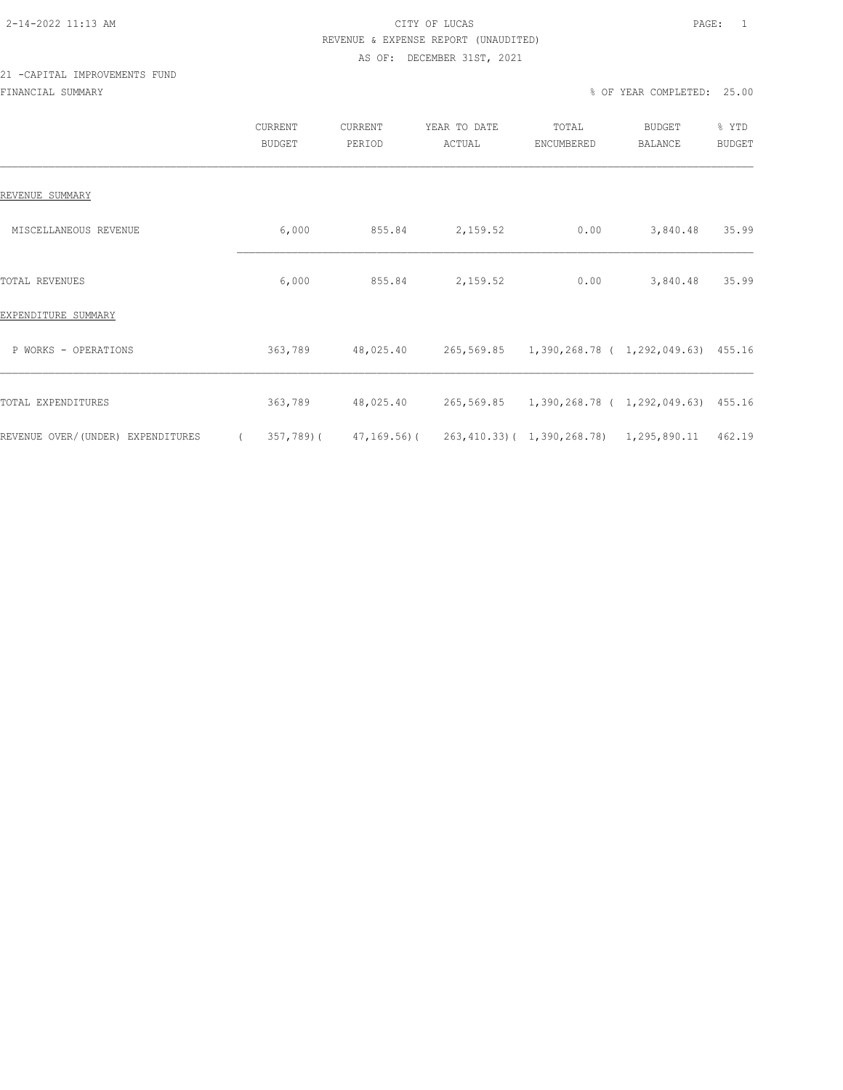# 2-14-2022 11:13 AM CITY OF LUCAS PAGE: 1 REVENUE & EXPENSE REPORT (UNAUDITED)

#### AS OF: DECEMBER 31ST, 2021

# 21 -CAPITAL IMPROVEMENTS FUND FINANCIAL SUMMARY % OF YEAR COMPLETED: 25.00

|                                   |          | <b>CURRENT</b><br><b>BUDGET</b> | <b>CURRENT</b><br>PERIOD | YEAR TO DATE<br>ACTUAL                                         | TOTAL<br>ENCUMBERED | BUDGET<br><b>BALANCE</b> | % YTD<br><b>BUDGET</b> |
|-----------------------------------|----------|---------------------------------|--------------------------|----------------------------------------------------------------|---------------------|--------------------------|------------------------|
| REVENUE SUMMARY                   |          |                                 |                          |                                                                |                     |                          |                        |
| MISCELLANEOUS REVENUE             |          | 6,000                           | 855.84                   | 2,159.52                                                       | 0.00                | 3,840.48                 | 35.99                  |
| <b>TOTAL REVENUES</b>             |          | 6,000                           | 855.84                   | 2,159.52                                                       | 0.00                | 3,840.48                 | 35.99                  |
| EXPENDITURE SUMMARY               |          |                                 |                          |                                                                |                     |                          |                        |
| P WORKS - OPERATIONS              |          | 363,789                         | 48,025.40                |                                                                |                     |                          |                        |
| TOTAL EXPENDITURES                |          | 363,789                         |                          |                                                                |                     |                          |                        |
| REVENUE OVER/(UNDER) EXPENDITURES | $\left($ |                                 |                          | $357,789$ (47,169.56) (263,410.33) (1,390,268.78) 1,295,890.11 |                     |                          | 462.19                 |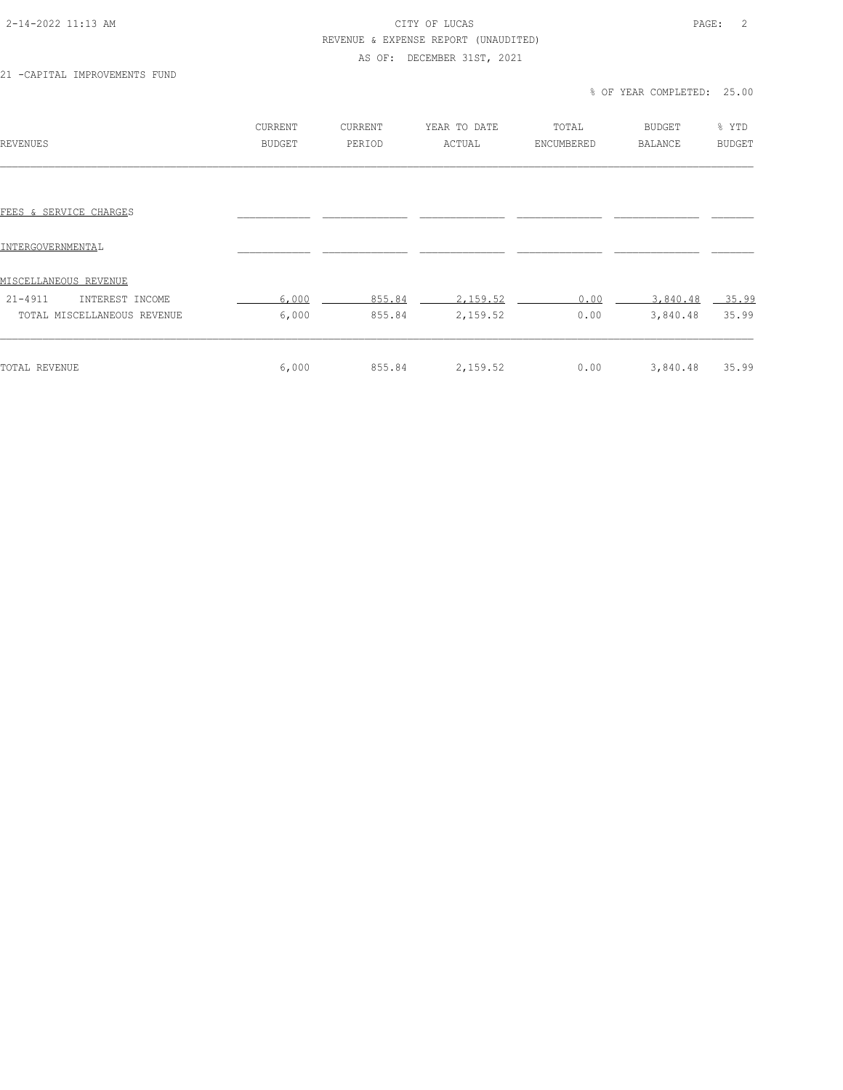### 2-14-2022 11:13 AM CITY OF LUCAS PAGE: 2 REVENUE & EXPENSE REPORT (UNAUDITED)

# AS OF: DECEMBER 31ST, 2021

21 -CAPITAL IMPROVEMENTS FUND

### % OF YEAR COMPLETED: 25.00

| REVENUES                       | CURRENT<br>BUDGET | <b>CURRENT</b><br>PERIOD | YEAR TO DATE<br>ACTUAL | TOTAL<br>ENCUMBERED | <b>BUDGET</b><br><b>BALANCE</b> | % YTD<br><b>BUDGET</b> |
|--------------------------------|-------------------|--------------------------|------------------------|---------------------|---------------------------------|------------------------|
|                                |                   |                          |                        |                     |                                 |                        |
| FEES & SERVICE CHARGES         |                   |                          |                        |                     |                                 |                        |
| INTERGOVERNMENTAL              |                   |                          |                        |                     |                                 |                        |
| <u>MISCELLANEOUS REVENUE</u>   |                   |                          |                        |                     |                                 |                        |
| $21 - 4911$<br>INTEREST INCOME | 6,000             | 855.84                   | 2,159.52               | 0.00                | 3,840.48                        | $-35.99$               |
| TOTAL MISCELLANEOUS REVENUE    | 6,000             | 855.84                   | 2,159.52               | 0.00                | 3,840.48                        | 35.99                  |
| TOTAL REVENUE                  | 6,000             | 855.84                   | 2,159.52               | 0.00                | 3,840.48                        | 35.99                  |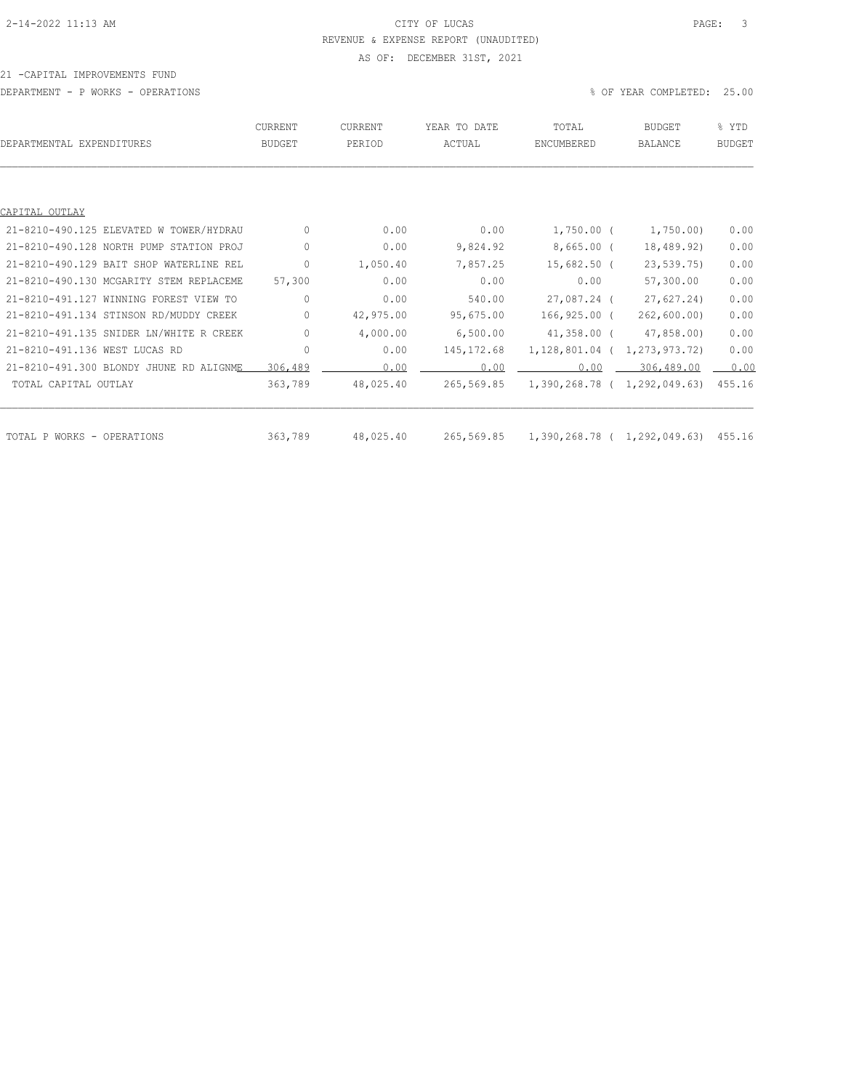# 2-14-2022 11:13 AM CITY OF LUCAS PAGE: 3 REVENUE & EXPENSE REPORT (UNAUDITED) AS OF: DECEMBER 31ST, 2021

#### 21 -CAPITAL IMPROVEMENTS FUND

DEPARTMENT - P WORKS - OPERATIONS % OF YEAR COMPLETED: 25.00

| DEPARTMENTAL EXPENDITURES               | CURRENT<br><b>BUDGET</b> | <b>CURRENT</b><br>PERIOD | YEAR TO DATE<br>ACTUAL | TOTAL<br>ENCUMBERED          | <b>BUDGET</b><br>BALANCE | % YTD<br><b>BUDGET</b> |
|-----------------------------------------|--------------------------|--------------------------|------------------------|------------------------------|--------------------------|------------------------|
|                                         |                          |                          |                        |                              |                          |                        |
| CAPITAL OUTLAY                          |                          |                          |                        |                              |                          |                        |
| 21-8210-490.125 ELEVATED W TOWER/HYDRAU | $\Omega$                 | 0.00                     | 0.00                   | $1,750.00$ (                 | 1,750.00)                | 0.00                   |
| 21-8210-490.128 NORTH PUMP STATION PROJ | $\circ$                  | 0.00                     | 9,824.92               | $8,665.00$ (                 | 18,489.92)               | 0.00                   |
| 21-8210-490.129 BAIT SHOP WATERLINE REL | $\circ$                  | 1,050.40                 | 7,857.25               | $15,682.50$ (                | 23, 539, 75)             | 0.00                   |
| 21-8210-490.130 MCGARITY STEM REPLACEME | 57,300                   | 0.00                     | 0.00                   | 0.00                         | 57,300.00                | 0.00                   |
| 21-8210-491.127 WINNING FOREST VIEW TO  | $\circ$                  | 0.00                     | 540.00                 | 27,087.24 (                  | 27,627.24                | 0.00                   |
| 21-8210-491.134 STINSON RD/MUDDY CREEK  | $\circ$                  | 42,975.00                | 95,675.00              | 166,925.00 (                 | 262, 600.00              | 0.00                   |
| 21-8210-491.135 SNIDER LN/WHITE R CREEK | $\circ$                  | 4,000.00                 | 6,500.00               | $41,358.00$ (                | 47,858.00)               | 0.00                   |
| 21-8210-491.136 WEST LUCAS RD           | $\circ$                  | 0.00                     | 145, 172.68            | 1,128,801.04 (               | 1,273,973.72)            | 0.00                   |
| 21-8210-491.300 BLONDY JHUNE RD ALIGNME | 306,489                  | 0.00                     | 0.00                   | 0.00                         | 306,489.00               | 0.00                   |
| TOTAL CAPITAL OUTLAY                    | 363,789                  | 48,025.40                | 265,569.85             | 1,390,268.78 ( 1,292,049.63) |                          | 455.16                 |
|                                         |                          |                          |                        |                              |                          |                        |
| TOTAL P WORKS - OPERATIONS              | 363,789                  | 48,025.40                | 265,569.85             | 1,390,268.78 ( 1,292,049.63) |                          | 455.16                 |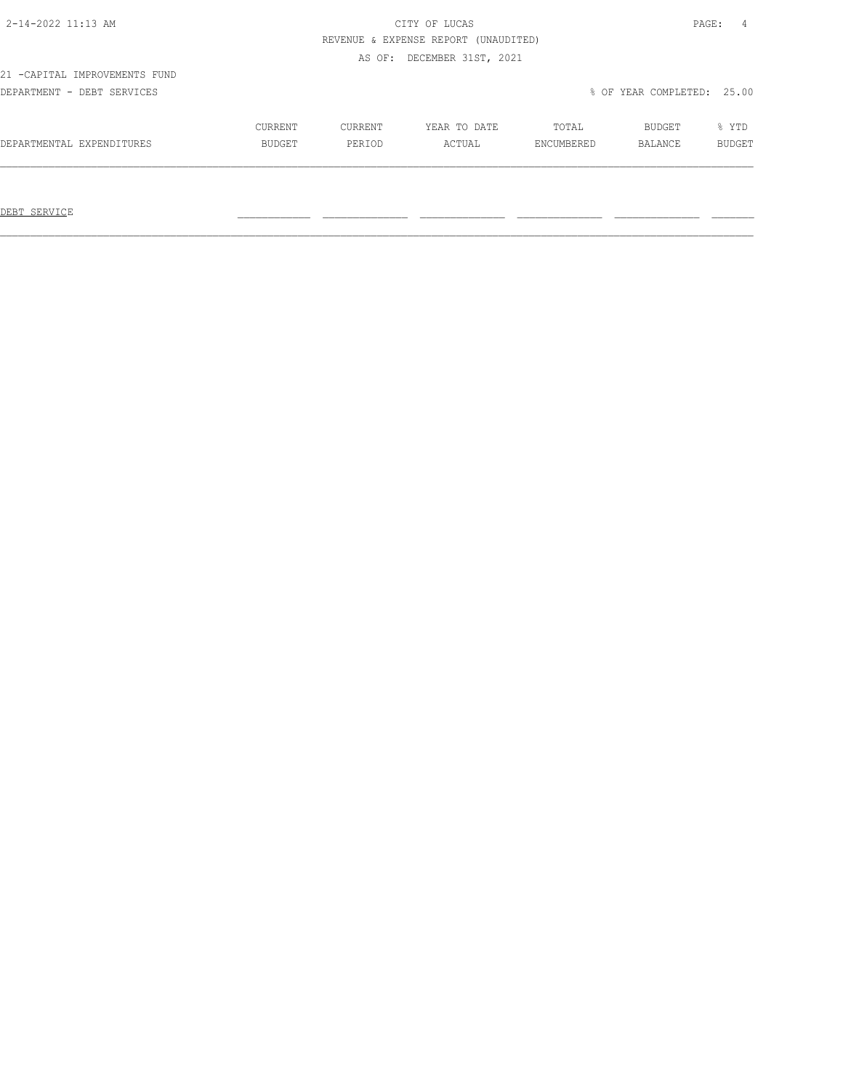# 2-14-2022 11:13 AM CITY OF LUCAS PAGE: 4 REVENUE & EXPENSE REPORT (UNAUDITED)

AS OF: DECEMBER 31ST, 2021

21 -CAPITAL IMPROVEMENTS FUND

DEPARTMENT - DEBT SERVICES % OF YEAR COMPLETED: 25.00

|                              | CURRENT       | ™URRENT | DATE<br>YEAR TO | TOTAL | <b>BUDGET</b> | <b>YTD</b> |
|------------------------------|---------------|---------|-----------------|-------|---------------|------------|
| DEPARTMENTAL<br>EXPENDITURES | <b>BUDGET</b> |         | CTUAL           |       | BALANCE       |            |
|                              |               |         |                 |       |               |            |

 $\mathcal{L}_\text{max} = \mathcal{L}_\text{max} = \mathcal{L}_\text{max} = \mathcal{L}_\text{max} = \mathcal{L}_\text{max} = \mathcal{L}_\text{max} = \mathcal{L}_\text{max} = \mathcal{L}_\text{max} = \mathcal{L}_\text{max} = \mathcal{L}_\text{max} = \mathcal{L}_\text{max} = \mathcal{L}_\text{max} = \mathcal{L}_\text{max} = \mathcal{L}_\text{max} = \mathcal{L}_\text{max} = \mathcal{L}_\text{max} = \mathcal{L}_\text{max} = \mathcal{L}_\text{max} = \mathcal{$ 

DEBT SERVICE \_\_\_\_\_\_\_\_\_\_\_\_ \_\_\_\_\_\_\_\_\_\_\_\_\_\_ \_\_\_\_\_\_\_\_\_\_\_\_\_\_ \_\_\_\_\_\_\_\_\_\_\_\_\_\_ \_\_\_\_\_\_\_\_\_\_\_\_\_\_ \_\_\_\_\_\_\_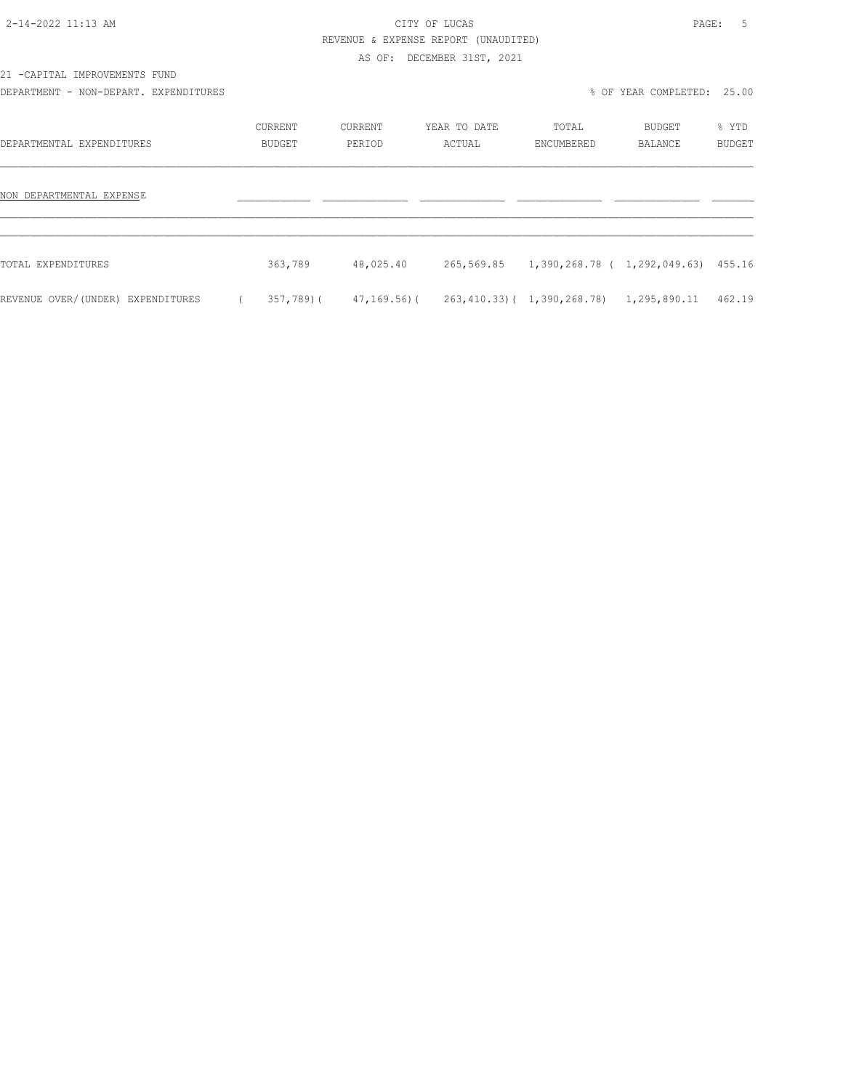# 2-14-2022 11:13 AM CITY OF LUCAS PAGE: 5 REVENUE & EXPENSE REPORT (UNAUDITED)

AS OF: DECEMBER 31ST, 2021

21 -CAPITAL IMPROVEMENTS FUND

DEPARTMENT - NON-DEPART. EXPENDITURES % OF YEAR COMPLETED: 25.00

| DEPARTMENTAL EXPENDITURES         | CURRENT<br><b>BUDGET</b> | CURRENT<br>PERIOD | YEAR TO DATE<br>ACTUAL | TOTAL<br>ENCUMBERED                            | BUDGET<br><b>BALANCE</b> | % YTD<br><b>BUDGET</b> |
|-----------------------------------|--------------------------|-------------------|------------------------|------------------------------------------------|--------------------------|------------------------|
| NON DEPARTMENTAL EXPENSE          |                          |                   |                        |                                                |                          |                        |
| TOTAL EXPENDITURES                | 363,789                  | 48,025.40         |                        | 265,569.85 1,390,268.78 ( 1,292,049.63) 455.16 |                          |                        |
| REVENUE OVER/(UNDER) EXPENDITURES | 357,789)(                | 47,169.56)(       |                        | 263, 410.33) ( 1, 390, 268.78)                 | 1,295,890.11             | 462.19                 |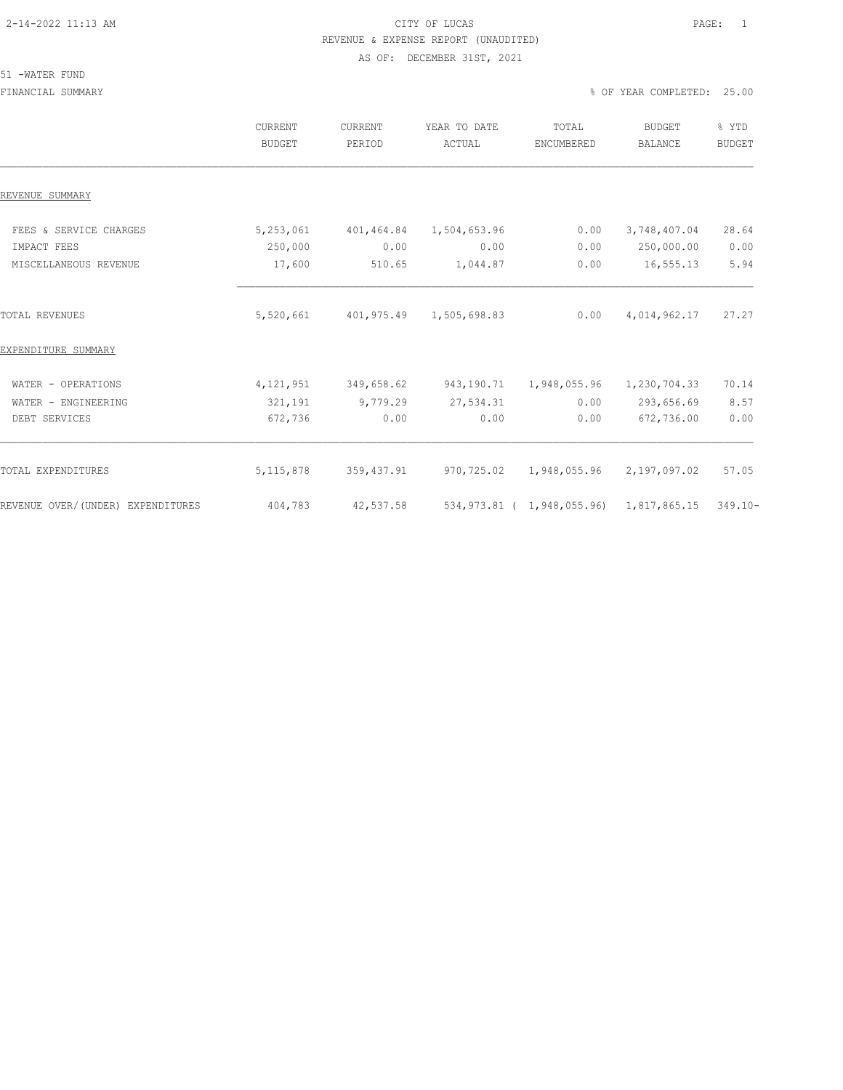# 2-14-2022 11:13 AM CITY OF LUCAS PAGE: 1 REVENUE & EXPENSE REPORT (UNAUDITED) AS OF: DECEMBER 31ST, 2021

### 51 -WATER FUND

FINANCIAL SUMMARY % OF YEAR COMPLETED: 25.00

|                                   | CURRENT<br><b>BUDGET</b> | <b>CURRENT</b><br>PERIOD | YEAR TO DATE<br>ACTUAL | TOTAL<br>ENCUMBERED        | <b>BUDGET</b><br><b>BALANCE</b> | % YTD<br><b>BUDGET</b> |
|-----------------------------------|--------------------------|--------------------------|------------------------|----------------------------|---------------------------------|------------------------|
| REVENUE SUMMARY                   |                          |                          |                        |                            |                                 |                        |
| FEES & SERVICE CHARGES            | 5,253,061                | 401,464.84               | 1,504,653.96           | 0.00                       | 3,748,407.04                    | 28.64                  |
| IMPACT FEES                       | 250,000                  | 0.00                     | 0.00                   | 0.00                       | 250,000.00                      | 0.00                   |
| MISCELLANEOUS REVENUE             | 17,600                   | 510.65                   | 1,044.87               | 0.00                       | 16,555.13                       | 5.94                   |
| <b>TOTAL REVENUES</b>             | 5,520,661                | 401,975.49               | 1,505,698.83           | 0.00                       | 4,014,962.17                    | 27.27                  |
| EXPENDITURE SUMMARY               |                          |                          |                        |                            |                                 |                        |
| WATER - OPERATIONS                | 4,121,951                | 349,658.62               | 943,190.71             | 1,948,055.96               | 1,230,704.33                    | 70.14                  |
| WATER - ENGINEERING               | 321,191                  | 9,779.29                 | 27,534.31              | 0.00                       | 293,656.69                      | 8.57                   |
| DEBT SERVICES                     | 672,736                  | 0.00                     | 0.00                   | 0.00                       | 672,736.00                      | 0.00                   |
| TOTAL EXPENDITURES                | 5, 115, 878              | 359, 437.91              | 970,725.02             | 1,948,055.96               | 2,197,097.02                    | 57.05                  |
| REVENUE OVER/(UNDER) EXPENDITURES | 404,783                  | 42,537.58                |                        | 534,973.81 ( 1,948,055.96) | 1,817,865.15                    | $349.10 -$             |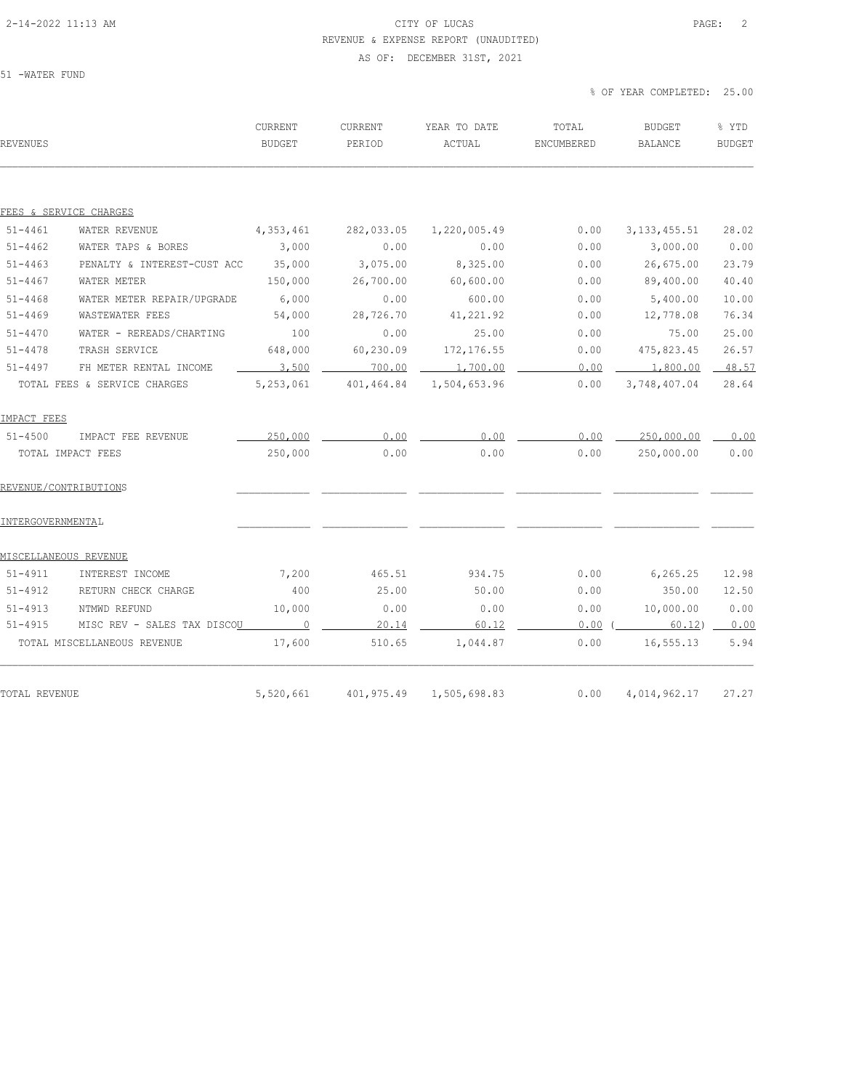# 2-14-2022 11:13 AM CITY OF LUCAS PAGE: 2 REVENUE & EXPENSE REPORT (UNAUDITED) AS OF: DECEMBER 31ST, 2021

51 -WATER FUND

| REVENUES          |                                     | CURRENT<br><b>BUDGET</b> | <b>CURRENT</b><br>PERIOD | YEAR TO DATE<br>ACTUAL | TOTAL<br>ENCUMBERED | <b>BUDGET</b><br><b>BALANCE</b> | % YTD<br><b>BUDGET</b> |
|-------------------|-------------------------------------|--------------------------|--------------------------|------------------------|---------------------|---------------------------------|------------------------|
|                   |                                     |                          |                          |                        |                     |                                 |                        |
| $51 - 4461$       | FEES & SERVICE CHARGES              |                          |                          |                        |                     |                                 | 28.02                  |
| $51 - 4462$       | WATER REVENUE<br>WATER TAPS & BORES | 4,353,461<br>3,000       | 282,033.05<br>0.00       | 1,220,005.49<br>0.00   | 0.00<br>0.00        | 3, 133, 455.51<br>3,000.00      | 0.00                   |
| $51 - 4463$       | PENALTY & INTEREST-CUST ACC         | 35,000                   | 3,075.00                 | 8,325.00               | 0.00                | 26,675.00                       | 23.79                  |
| $51 - 4467$       | WATER METER                         | 150,000                  | 26,700.00                | 60,600.00              | 0.00                | 89,400.00                       | 40.40                  |
| $51 - 4468$       | WATER METER REPAIR/UPGRADE          | 6,000                    | 0.00                     | 600.00                 | 0.00                | 5,400.00                        | 10.00                  |
| $51 - 4469$       | WASTEWATER FEES                     | 54,000                   | 28,726.70                | 41,221.92              | 0.00                | 12,778.08                       | 76.34                  |
| $51 - 4470$       | WATER - REREADS/CHARTING            | 100                      | 0.00                     | 25.00                  | 0.00                | 75.00                           | 25.00                  |
| $51 - 4478$       | TRASH SERVICE                       | 648,000                  | 60,230.09                | 172, 176.55            | 0.00                | 475,823.45                      | 26.57                  |
| $51 - 4497$       | FH METER RENTAL INCOME              | 3,500                    | 700.00                   | 1,700.00               | 0.00                | 1,800.00                        | $-48.57$               |
|                   | TOTAL FEES & SERVICE CHARGES        | 5,253,061                | 401,464.84               | 1,504,653.96           | 0.00                | 3,748,407.04                    | 28.64                  |
| IMPACT FEES       |                                     |                          |                          |                        |                     |                                 |                        |
| $51 - 4500$       | IMPACT FEE REVENUE                  | 250,000                  | 0.00                     | 0.00                   | 0.00                | 250,000.00                      | 0.00                   |
|                   | TOTAL IMPACT FEES                   | 250,000                  | 0.00                     | 0.00                   | 0.00                | 250,000.00                      | 0.00                   |
|                   | REVENUE/CONTRIBUTIONS               |                          |                          |                        |                     |                                 |                        |
| INTERGOVERNMENTAL |                                     |                          |                          |                        |                     |                                 |                        |
|                   | MISCELLANEOUS REVENUE               |                          |                          |                        |                     |                                 |                        |
| 51-4911           | INTEREST INCOME                     | 7,200                    | 465.51                   | 934.75                 | 0.00                | 6,265.25                        | 12.98                  |
| $51 - 4912$       | RETURN CHECK CHARGE                 | 400                      | 25.00                    | 50.00                  | 0.00                | 350.00                          | 12.50                  |
| $51 - 4913$       | NTMWD REFUND                        | 10,000                   | 0.00                     | 0.00                   | 0.00                | 10,000.00                       | 0.00                   |
| $51 - 4915$       | MISC REV - SALES TAX DISCO <u>U</u> | $\sim$ 0                 | 20.14                    | 60.12                  | $0.00$ (            | $60.12$ ) $-$                   | 0.00                   |
|                   | TOTAL MISCELLANEOUS REVENUE         | 17,600                   | 510.65                   | 1,044.87               | 0.00                | 16,555.13                       | 5.94                   |
|                   |                                     |                          |                          |                        |                     |                                 |                        |
| TOTAL REVENUE     |                                     | 5,520,661                | 401,975.49               | 1,505,698.83           | 0.00                | 4,014,962.17                    | 27.27                  |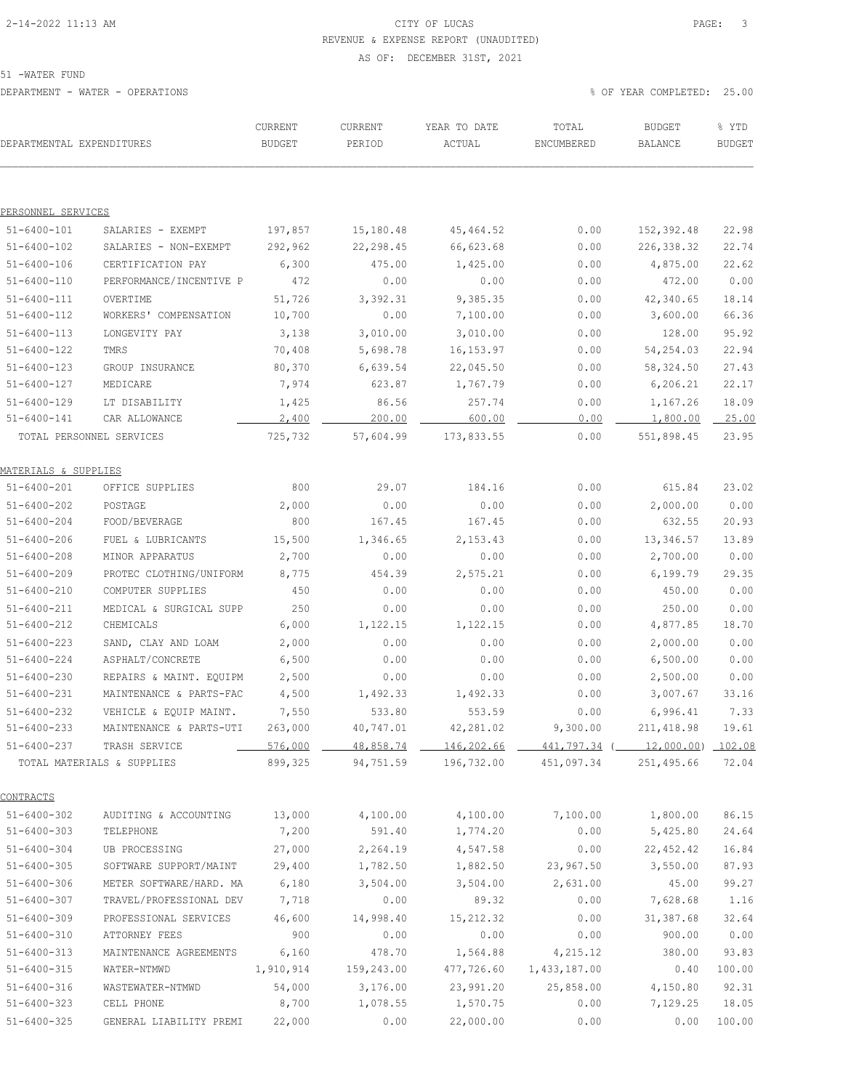# 2-14-2022 11:13 AM CITY OF LUCAS PAGE: 3 REVENUE & EXPENSE REPORT (UNAUDITED)

AS OF: DECEMBER 31ST, 2021

51 -WATER FUND

| DEPARTMENTAL EXPENDITURES        |                            | CURRENT<br><b>BUDGET</b> | CURRENT<br>PERIOD | YEAR TO DATE<br>ACTUAL | TOTAL<br>ENCUMBERED                         | <b>BUDGET</b><br>BALANCE | % YTD<br><b>BUDGET</b> |
|----------------------------------|----------------------------|--------------------------|-------------------|------------------------|---------------------------------------------|--------------------------|------------------------|
|                                  |                            |                          |                   |                        |                                             |                          |                        |
| PERSONNEL SERVICES               |                            |                          |                   |                        |                                             |                          |                        |
| $51 - 6400 - 101$                | SALARIES - EXEMPT          | 197,857                  | 15,180.48         | 45, 464.52             | 0.00                                        | 152,392.48               | 22.98                  |
| $51 - 6400 - 102$                | SALARIES - NON-EXEMPT      | 292,962                  | 22,298.45         | 66,623.68              | 0.00                                        | 226,338.32               | 22.74                  |
| $51 - 6400 - 106$                | CERTIFICATION PAY          | 6,300                    | 475.00            | 1,425.00               | 0.00                                        | 4,875.00                 | 22.62                  |
| $51 - 6400 - 110$                | PERFORMANCE/INCENTIVE P    | 472                      | 0.00              | 0.00                   | 0.00                                        | 472.00                   | 0.00                   |
| $51 - 6400 - 111$                | OVERTIME                   | 51,726                   | 3,392.31          | 9,385.35               | 0.00                                        | 42,340.65                | 18.14                  |
| $51 - 6400 - 112$                | WORKERS' COMPENSATION      | 10,700                   | 0.00              | 7,100.00               | 0.00                                        | 3,600.00                 | 66.36                  |
| $51 - 6400 - 113$                | LONGEVITY PAY              | 3,138                    | 3,010.00          | 3,010.00               | 0.00                                        | 128.00                   | 95.92                  |
| $51 - 6400 - 122$                | TMRS                       | 70,408                   | 5,698.78          | 16, 153.97             | 0.00                                        | 54,254.03                | 22.94                  |
| $51 - 6400 - 123$                | GROUP INSURANCE            | 80,370                   | 6,639.54          | 22,045.50              | 0.00                                        | 58,324.50                | 27.43                  |
| $51 - 6400 - 127$                | MEDICARE                   | 7,974                    | 623.87            | 1,767.79               | 0.00                                        | 6,206.21                 | 22.17                  |
| $51 - 6400 - 129$                | LT DISABILITY              | 1,425                    | 86.56             | 257.74                 | 0.00                                        | 1,167.26                 | 18.09                  |
| 51-6400-141                      | CAR ALLOWANCE              | 2,400                    | 200.00            | 600.00                 | 0.00                                        | 1,800.00                 | 25.00                  |
|                                  | TOTAL PERSONNEL SERVICES   | 725,732                  | 57,604.99         | 173,833.55             | 0.00                                        | 551,898.45               | 23.95                  |
| <u> MATERIALS &amp; SUPPLIES</u> |                            |                          |                   |                        |                                             |                          |                        |
| $51 - 6400 - 201$                | OFFICE SUPPLIES            | 800                      | 29.07             | 184.16                 | 0.00                                        | 615.84                   | 23.02                  |
| $51 - 6400 - 202$                | POSTAGE                    | 2,000                    | 0.00              | 0.00                   | 0.00                                        | 2,000.00                 | 0.00                   |
| $51 - 6400 - 204$                | FOOD/BEVERAGE              | 800                      | 167.45            | 167.45                 | 0.00                                        | 632.55                   | 20.93                  |
| $51 - 6400 - 206$                | FUEL & LUBRICANTS          | 15,500                   | 1,346.65          | 2, 153.43              | 0.00                                        | 13,346.57                | 13.89                  |
| $51 - 6400 - 208$                | MINOR APPARATUS            | 2,700                    | 0.00              | 0.00                   | 0.00                                        | 2,700.00                 | 0.00                   |
| $51 - 6400 - 209$                | PROTEC CLOTHING/UNIFORM    | 8,775                    | 454.39            | 2,575.21               | 0.00                                        | 6,199.79                 | 29.35                  |
| $51 - 6400 - 210$                | COMPUTER SUPPLIES          | 450                      | 0.00              | 0.00                   | 0.00                                        | 450.00                   | 0.00                   |
| $51 - 6400 - 211$                | MEDICAL & SURGICAL SUPP    | 250                      | 0.00              | 0.00                   | 0.00                                        | 250.00                   | 0.00                   |
| 51-6400-212                      | CHEMICALS                  | 6,000                    | 1,122.15          | 1,122.15               | 0.00                                        | 4,877.85                 | 18.70                  |
| $51 - 6400 - 223$                | SAND, CLAY AND LOAM        | 2,000                    | 0.00              | 0.00                   | 0.00                                        | 2,000.00                 | 0.00                   |
| $51 - 6400 - 224$                | ASPHALT/CONCRETE           | 6,500                    | 0.00              | 0.00                   | 0.00                                        | 6,500.00                 | 0.00                   |
| $51 - 6400 - 230$                | REPAIRS & MAINT. EQUIPM    | 2,500                    | 0.00              | 0.00                   | 0.00                                        | 2,500.00                 | 0.00                   |
| $51 - 6400 - 231$                | MAINTENANCE & PARTS-FAC    | 4,500                    | 1,492.33          | 1,492.33               | 0.00                                        | 3,007.67                 | 33.16                  |
| $51 - 6400 - 232$                | VEHICLE & EQUIP MAINT.     | 7,550                    | 533.80            | 553.59                 | 0.00                                        | 6,996.41                 | 7.33                   |
| 51-6400-233                      | MAINTENANCE & PARTS-UTI    | 263,000                  | 40,747.01         | 42,281.02              | 9,300.00                                    | 211,418.98               | 19.61                  |
| $51 - 6400 - 237$                | TRASH SERVICE              | 576,000                  | 48,858.74         |                        | 146, 202.66 441, 797.34 (12, 000.00) 102.08 |                          |                        |
|                                  | TOTAL MATERIALS & SUPPLIES | 899,325                  | 94,751.59         | 196,732.00             | 451,097.34                                  | 251,495.66               | 72.04                  |
| CONTRACTS                        |                            |                          |                   |                        |                                             |                          |                        |
| $51 - 6400 - 302$                | AUDITING & ACCOUNTING      | 13,000                   | 4,100.00          | 4,100.00               | 7,100.00                                    | 1,800.00                 | 86.15                  |
| $51 - 6400 - 303$                | TELEPHONE                  | 7,200                    | 591.40            | 1,774.20               | 0.00                                        | 5,425.80                 | 24.64                  |
| $51 - 6400 - 304$                | UB PROCESSING              | 27,000                   | 2,264.19          | 4,547.58               | 0.00                                        | 22,452.42                | 16.84                  |
| $51 - 6400 - 305$                | SOFTWARE SUPPORT/MAINT     | 29,400                   | 1,782.50          | 1,882.50               | 23,967.50                                   | 3,550.00                 | 87.93                  |
| $51 - 6400 - 306$                | METER SOFTWARE/HARD. MA    | 6,180                    | 3,504.00          | 3,504.00               | 2,631.00                                    | 45.00                    | 99.27                  |
| $51 - 6400 - 307$                | TRAVEL/PROFESSIONAL DEV    | 7,718                    | 0.00              | 89.32                  | 0.00                                        | 7,628.68                 | 1.16                   |
| $51 - 6400 - 309$                | PROFESSIONAL SERVICES      | 46,600                   | 14,998.40         | 15, 212.32             | 0.00                                        | 31,387.68                | 32.64                  |
| $51 - 6400 - 310$                | ATTORNEY FEES              | 900                      | 0.00              | 0.00                   | 0.00                                        | 900.00                   | 0.00                   |
| $51 - 6400 - 313$                | MAINTENANCE AGREEMENTS     | 6,160                    | 478.70            | 1,564.88               | 4,215.12                                    | 380.00                   | 93.83                  |
| $51 - 6400 - 315$                | WATER-NTMWD                | 1,910,914                | 159,243.00        | 477,726.60             | 1,433,187.00                                | 0.40                     | 100.00                 |
| $51 - 6400 - 316$                | WASTEWATER-NTMWD           | 54,000                   | 3,176.00          | 23,991.20              | 25,858.00                                   | 4,150.80                 | 92.31                  |
| $51 - 6400 - 323$                | CELL PHONE                 | 8,700                    | 1,078.55          | 1,570.75               | 0.00                                        | 7,129.25                 | 18.05                  |
| $51 - 6400 - 325$                | GENERAL LIABILITY PREMI    | 22,000                   | 0.00              | 22,000.00              | 0.00                                        | 0.00                     | 100.00                 |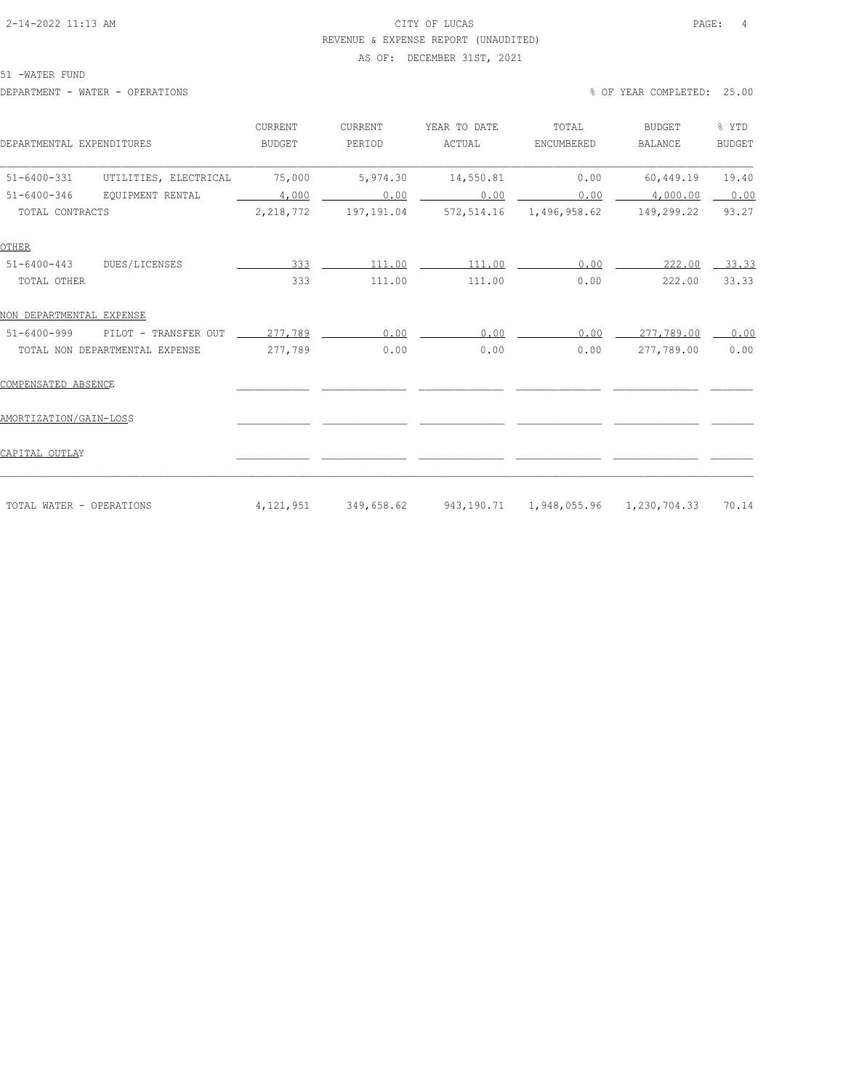# 2-14-2022 11:13 AM CITY OF LUCAS PAGE: 4 REVENUE & EXPENSE REPORT (UNAUDITED)

# AS OF: DECEMBER 31ST, 2021

51 -WATER FUND

DEPARTMENT - WATER - OPERATIONS % OF YEAR COMPLETED: 25.00

| DEPARTMENTAL EXPENDITURES                  | CURRENT<br><b>BUDGET</b> | <b>CURRENT</b><br>PERIOD | YEAR TO DATE<br>ACTUAL                          | TOTAL<br>ENCUMBERED     | <b>BUDGET</b><br><b>BALANCE</b> | % YTD<br><b>BUDGET</b> |
|--------------------------------------------|--------------------------|--------------------------|-------------------------------------------------|-------------------------|---------------------------------|------------------------|
| UTILITIES, ELECTRICAL<br>$51 - 6400 - 331$ | 75,000                   | 5,974.30                 | 14,550.81                                       | 0.00                    | 60,449.19                       | 19.40                  |
| $51 - 6400 - 346$<br>EOUIPMENT RENTAL      | 4,000                    | 0.00                     | 0.00                                            | 0.00                    | 4,000.00                        | 0.00                   |
| TOTAL CONTRACTS                            | 2, 218, 772              | 197,191.04               |                                                 | 572,514.16 1,496,958.62 | 149,299.22                      | 93.27                  |
| OTHER                                      |                          |                          |                                                 |                         |                                 |                        |
| $51 - 6400 - 443$<br>DUES/LICENSES         | 333                      | 111.00                   | 111.00                                          | 0.00                    | 222.00                          | $-33.33$               |
| TOTAL OTHER                                | 333                      | 111.00                   | 111.00                                          | 0.00                    | 222.00                          | 33.33                  |
| NON DEPARTMENTAL EXPENSE                   |                          |                          |                                                 |                         |                                 |                        |
| $51 - 6400 - 999$<br>PILOT - TRANSFER OUT  | 277,789                  | 0.00                     | 0.00                                            | 0.00                    | 277,789.00                      | 0.00                   |
| TOTAL NON DEPARTMENTAL EXPENSE             | 277,789                  | 0.00                     | 0.00                                            | 0.00                    | 277,789.00                      | 0.00                   |
| COMPENSATED ABSENCE                        |                          |                          |                                                 |                         |                                 |                        |
| AMORTIZATION/GAIN-LOSS                     |                          |                          |                                                 |                         |                                 |                        |
| CAPITAL OUTLAY                             |                          |                          |                                                 |                         |                                 |                        |
|                                            |                          |                          |                                                 |                         |                                 |                        |
| TOTAL WATER - OPERATIONS                   | 4,121,951                |                          | 349,658.62 943,190.71 1,948,055.96 1,230,704.33 |                         |                                 | 70.14                  |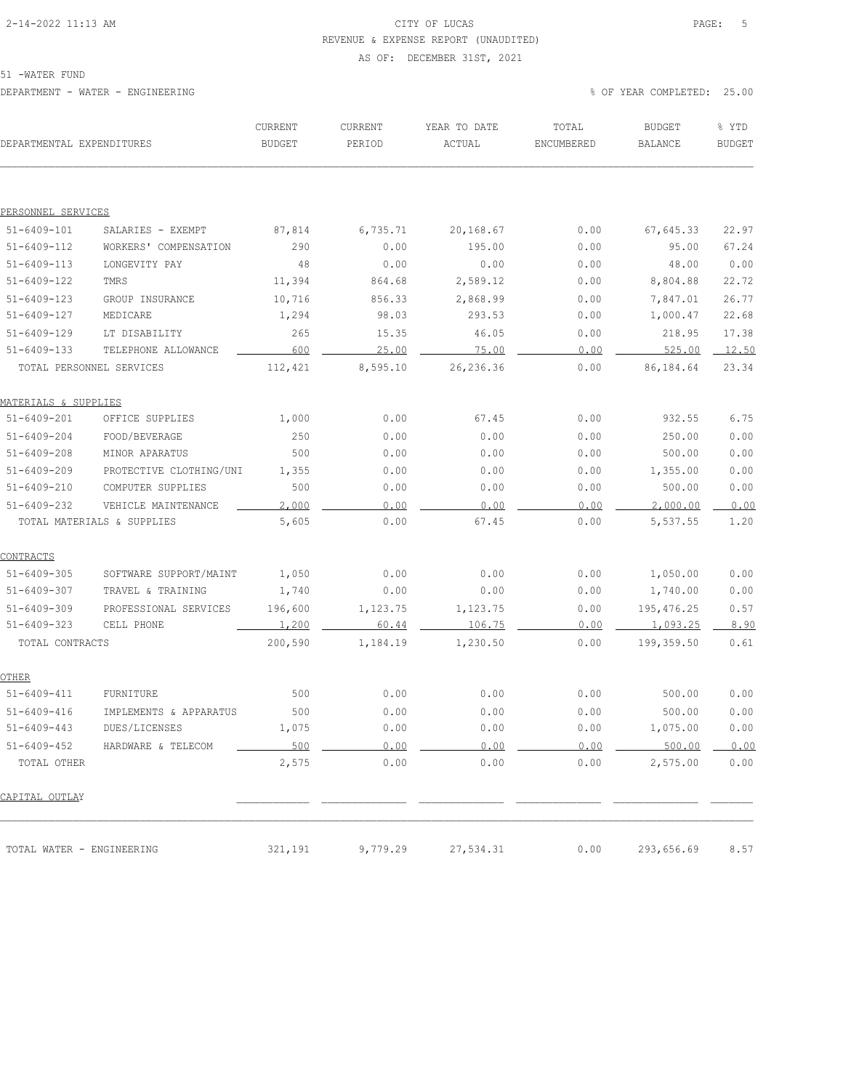# 2-14-2022 11:13 AM CITY OF LUCAS PAGE: 5 REVENUE & EXPENSE REPORT (UNAUDITED)

#### AS OF: DECEMBER 31ST, 2021

51 -WATER FUND

| DEPARTMENTAL EXPENDITURES        |                            | CURRENT<br><b>BUDGET</b> | CURRENT<br>PERIOD | YEAR TO DATE<br>ACTUAL | TOTAL<br>ENCUMBERED | BUDGET<br>BALANCE | % YTD<br><b>BUDGET</b> |
|----------------------------------|----------------------------|--------------------------|-------------------|------------------------|---------------------|-------------------|------------------------|
|                                  |                            |                          |                   |                        |                     |                   |                        |
| PERSONNEL SERVICES               |                            |                          |                   |                        |                     |                   |                        |
| $51 - 6409 - 101$                | SALARIES - EXEMPT          | 87,814                   | 6,735.71          | 20,168.67              | 0.00                | 67,645.33         | 22.97                  |
| 51-6409-112                      | WORKERS' COMPENSATION      | 290                      | 0.00              | 195.00                 | 0.00                | 95.00             | 67.24                  |
| $51 - 6409 - 113$                | LONGEVITY PAY              | 48                       | 0.00              | 0.00                   | 0.00                | 48.00             | 0.00                   |
| $51 - 6409 - 122$                | TMRS                       | 11,394                   | 864.68            | 2,589.12               | 0.00                | 8,804.88          | 22.72                  |
| $51 - 6409 - 123$                | GROUP INSURANCE            | 10,716                   | 856.33            | 2,868.99               | 0.00                | 7,847.01          | 26.77                  |
| $51 - 6409 - 127$                | MEDICARE                   | 1,294                    | 98.03             | 293.53                 | 0.00                | 1,000.47          | 22.68                  |
| $51 - 6409 - 129$                | LT DISABILITY              | 265                      | 15.35             | 46.05                  | 0.00                | 218.95            | 17.38                  |
| $51 - 6409 - 133$                | TELEPHONE ALLOWANCE        | 600                      | 25.00             | 75.00                  | 0.00                | 525.00            | 12.50                  |
| TOTAL PERSONNEL SERVICES         |                            | 112,421                  | 8,595.10          | 26, 236.36             | 0.00                | 86,184.64         | 23.34                  |
| <u> MATERIALS &amp; SUPPLIES</u> |                            |                          |                   |                        |                     |                   |                        |
| $51 - 6409 - 201$                | OFFICE SUPPLIES            | 1,000                    | 0.00              | 67.45                  | 0.00                | 932.55            | 6.75                   |
| $51 - 6409 - 204$                | FOOD/BEVERAGE              | 250                      | 0.00              | 0.00                   | 0.00                | 250.00            | 0.00                   |
| $51 - 6409 - 208$                | MINOR APARATUS             | 500                      | 0.00              | 0.00                   | 0.00                | 500.00            | 0.00                   |
| $51 - 6409 - 209$                | PROTECTIVE CLOTHING/UNI    | 1,355                    | 0.00              | 0.00                   | 0.00                | 1,355.00          | 0.00                   |
| $51 - 6409 - 210$                | COMPUTER SUPPLIES          | 500                      | 0.00              | 0.00                   | 0.00                | 500.00            | 0.00                   |
| $51 - 6409 - 232$                | VEHICLE MAINTENANCE        | 2,000                    | 0.00              | 0.00                   | 0.00                | 2,000.00          | 0.00                   |
|                                  | TOTAL MATERIALS & SUPPLIES | 5,605                    | 0.00              | 67.45                  | 0.00                | 5,537.55          | 1.20                   |
| <u>CONTRACTS</u>                 |                            |                          |                   |                        |                     |                   |                        |
| $51 - 6409 - 305$                | SOFTWARE SUPPORT/MAINT     | 1,050                    | 0.00              | 0.00                   | 0.00                | 1,050.00          | 0.00                   |
| $51 - 6409 - 307$                | TRAVEL & TRAINING          | 1,740                    | 0.00              | 0.00                   | 0.00                | 1,740.00          | 0.00                   |
| $51 - 6409 - 309$                | PROFESSIONAL SERVICES      | 196,600                  | 1,123.75          | 1,123.75               | 0.00                | 195,476.25        | 0.57                   |
| $51 - 6409 - 323$                | CELL PHONE                 | 1,200                    | 60.44             | 106.75                 | 0.00                | 1,093.25          | 8.90                   |
| TOTAL CONTRACTS                  |                            | 200,590                  | 1,184.19          | 1,230.50               | 0.00                | 199,359.50        | 0.61                   |
| <u>OTHER</u>                     |                            |                          |                   |                        |                     |                   |                        |
| $51 - 6409 - 411$                | FURNITURE                  | 500                      | 0.00              | 0.00                   | 0.00                | 500.00            | 0.00                   |
| $51 - 6409 - 416$                | IMPLEMENTS & APPARATUS     | 500                      | 0.00              | 0.00                   | 0.00                | 500.00            | 0.00                   |
| 51-6409-443                      | DUES/LICENSES              | 1,075                    | 0.00              | 0.00                   | 0.00                | 1,075.00          | 0.00                   |
| $51 - 6409 - 452$                | HARDWARE & TELECOM         | 500                      | 0.00              | 0.00                   | 0.00                | 500.00            | 0.00                   |
| TOTAL OTHER                      |                            | 2,575                    | 0.00              | 0.00                   | 0.00                | 2,575.00          | 0.00                   |
| CAPITAL OUTLAY                   |                            |                          |                   |                        |                     |                   |                        |
| TOTAL WATER - ENGINEERING        |                            | 321,191                  | 9,779.29          | 27,534.31              | 0.00                | 293,656.69        | 8.57                   |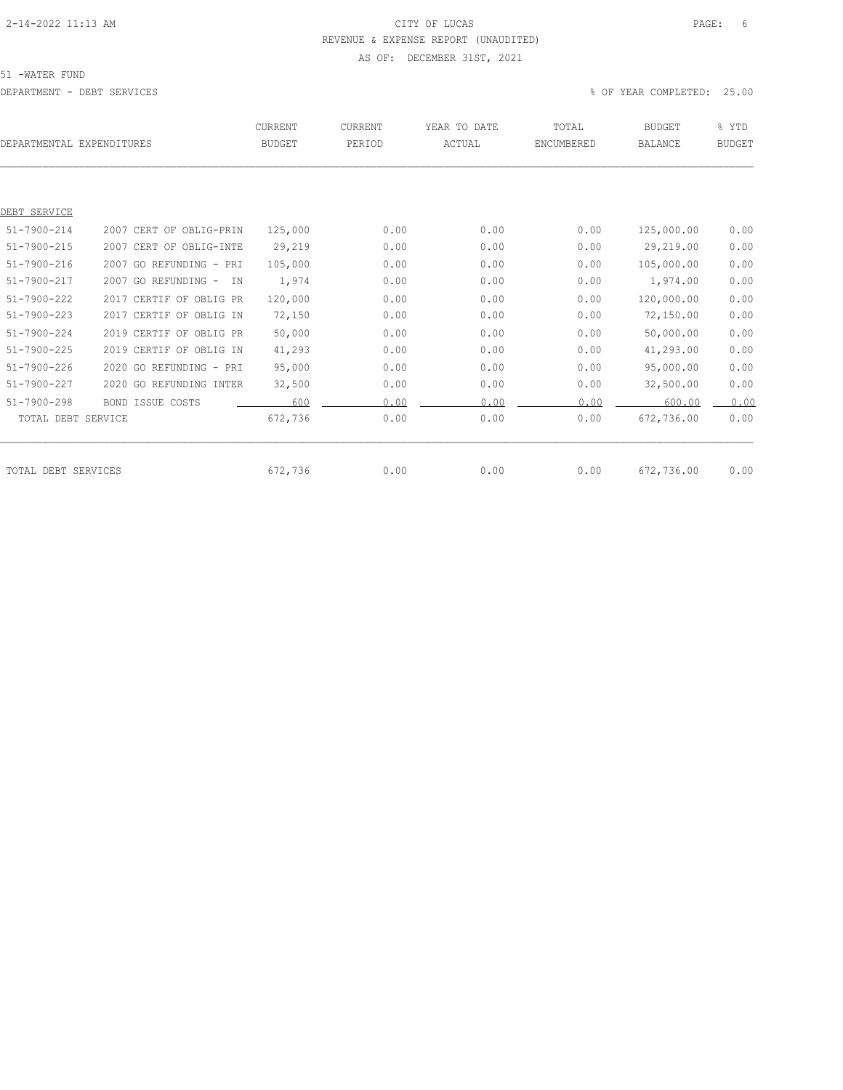# 2-14-2022 11:13 AM CITY OF LUCAS PAGE: 6 REVENUE & EXPENSE REPORT (UNAUDITED) AS OF: DECEMBER 31ST, 2021

51 -WATER FUND

DEPARTMENT - DEBT SERVICES % OF YEAR COMPLETED: 25.00

|                     | DEPARTMENTAL EXPENDITURES  | CURRENT<br><b>BUDGET</b> | <b>CURRENT</b><br>PERIOD | YEAR TO DATE<br>ACTUAL | TOTAL<br>ENCUMBERED | <b>BUDGET</b><br><b>BALANCE</b> | % YTD<br><b>BUDGET</b> |
|---------------------|----------------------------|--------------------------|--------------------------|------------------------|---------------------|---------------------------------|------------------------|
|                     |                            |                          |                          |                        |                     |                                 |                        |
| DEBT SERVICE        |                            |                          |                          |                        |                     |                                 |                        |
| $51 - 7900 - 214$   | 2007 CERT OF OBLIG-PRIN    | 125,000                  | 0.00                     | 0.00                   | 0.00                | 125,000.00                      | 0.00                   |
| 51-7900-215         | 2007 CERT OF OBLIG-INTE    | 29,219                   | 0.00                     | 0.00                   | 0.00                | 29,219.00                       | 0.00                   |
| $51 - 7900 - 216$   | 2007 GO REFUNDING - PRI    | 105,000                  | 0.00                     | 0.00                   | 0.00                | 105,000.00                      | 0.00                   |
| $51 - 7900 - 217$   | 2007 GO REFUNDING -<br>IN. | 1,974                    | 0.00                     | 0.00                   | 0.00                | 1,974.00                        | 0.00                   |
| $51 - 7900 - 222$   | 2017 CERTIF OF OBLIG PR    | 120,000                  | 0.00                     | 0.00                   | 0.00                | 120,000.00                      | 0.00                   |
| $51 - 7900 - 223$   | 2017 CERTIF OF OBLIG IN    | 72,150                   | 0.00                     | 0.00                   | 0.00                | 72,150.00                       | 0.00                   |
| $51 - 7900 - 224$   | 2019 CERTIF OF OBLIG PR    | 50,000                   | 0.00                     | 0.00                   | 0.00                | 50,000.00                       | 0.00                   |
| $51 - 7900 - 225$   | 2019 CERTIF OF OBLIG IN    | 41,293                   | 0.00                     | 0.00                   | 0.00                | 41,293.00                       | 0.00                   |
| $51 - 7900 - 226$   | 2020 GO REFUNDING - PRI    | 95,000                   | 0.00                     | 0.00                   | 0.00                | 95,000.00                       | 0.00                   |
| $51 - 7900 - 227$   | 2020 GO REFUNDING INTER    | 32,500                   | 0.00                     | 0.00                   | 0.00                | 32,500.00                       | 0.00                   |
| $51 - 7900 - 298$   | <b>BOND ISSUE COSTS</b>    | 600                      | 0.00                     | 0.00                   | 0.00                | 600.00                          | 0.00                   |
| TOTAL DEBT SERVICE  |                            | 672,736                  | 0.00                     | 0.00                   | 0.00                | 672,736.00                      | 0.00                   |
|                     |                            |                          |                          |                        |                     |                                 |                        |
| TOTAL DEBT SERVICES |                            | 672,736                  | 0.00                     | 0.00                   | 0.00                | 672,736.00                      | 0.00                   |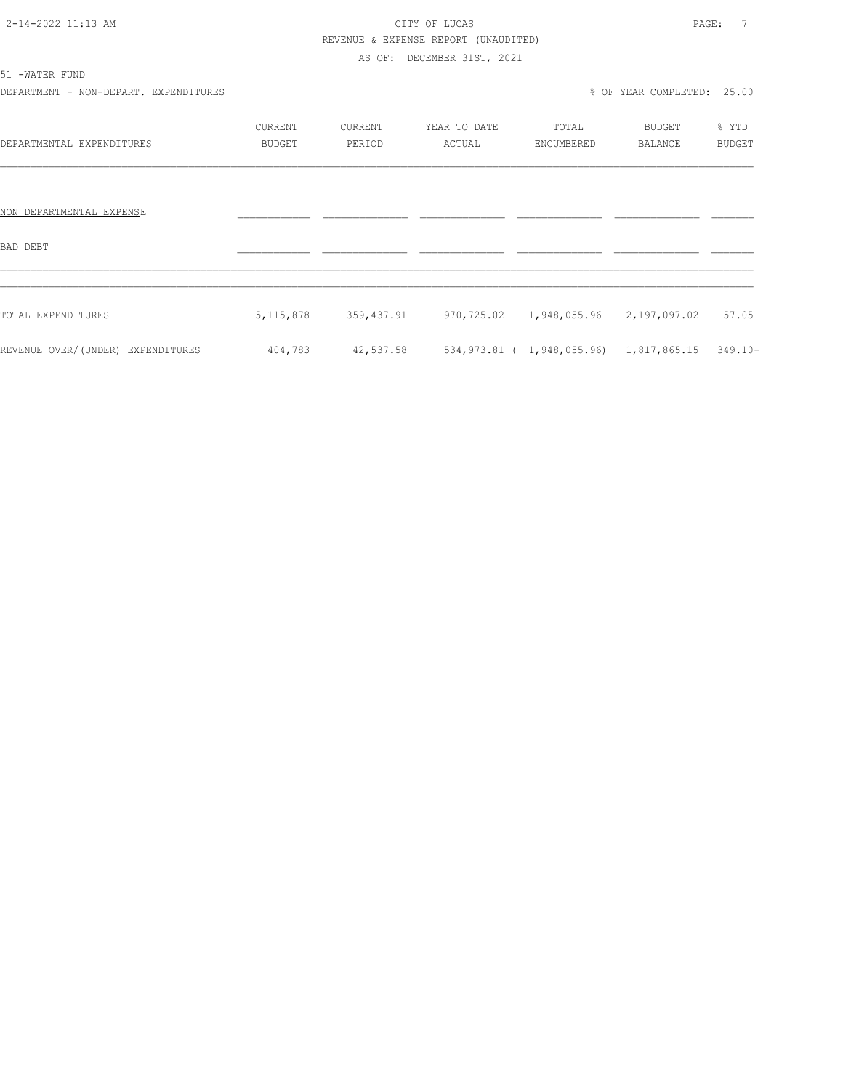# 2-14-2022 11:13 AM CITY OF LUCAS PAGE: 7 REVENUE & EXPENSE REPORT (UNAUDITED)

AS OF: DECEMBER 31ST, 2021

| Е<br>л<br>ı<br>υ | 17.T<br>N |  |
|------------------|-----------|--|
|------------------|-----------|--|

DEPARTMENT - NON-DEPART. EXPENDITURES % OF YEAR COMPLETED: 25.00

|                                   | <b>CURRENT</b> | CURRENT    | YEAR TO DATE | TOTAL                      | BUDGET         | % YTD         |
|-----------------------------------|----------------|------------|--------------|----------------------------|----------------|---------------|
| DEPARTMENTAL EXPENDITURES         | <b>BUDGET</b>  | PERIOD     | ACTUAL       | ENCUMBERED                 | <b>BALANCE</b> | <b>BUDGET</b> |
|                                   |                |            |              |                            |                |               |
|                                   |                |            |              |                            |                |               |
| NON DEPARTMENTAL EXPENSE          |                |            |              |                            |                |               |
|                                   |                |            |              |                            |                |               |
| BAD DEBT                          |                |            |              |                            |                |               |
|                                   |                |            |              |                            |                |               |
|                                   |                |            |              |                            |                |               |
| TOTAL EXPENDITURES                | 5, 115, 878    | 359,437.91 | 970,725.02   | 1,948,055.96               | 2,197,097.02   | 57.05         |
|                                   |                |            |              |                            |                |               |
| REVENUE OVER/(UNDER) EXPENDITURES | 404,783        | 42,537.58  |              | 534,973.81 ( 1,948,055.96) | 1,817,865.15   | $349.10 -$    |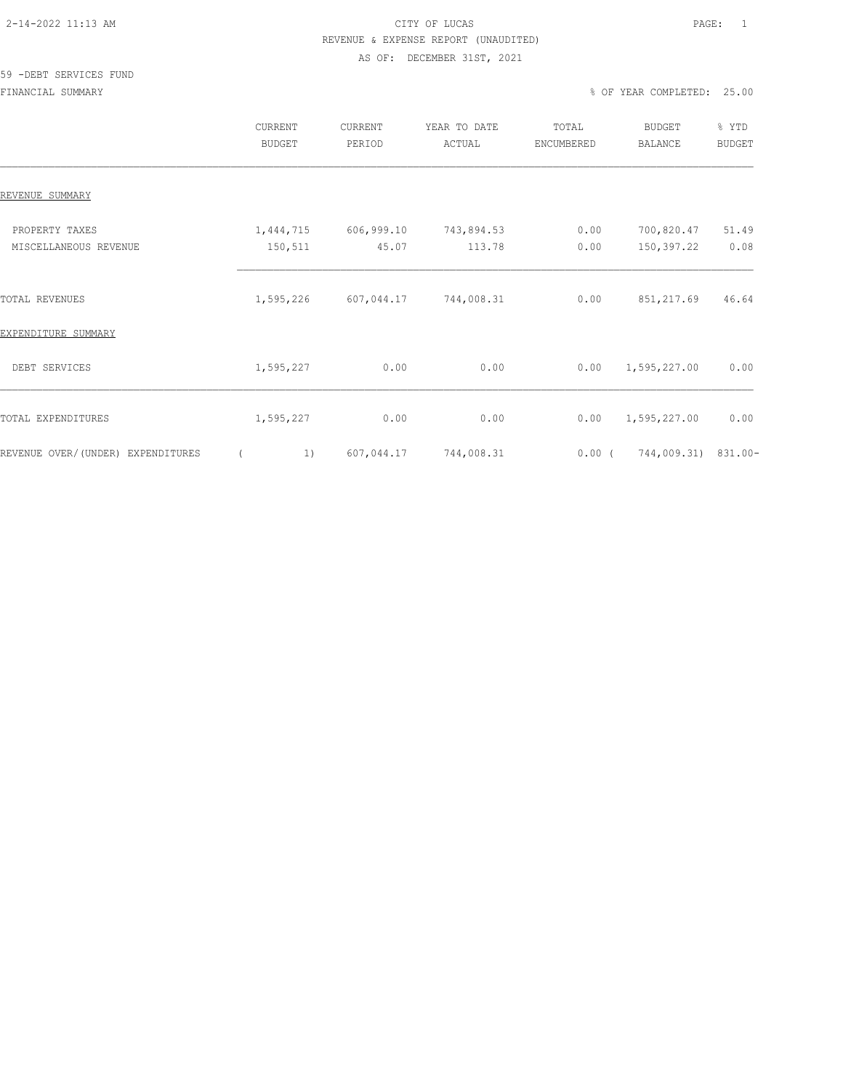# 2-14-2022 11:13 AM CITY OF LUCAS PAGE: 1 REVENUE & EXPENSE REPORT (UNAUDITED)

#### AS OF: DECEMBER 31ST, 2021

#### 59 -DEBT SERVICES FUND

|                                         | CURRENT<br><b>BUDGET</b> | <b>CURRENT</b><br>PERIOD | YEAR TO DATE<br>ACTUAL | TOTAL<br>ENCUMBERED | BUDGET<br><b>BALANCE</b> | % YTD<br><b>BUDGET</b> |
|-----------------------------------------|--------------------------|--------------------------|------------------------|---------------------|--------------------------|------------------------|
| REVENUE SUMMARY                         |                          |                          |                        |                     |                          |                        |
| PROPERTY TAXES<br>MISCELLANEOUS REVENUE | 1,444,715<br>150,511     | 606,999.10<br>45.07      | 743,894.53<br>113.78   | 0.00<br>0.00        | 700,820.47<br>150,397.22 | 51.49<br>0.08          |
| <b>TOTAL REVENUES</b>                   | 1,595,226                | 607,044.17               | 744,008.31             | 0.00                | 851,217.69               | 46.64                  |
| EXPENDITURE SUMMARY                     |                          |                          |                        |                     |                          |                        |
| DEBT SERVICES                           | 1,595,227                | 0.00                     | 0.00                   | 0.00                | 1,595,227.00             | 0.00                   |
| TOTAL EXPENDITURES                      | 1,595,227                | 0.00                     | 0.00                   | 0.00                | 1,595,227.00             | 0.00                   |
| REVENUE OVER/(UNDER) EXPENDITURES       |                          | 607,044.17<br>1)         | 744,008.31             | $0.00$ (            | 744,009.31) 831.00-      |                        |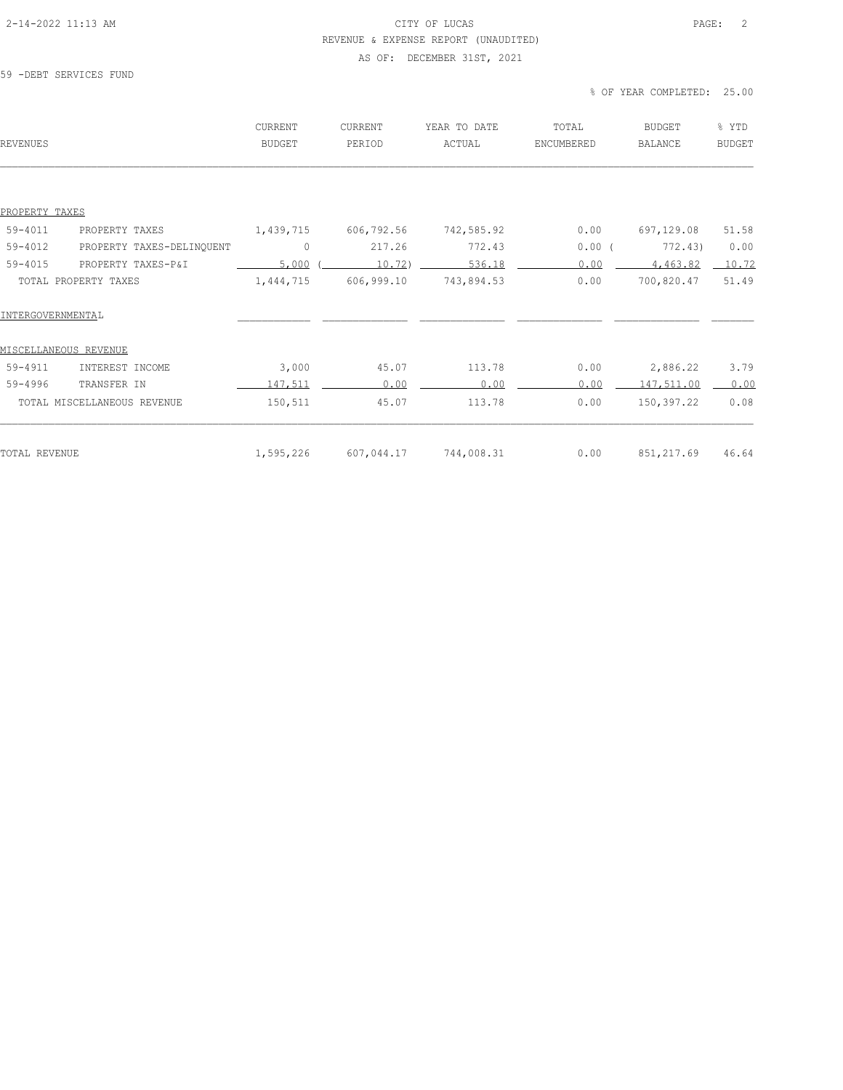### 2-14-2022 11:13 AM CITY OF LUCAS PAGE: 2 REVENUE & EXPENSE REPORT (UNAUDITED)

### AS OF: DECEMBER 31ST, 2021

#### 59 -DEBT SERVICES FUND

% OF YEAR COMPLETED: 25.00

| REVENUES                                 | <b>CURRENT</b><br><b>BUDGET</b> | CURRENT<br>PERIOD | YEAR TO DATE<br>ACTUAL | TOTAL<br>ENCUMBERED | <b>BUDGET</b><br><b>BALANCE</b> | % YTD<br><b>BUDGET</b> |
|------------------------------------------|---------------------------------|-------------------|------------------------|---------------------|---------------------------------|------------------------|
|                                          |                                 |                   |                        |                     |                                 |                        |
| PROPERTY TAXES                           |                                 |                   |                        |                     |                                 |                        |
| $59 - 4011$<br>PROPERTY TAXES            | 1,439,715                       | 606,792.56        | 742,585.92             | 0.00                | 697,129.08                      | 51.58                  |
| $59 - 4012$<br>PROPERTY TAXES-DELINQUENT | $\mathbf{0}$                    | 217.26            | 772.43                 | $0.00$ (            | 772.43)                         | 0.00                   |
| $59 - 4015$<br>PROPERTY TAXES-P&I        | 5,000                           | $10.72$ )         | 536.18                 | 0.00                | 4,463.82                        | 10.72                  |
| TOTAL PROPERTY TAXES                     | 1,444,715                       | 606,999.10        | 743,894.53             | 0.00                | 700,820.47                      | 51.49                  |
| INTERGOVERNMENTAL                        |                                 |                   |                        |                     |                                 |                        |
| MISCELLANEOUS REVENUE                    |                                 |                   |                        |                     |                                 |                        |
| $59 - 4911$<br>INTEREST INCOME           | 3,000                           | 45.07             | 113.78                 | 0.00                | 2,886.22                        | 3.79                   |
| $59 - 4996$<br>TRANSFER IN               | 147,511                         | 0.00              | 0.00                   | 0.00                | 147,511.00                      | 0.00                   |
| TOTAL MISCELLANEOUS REVENUE              | 150,511                         | 45.07             | 113.78                 | 0.00                | 150,397.22                      | 0.08                   |
| TOTAL REVENUE                            | 1,595,226                       | 607,044.17        | 744,008.31             | 0.00                | 851, 217.69                     | 46.64                  |